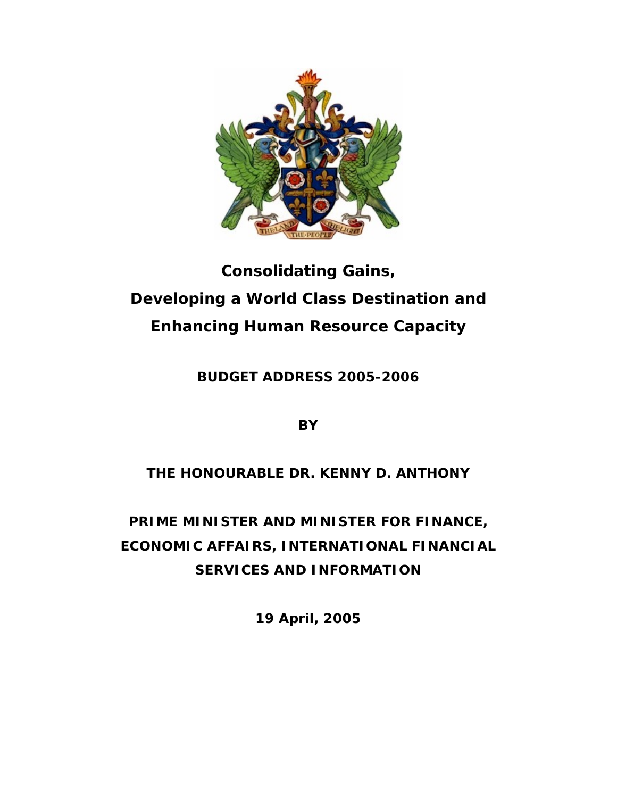

# **Consolidating Gains, Developing a World Class Destination and Enhancing Human Resource Capacity**

**BUDGET ADDRESS 2005-2006** 

**BY** 

# **THE HONOURABLE DR. KENNY D. ANTHONY**

**PRIME MINISTER AND MINISTER FOR FINANCE, ECONOMIC AFFAIRS, INTERNATIONAL FINANCIAL SERVICES AND INFORMATION** 

**19 April, 2005**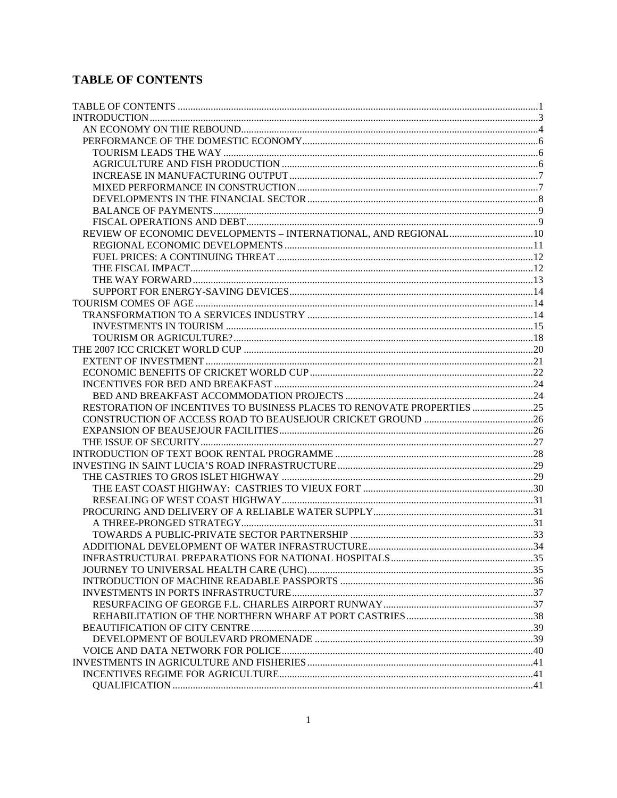## **TABLE OF CONTENTS**

| RESTORATION OF INCENTIVES TO BUSINESS PLACES TO RENOVATE PROPERTIES |  |
|---------------------------------------------------------------------|--|
|                                                                     |  |
|                                                                     |  |
|                                                                     |  |
|                                                                     |  |
|                                                                     |  |
|                                                                     |  |
|                                                                     |  |
|                                                                     |  |
|                                                                     |  |
|                                                                     |  |
|                                                                     |  |
|                                                                     |  |
|                                                                     |  |
|                                                                     |  |
|                                                                     |  |
|                                                                     |  |
|                                                                     |  |
|                                                                     |  |
|                                                                     |  |
|                                                                     |  |
|                                                                     |  |
|                                                                     |  |
|                                                                     |  |
|                                                                     |  |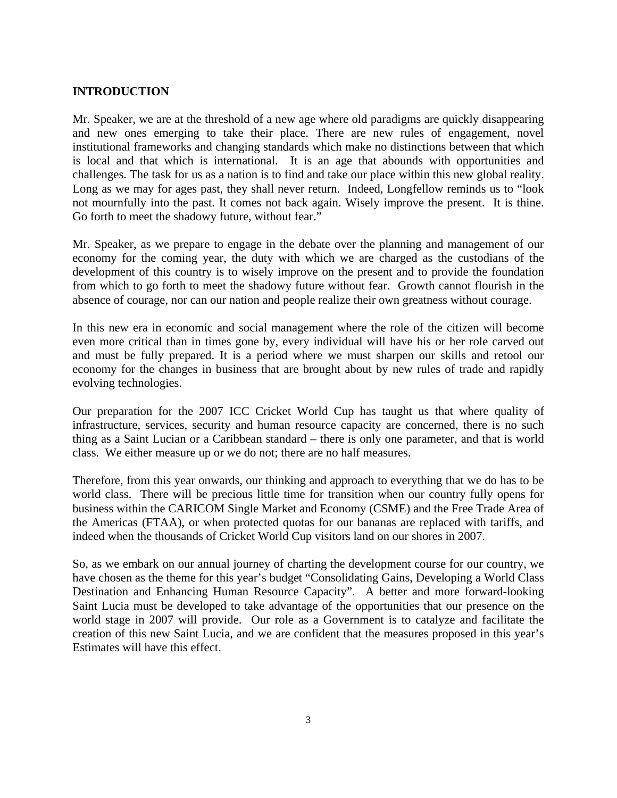#### **INTRODUCTION**

Mr. Speaker, we are at the threshold of a new age where old paradigms are quickly disappearing and new ones emerging to take their place. There are new rules of engagement, novel institutional frameworks and changing standards which make no distinctions between that which is local and that which is international. It is an age that abounds with opportunities and challenges. The task for us as a nation is to find and take our place within this new global reality. Long as we may for ages past, they shall never return. Indeed, Longfellow reminds us to "look" not mournfully into the past. It comes not back again. Wisely improve the present. It is thine. Go forth to meet the shadowy future, without fear."

Mr. Speaker, as we prepare to engage in the debate over the planning and management of our economy for the coming year, the duty with which we are charged as the custodians of the development of this country is to wisely improve on the present and to provide the foundation from which to go forth to meet the shadowy future without fear. Growth cannot flourish in the absence of courage, nor can our nation and people realize their own greatness without courage.

In this new era in economic and social management where the role of the citizen will become even more critical than in times gone by, every individual will have his or her role carved out and must be fully prepared. It is a period where we must sharpen our skills and retool our economy for the changes in business that are brought about by new rules of trade and rapidly evolving technologies.

Our preparation for the 2007 ICC Cricket World Cup has taught us that where quality of infrastructure, services, security and human resource capacity are concerned, there is no such thing as a Saint Lucian or a Caribbean standard – there is only one parameter, and that is world class. We either measure up or we do not; there are no half measures.

Therefore, from this year onwards, our thinking and approach to everything that we do has to be world class. There will be precious little time for transition when our country fully opens for business within the CARICOM Single Market and Economy (CSME) and the Free Trade Area of the Americas (FTAA), or when protected quotas for our bananas are replaced with tariffs, and indeed when the thousands of Cricket World Cup visitors land on our shores in 2007.

So, as we embark on our annual journey of charting the development course for our country, we have chosen as the theme for this year's budget "Consolidating Gains, Developing a World Class Destination and Enhancing Human Resource Capacity". A better and more forward-looking Saint Lucia must be developed to take advantage of the opportunities that our presence on the world stage in 2007 will provide. Our role as a Government is to catalyze and facilitate the creation of this new Saint Lucia, and we are confident that the measures proposed in this year's Estimates will have this effect.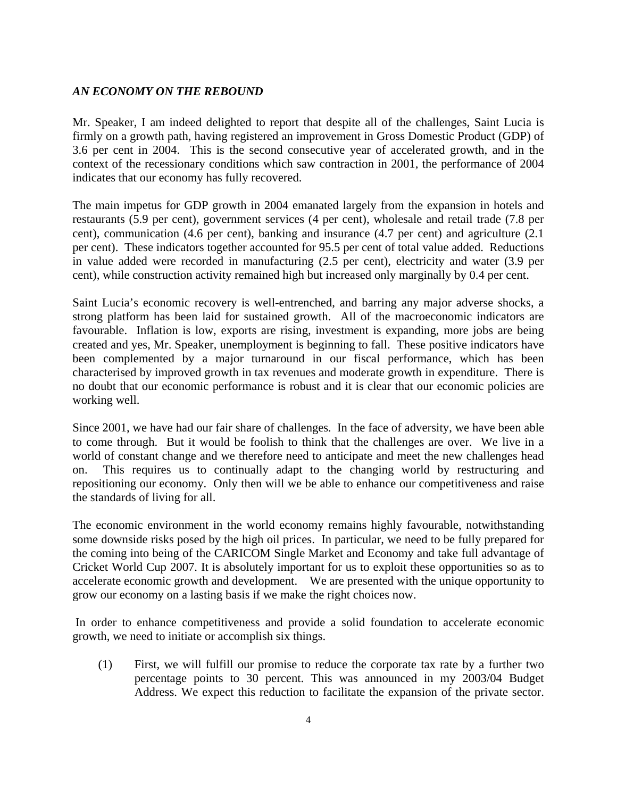#### *AN ECONOMY ON THE REBOUND*

Mr. Speaker, I am indeed delighted to report that despite all of the challenges, Saint Lucia is firmly on a growth path, having registered an improvement in Gross Domestic Product (GDP) of 3.6 per cent in 2004. This is the second consecutive year of accelerated growth, and in the context of the recessionary conditions which saw contraction in 2001, the performance of 2004 indicates that our economy has fully recovered.

The main impetus for GDP growth in 2004 emanated largely from the expansion in hotels and restaurants (5.9 per cent), government services (4 per cent), wholesale and retail trade (7.8 per cent), communication (4.6 per cent), banking and insurance (4.7 per cent) and agriculture (2.1 per cent). These indicators together accounted for 95.5 per cent of total value added. Reductions in value added were recorded in manufacturing (2.5 per cent), electricity and water (3.9 per cent), while construction activity remained high but increased only marginally by 0.4 per cent.

Saint Lucia's economic recovery is well-entrenched, and barring any major adverse shocks, a strong platform has been laid for sustained growth. All of the macroeconomic indicators are favourable. Inflation is low, exports are rising, investment is expanding, more jobs are being created and yes, Mr. Speaker, unemployment is beginning to fall. These positive indicators have been complemented by a major turnaround in our fiscal performance, which has been characterised by improved growth in tax revenues and moderate growth in expenditure. There is no doubt that our economic performance is robust and it is clear that our economic policies are working well.

Since 2001, we have had our fair share of challenges. In the face of adversity, we have been able to come through. But it would be foolish to think that the challenges are over. We live in a world of constant change and we therefore need to anticipate and meet the new challenges head on. This requires us to continually adapt to the changing world by restructuring and repositioning our economy. Only then will we be able to enhance our competitiveness and raise the standards of living for all.

The economic environment in the world economy remains highly favourable, notwithstanding some downside risks posed by the high oil prices. In particular, we need to be fully prepared for the coming into being of the CARICOM Single Market and Economy and take full advantage of Cricket World Cup 2007. It is absolutely important for us to exploit these opportunities so as to accelerate economic growth and development. We are presented with the unique opportunity to grow our economy on a lasting basis if we make the right choices now.

 In order to enhance competitiveness and provide a solid foundation to accelerate economic growth, we need to initiate or accomplish six things.

(1) First, we will fulfill our promise to reduce the corporate tax rate by a further two percentage points to 30 percent. This was announced in my 2003/04 Budget Address. We expect this reduction to facilitate the expansion of the private sector.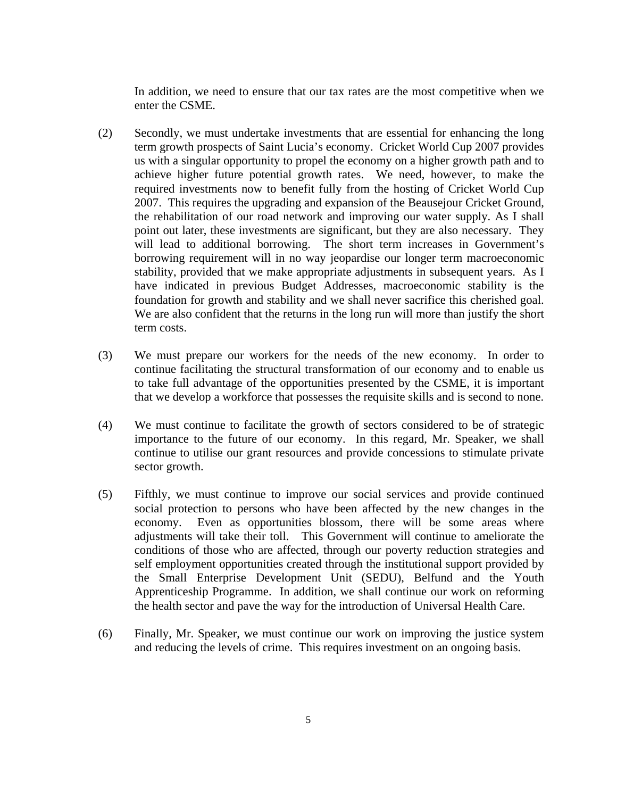In addition, we need to ensure that our tax rates are the most competitive when we enter the CSME.

- (2) Secondly, we must undertake investments that are essential for enhancing the long term growth prospects of Saint Lucia's economy. Cricket World Cup 2007 provides us with a singular opportunity to propel the economy on a higher growth path and to achieve higher future potential growth rates. We need, however, to make the required investments now to benefit fully from the hosting of Cricket World Cup 2007. This requires the upgrading and expansion of the Beausejour Cricket Ground, the rehabilitation of our road network and improving our water supply. As I shall point out later, these investments are significant, but they are also necessary. They will lead to additional borrowing. The short term increases in Government's borrowing requirement will in no way jeopardise our longer term macroeconomic stability, provided that we make appropriate adjustments in subsequent years. As I have indicated in previous Budget Addresses, macroeconomic stability is the foundation for growth and stability and we shall never sacrifice this cherished goal. We are also confident that the returns in the long run will more than justify the short term costs.
- (3) We must prepare our workers for the needs of the new economy. In order to continue facilitating the structural transformation of our economy and to enable us to take full advantage of the opportunities presented by the CSME, it is important that we develop a workforce that possesses the requisite skills and is second to none.
- (4) We must continue to facilitate the growth of sectors considered to be of strategic importance to the future of our economy. In this regard, Mr. Speaker, we shall continue to utilise our grant resources and provide concessions to stimulate private sector growth.
- (5) Fifthly, we must continue to improve our social services and provide continued social protection to persons who have been affected by the new changes in the economy. Even as opportunities blossom, there will be some areas where adjustments will take their toll. This Government will continue to ameliorate the conditions of those who are affected, through our poverty reduction strategies and self employment opportunities created through the institutional support provided by the Small Enterprise Development Unit (SEDU), Belfund and the Youth Apprenticeship Programme. In addition, we shall continue our work on reforming the health sector and pave the way for the introduction of Universal Health Care.
- (6) Finally, Mr. Speaker, we must continue our work on improving the justice system and reducing the levels of crime. This requires investment on an ongoing basis.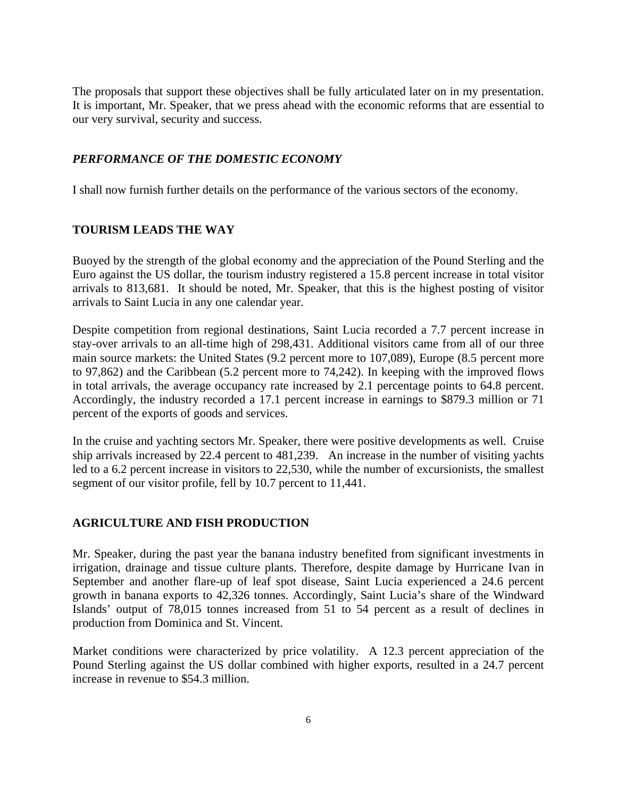The proposals that support these objectives shall be fully articulated later on in my presentation. It is important, Mr. Speaker, that we press ahead with the economic reforms that are essential to our very survival, security and success.

#### *PERFORMANCE OF THE DOMESTIC ECONOMY*

I shall now furnish further details on the performance of the various sectors of the economy.

#### **TOURISM LEADS THE WAY**

Buoyed by the strength of the global economy and the appreciation of the Pound Sterling and the Euro against the US dollar, the tourism industry registered a 15.8 percent increase in total visitor arrivals to 813,681. It should be noted, Mr. Speaker, that this is the highest posting of visitor arrivals to Saint Lucia in any one calendar year.

Despite competition from regional destinations, Saint Lucia recorded a 7.7 percent increase in stay-over arrivals to an all-time high of 298,431. Additional visitors came from all of our three main source markets: the United States (9.2 percent more to 107,089), Europe (8.5 percent more to 97,862) and the Caribbean (5.2 percent more to 74,242). In keeping with the improved flows in total arrivals, the average occupancy rate increased by 2.1 percentage points to 64.8 percent. Accordingly, the industry recorded a 17.1 percent increase in earnings to \$879.3 million or 71 percent of the exports of goods and services.

In the cruise and yachting sectors Mr. Speaker, there were positive developments as well. Cruise ship arrivals increased by 22.4 percent to 481,239. An increase in the number of visiting yachts led to a 6.2 percent increase in visitors to 22,530, while the number of excursionists, the smallest segment of our visitor profile, fell by 10.7 percent to 11,441.

#### **AGRICULTURE AND FISH PRODUCTION**

Mr. Speaker, during the past year the banana industry benefited from significant investments in irrigation, drainage and tissue culture plants. Therefore, despite damage by Hurricane Ivan in September and another flare-up of leaf spot disease, Saint Lucia experienced a 24.6 percent growth in banana exports to 42,326 tonnes. Accordingly, Saint Lucia's share of the Windward Islands' output of 78,015 tonnes increased from 51 to 54 percent as a result of declines in production from Dominica and St. Vincent.

Market conditions were characterized by price volatility. A 12.3 percent appreciation of the Pound Sterling against the US dollar combined with higher exports, resulted in a 24.7 percent increase in revenue to \$54.3 million.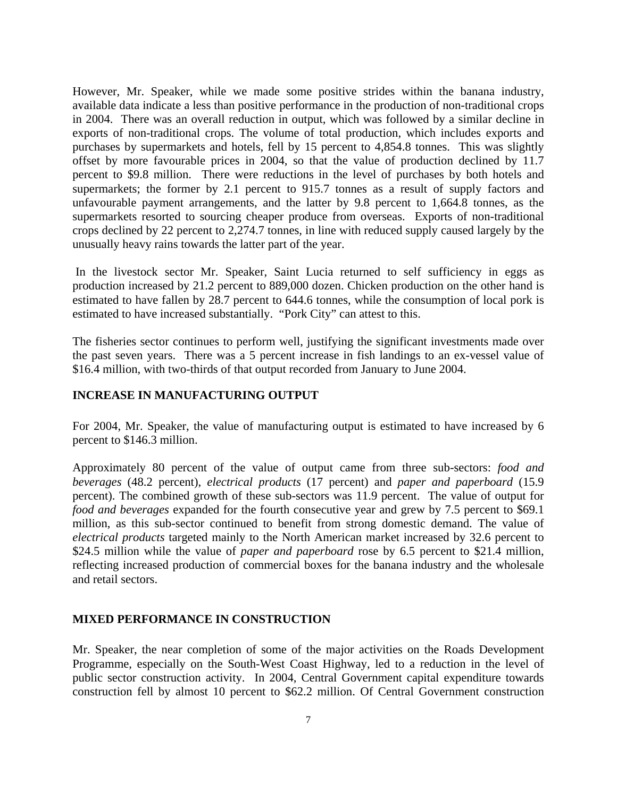However, Mr. Speaker, while we made some positive strides within the banana industry, available data indicate a less than positive performance in the production of non-traditional crops in 2004. There was an overall reduction in output, which was followed by a similar decline in exports of non-traditional crops. The volume of total production, which includes exports and purchases by supermarkets and hotels, fell by 15 percent to 4,854.8 tonnes. This was slightly offset by more favourable prices in 2004, so that the value of production declined by 11.7 percent to \$9.8 million. There were reductions in the level of purchases by both hotels and supermarkets; the former by 2.1 percent to 915.7 tonnes as a result of supply factors and unfavourable payment arrangements, and the latter by 9.8 percent to 1,664.8 tonnes, as the supermarkets resorted to sourcing cheaper produce from overseas. Exports of non-traditional crops declined by 22 percent to 2,274.7 tonnes, in line with reduced supply caused largely by the unusually heavy rains towards the latter part of the year.

 In the livestock sector Mr. Speaker, Saint Lucia returned to self sufficiency in eggs as production increased by 21.2 percent to 889,000 dozen. Chicken production on the other hand is estimated to have fallen by 28.7 percent to 644.6 tonnes, while the consumption of local pork is estimated to have increased substantially. "Pork City" can attest to this.

The fisheries sector continues to perform well, justifying the significant investments made over the past seven years. There was a 5 percent increase in fish landings to an ex-vessel value of \$16.4 million, with two-thirds of that output recorded from January to June 2004.

#### **INCREASE IN MANUFACTURING OUTPUT**

For 2004, Mr. Speaker, the value of manufacturing output is estimated to have increased by 6 percent to \$146.3 million.

Approximately 80 percent of the value of output came from three sub-sectors: *food and beverages* (48.2 percent), *electrical products* (17 percent) and *paper and paperboard* (15.9 percent). The combined growth of these sub-sectors was 11.9 percent. The value of output for *food and beverages* expanded for the fourth consecutive year and grew by 7.5 percent to \$69.1 million, as this sub-sector continued to benefit from strong domestic demand. The value of *electrical products* targeted mainly to the North American market increased by 32.6 percent to \$24.5 million while the value of *paper and paperboard* rose by 6.5 percent to \$21.4 million, reflecting increased production of commercial boxes for the banana industry and the wholesale and retail sectors.

#### **MIXED PERFORMANCE IN CONSTRUCTION**

Mr. Speaker, the near completion of some of the major activities on the Roads Development Programme, especially on the South-West Coast Highway, led to a reduction in the level of public sector construction activity. In 2004, Central Government capital expenditure towards construction fell by almost 10 percent to \$62.2 million. Of Central Government construction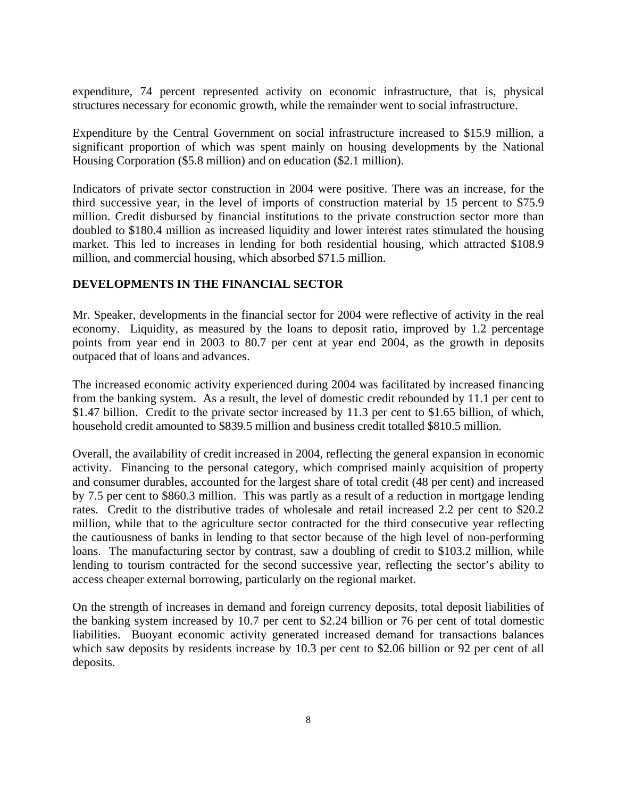expenditure, 74 percent represented activity on economic infrastructure, that is, physical structures necessary for economic growth, while the remainder went to social infrastructure.

Expenditure by the Central Government on social infrastructure increased to \$15.9 million, a significant proportion of which was spent mainly on housing developments by the National Housing Corporation (\$5.8 million) and on education (\$2.1 million).

Indicators of private sector construction in 2004 were positive. There was an increase, for the third successive year, in the level of imports of construction material by 15 percent to \$75.9 million. Credit disbursed by financial institutions to the private construction sector more than doubled to \$180.4 million as increased liquidity and lower interest rates stimulated the housing market. This led to increases in lending for both residential housing, which attracted \$108.9 million, and commercial housing, which absorbed \$71.5 million.

#### **DEVELOPMENTS IN THE FINANCIAL SECTOR**

Mr. Speaker, developments in the financial sector for 2004 were reflective of activity in the real economy. Liquidity, as measured by the loans to deposit ratio, improved by 1.2 percentage points from year end in 2003 to 80.7 per cent at year end 2004, as the growth in deposits outpaced that of loans and advances.

The increased economic activity experienced during 2004 was facilitated by increased financing from the banking system. As a result, the level of domestic credit rebounded by 11.1 per cent to \$1.47 billion. Credit to the private sector increased by 11.3 per cent to \$1.65 billion, of which, household credit amounted to \$839.5 million and business credit totalled \$810.5 million.

Overall, the availability of credit increased in 2004, reflecting the general expansion in economic activity. Financing to the personal category, which comprised mainly acquisition of property and consumer durables, accounted for the largest share of total credit (48 per cent) and increased by 7.5 per cent to \$860.3 million. This was partly as a result of a reduction in mortgage lending rates. Credit to the distributive trades of wholesale and retail increased 2.2 per cent to \$20.2 million, while that to the agriculture sector contracted for the third consecutive year reflecting the cautiousness of banks in lending to that sector because of the high level of non-performing loans. The manufacturing sector by contrast, saw a doubling of credit to \$103.2 million, while lending to tourism contracted for the second successive year, reflecting the sector's ability to access cheaper external borrowing, particularly on the regional market.

On the strength of increases in demand and foreign currency deposits, total deposit liabilities of the banking system increased by 10.7 per cent to \$2.24 billion or 76 per cent of total domestic liabilities. Buoyant economic activity generated increased demand for transactions balances which saw deposits by residents increase by 10.3 per cent to \$2.06 billion or 92 per cent of all deposits.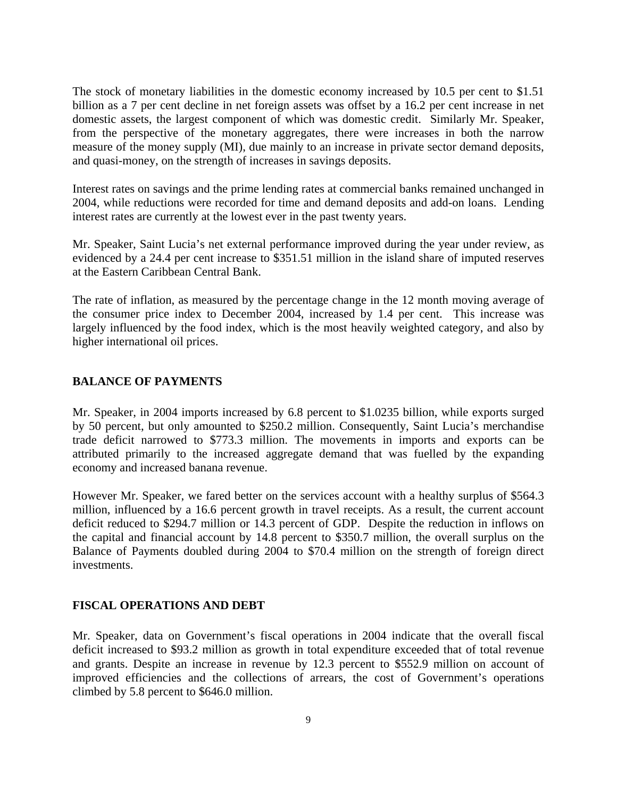The stock of monetary liabilities in the domestic economy increased by 10.5 per cent to \$1.51 billion as a 7 per cent decline in net foreign assets was offset by a 16.2 per cent increase in net domestic assets, the largest component of which was domestic credit. Similarly Mr. Speaker, from the perspective of the monetary aggregates, there were increases in both the narrow measure of the money supply (MI), due mainly to an increase in private sector demand deposits, and quasi-money, on the strength of increases in savings deposits.

Interest rates on savings and the prime lending rates at commercial banks remained unchanged in 2004, while reductions were recorded for time and demand deposits and add-on loans. Lending interest rates are currently at the lowest ever in the past twenty years.

Mr. Speaker, Saint Lucia's net external performance improved during the year under review, as evidenced by a 24.4 per cent increase to \$351.51 million in the island share of imputed reserves at the Eastern Caribbean Central Bank.

The rate of inflation, as measured by the percentage change in the 12 month moving average of the consumer price index to December 2004, increased by 1.4 per cent. This increase was largely influenced by the food index, which is the most heavily weighted category, and also by higher international oil prices.

#### **BALANCE OF PAYMENTS**

Mr. Speaker, in 2004 imports increased by 6.8 percent to \$1.0235 billion, while exports surged by 50 percent, but only amounted to \$250.2 million. Consequently, Saint Lucia's merchandise trade deficit narrowed to \$773.3 million. The movements in imports and exports can be attributed primarily to the increased aggregate demand that was fuelled by the expanding economy and increased banana revenue.

However Mr. Speaker, we fared better on the services account with a healthy surplus of \$564.3 million, influenced by a 16.6 percent growth in travel receipts. As a result, the current account deficit reduced to \$294.7 million or 14.3 percent of GDP. Despite the reduction in inflows on the capital and financial account by 14.8 percent to \$350.7 million, the overall surplus on the Balance of Payments doubled during 2004 to \$70.4 million on the strength of foreign direct investments.

#### **FISCAL OPERATIONS AND DEBT**

Mr. Speaker, data on Government's fiscal operations in 2004 indicate that the overall fiscal deficit increased to \$93.2 million as growth in total expenditure exceeded that of total revenue and grants. Despite an increase in revenue by 12.3 percent to \$552.9 million on account of improved efficiencies and the collections of arrears, the cost of Government's operations climbed by 5.8 percent to \$646.0 million.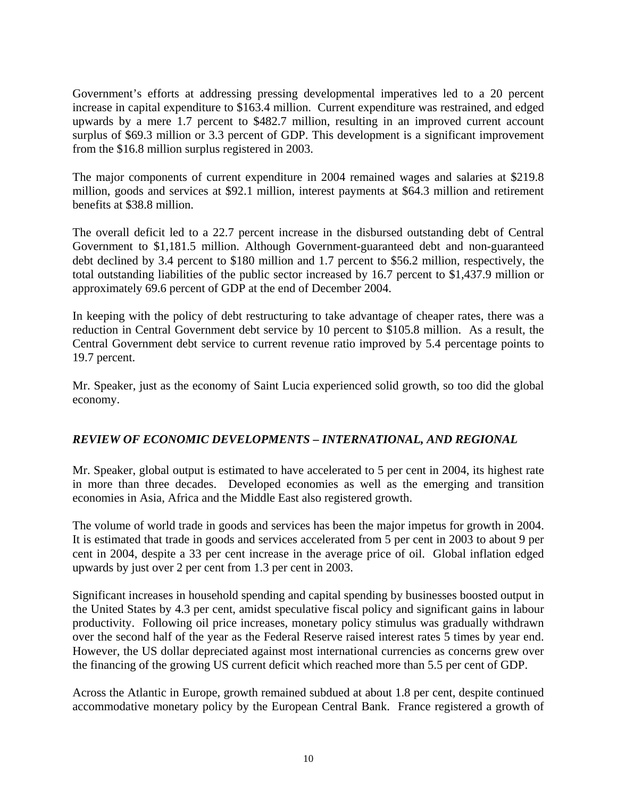Government's efforts at addressing pressing developmental imperatives led to a 20 percent increase in capital expenditure to \$163.4 million. Current expenditure was restrained, and edged upwards by a mere 1.7 percent to \$482.7 million, resulting in an improved current account surplus of \$69.3 million or 3.3 percent of GDP. This development is a significant improvement from the \$16.8 million surplus registered in 2003.

The major components of current expenditure in 2004 remained wages and salaries at \$219.8 million, goods and services at \$92.1 million, interest payments at \$64.3 million and retirement benefits at \$38.8 million.

The overall deficit led to a 22.7 percent increase in the disbursed outstanding debt of Central Government to \$1,181.5 million. Although Government-guaranteed debt and non-guaranteed debt declined by 3.4 percent to \$180 million and 1.7 percent to \$56.2 million, respectively, the total outstanding liabilities of the public sector increased by 16.7 percent to \$1,437.9 million or approximately 69.6 percent of GDP at the end of December 2004.

In keeping with the policy of debt restructuring to take advantage of cheaper rates, there was a reduction in Central Government debt service by 10 percent to \$105.8 million. As a result, the Central Government debt service to current revenue ratio improved by 5.4 percentage points to 19.7 percent.

Mr. Speaker, just as the economy of Saint Lucia experienced solid growth, so too did the global economy.

## *REVIEW OF ECONOMIC DEVELOPMENTS – INTERNATIONAL, AND REGIONAL*

Mr. Speaker, global output is estimated to have accelerated to 5 per cent in 2004, its highest rate in more than three decades. Developed economies as well as the emerging and transition economies in Asia, Africa and the Middle East also registered growth.

The volume of world trade in goods and services has been the major impetus for growth in 2004. It is estimated that trade in goods and services accelerated from 5 per cent in 2003 to about 9 per cent in 2004, despite a 33 per cent increase in the average price of oil. Global inflation edged upwards by just over 2 per cent from 1.3 per cent in 2003.

Significant increases in household spending and capital spending by businesses boosted output in the United States by 4.3 per cent, amidst speculative fiscal policy and significant gains in labour productivity. Following oil price increases, monetary policy stimulus was gradually withdrawn over the second half of the year as the Federal Reserve raised interest rates 5 times by year end. However, the US dollar depreciated against most international currencies as concerns grew over the financing of the growing US current deficit which reached more than 5.5 per cent of GDP.

Across the Atlantic in Europe, growth remained subdued at about 1.8 per cent, despite continued accommodative monetary policy by the European Central Bank. France registered a growth of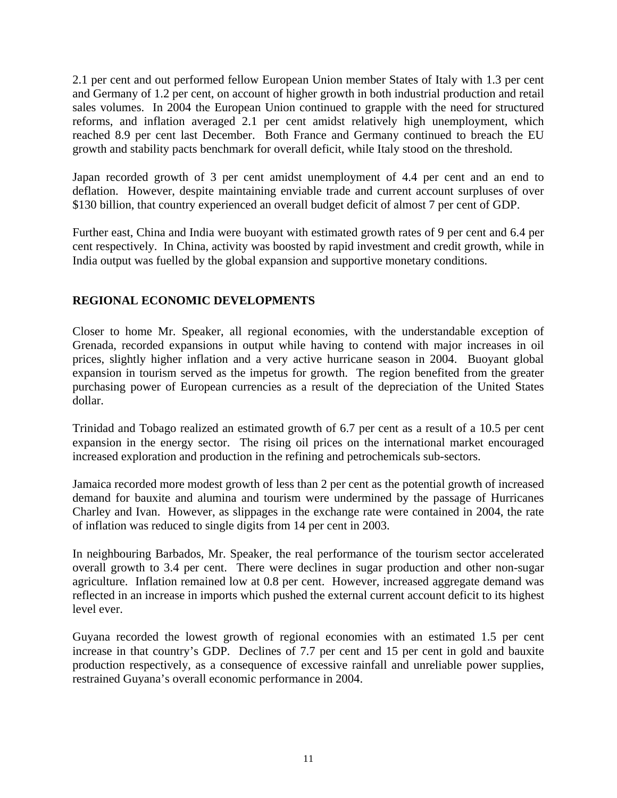2.1 per cent and out performed fellow European Union member States of Italy with 1.3 per cent and Germany of 1.2 per cent, on account of higher growth in both industrial production and retail sales volumes. In 2004 the European Union continued to grapple with the need for structured reforms, and inflation averaged 2.1 per cent amidst relatively high unemployment, which reached 8.9 per cent last December. Both France and Germany continued to breach the EU growth and stability pacts benchmark for overall deficit, while Italy stood on the threshold.

Japan recorded growth of 3 per cent amidst unemployment of 4.4 per cent and an end to deflation. However, despite maintaining enviable trade and current account surpluses of over \$130 billion, that country experienced an overall budget deficit of almost 7 per cent of GDP.

Further east, China and India were buoyant with estimated growth rates of 9 per cent and 6.4 per cent respectively. In China, activity was boosted by rapid investment and credit growth, while in India output was fuelled by the global expansion and supportive monetary conditions.

## **REGIONAL ECONOMIC DEVELOPMENTS**

Closer to home Mr. Speaker, all regional economies, with the understandable exception of Grenada, recorded expansions in output while having to contend with major increases in oil prices, slightly higher inflation and a very active hurricane season in 2004. Buoyant global expansion in tourism served as the impetus for growth. The region benefited from the greater purchasing power of European currencies as a result of the depreciation of the United States dollar.

Trinidad and Tobago realized an estimated growth of 6.7 per cent as a result of a 10.5 per cent expansion in the energy sector. The rising oil prices on the international market encouraged increased exploration and production in the refining and petrochemicals sub-sectors.

Jamaica recorded more modest growth of less than 2 per cent as the potential growth of increased demand for bauxite and alumina and tourism were undermined by the passage of Hurricanes Charley and Ivan. However, as slippages in the exchange rate were contained in 2004, the rate of inflation was reduced to single digits from 14 per cent in 2003.

In neighbouring Barbados, Mr. Speaker, the real performance of the tourism sector accelerated overall growth to 3.4 per cent. There were declines in sugar production and other non-sugar agriculture. Inflation remained low at 0.8 per cent. However, increased aggregate demand was reflected in an increase in imports which pushed the external current account deficit to its highest level ever.

Guyana recorded the lowest growth of regional economies with an estimated 1.5 per cent increase in that country's GDP. Declines of 7.7 per cent and 15 per cent in gold and bauxite production respectively, as a consequence of excessive rainfall and unreliable power supplies, restrained Guyana's overall economic performance in 2004.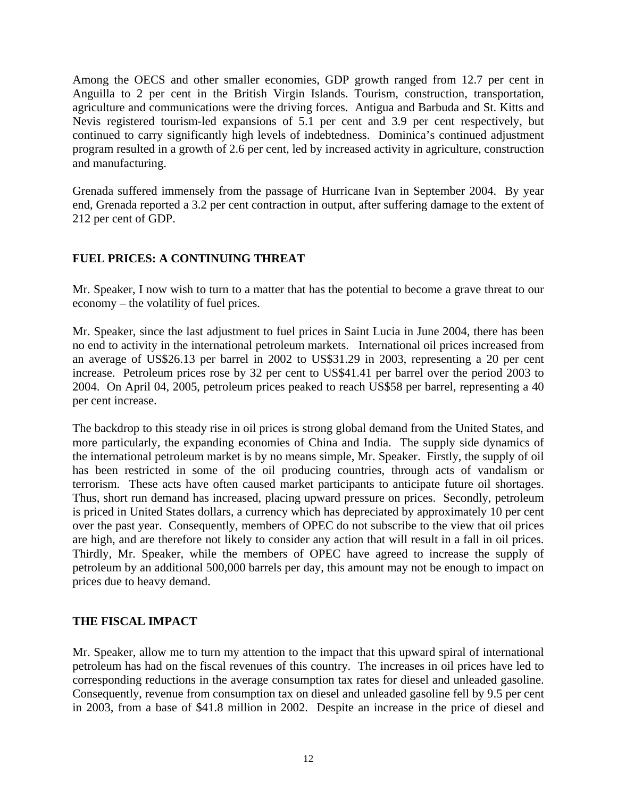Among the OECS and other smaller economies, GDP growth ranged from 12.7 per cent in Anguilla to 2 per cent in the British Virgin Islands. Tourism, construction, transportation, agriculture and communications were the driving forces. Antigua and Barbuda and St. Kitts and Nevis registered tourism-led expansions of 5.1 per cent and 3.9 per cent respectively, but continued to carry significantly high levels of indebtedness. Dominica's continued adjustment program resulted in a growth of 2.6 per cent, led by increased activity in agriculture, construction and manufacturing.

Grenada suffered immensely from the passage of Hurricane Ivan in September 2004. By year end, Grenada reported a 3.2 per cent contraction in output, after suffering damage to the extent of 212 per cent of GDP.

## **FUEL PRICES: A CONTINUING THREAT**

Mr. Speaker, I now wish to turn to a matter that has the potential to become a grave threat to our economy – the volatility of fuel prices.

Mr. Speaker, since the last adjustment to fuel prices in Saint Lucia in June 2004, there has been no end to activity in the international petroleum markets. International oil prices increased from an average of US\$26.13 per barrel in 2002 to US\$31.29 in 2003, representing a 20 per cent increase. Petroleum prices rose by 32 per cent to US\$41.41 per barrel over the period 2003 to 2004. On April 04, 2005, petroleum prices peaked to reach US\$58 per barrel, representing a 40 per cent increase.

The backdrop to this steady rise in oil prices is strong global demand from the United States, and more particularly, the expanding economies of China and India. The supply side dynamics of the international petroleum market is by no means simple, Mr. Speaker. Firstly, the supply of oil has been restricted in some of the oil producing countries, through acts of vandalism or terrorism. These acts have often caused market participants to anticipate future oil shortages. Thus, short run demand has increased, placing upward pressure on prices. Secondly, petroleum is priced in United States dollars, a currency which has depreciated by approximately 10 per cent over the past year. Consequently, members of OPEC do not subscribe to the view that oil prices are high, and are therefore not likely to consider any action that will result in a fall in oil prices. Thirdly, Mr. Speaker, while the members of OPEC have agreed to increase the supply of petroleum by an additional 500,000 barrels per day, this amount may not be enough to impact on prices due to heavy demand.

## **THE FISCAL IMPACT**

Mr. Speaker, allow me to turn my attention to the impact that this upward spiral of international petroleum has had on the fiscal revenues of this country. The increases in oil prices have led to corresponding reductions in the average consumption tax rates for diesel and unleaded gasoline. Consequently, revenue from consumption tax on diesel and unleaded gasoline fell by 9.5 per cent in 2003, from a base of \$41.8 million in 2002. Despite an increase in the price of diesel and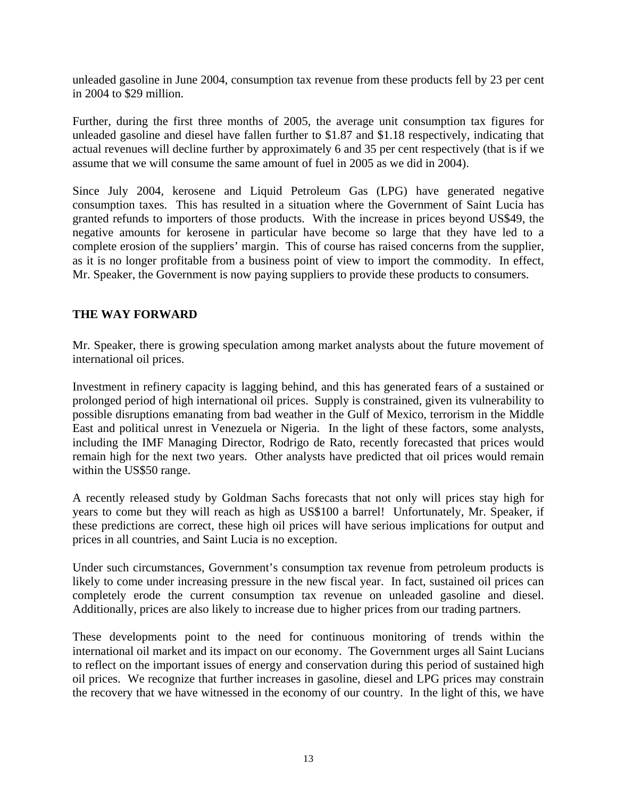unleaded gasoline in June 2004, consumption tax revenue from these products fell by 23 per cent in 2004 to \$29 million.

Further, during the first three months of 2005, the average unit consumption tax figures for unleaded gasoline and diesel have fallen further to \$1.87 and \$1.18 respectively, indicating that actual revenues will decline further by approximately 6 and 35 per cent respectively (that is if we assume that we will consume the same amount of fuel in 2005 as we did in 2004).

Since July 2004, kerosene and Liquid Petroleum Gas (LPG) have generated negative consumption taxes. This has resulted in a situation where the Government of Saint Lucia has granted refunds to importers of those products. With the increase in prices beyond US\$49, the negative amounts for kerosene in particular have become so large that they have led to a complete erosion of the suppliers' margin. This of course has raised concerns from the supplier, as it is no longer profitable from a business point of view to import the commodity. In effect, Mr. Speaker, the Government is now paying suppliers to provide these products to consumers.

## **THE WAY FORWARD**

Mr. Speaker, there is growing speculation among market analysts about the future movement of international oil prices.

Investment in refinery capacity is lagging behind, and this has generated fears of a sustained or prolonged period of high international oil prices. Supply is constrained, given its vulnerability to possible disruptions emanating from bad weather in the Gulf of Mexico, terrorism in the Middle East and political unrest in Venezuela or Nigeria. In the light of these factors, some analysts, including the IMF Managing Director, Rodrigo de Rato, recently forecasted that prices would remain high for the next two years. Other analysts have predicted that oil prices would remain within the US\$50 range.

A recently released study by Goldman Sachs forecasts that not only will prices stay high for years to come but they will reach as high as US\$100 a barrel! Unfortunately, Mr. Speaker, if these predictions are correct, these high oil prices will have serious implications for output and prices in all countries, and Saint Lucia is no exception.

Under such circumstances, Government's consumption tax revenue from petroleum products is likely to come under increasing pressure in the new fiscal year. In fact, sustained oil prices can completely erode the current consumption tax revenue on unleaded gasoline and diesel. Additionally, prices are also likely to increase due to higher prices from our trading partners.

These developments point to the need for continuous monitoring of trends within the international oil market and its impact on our economy. The Government urges all Saint Lucians to reflect on the important issues of energy and conservation during this period of sustained high oil prices. We recognize that further increases in gasoline, diesel and LPG prices may constrain the recovery that we have witnessed in the economy of our country. In the light of this, we have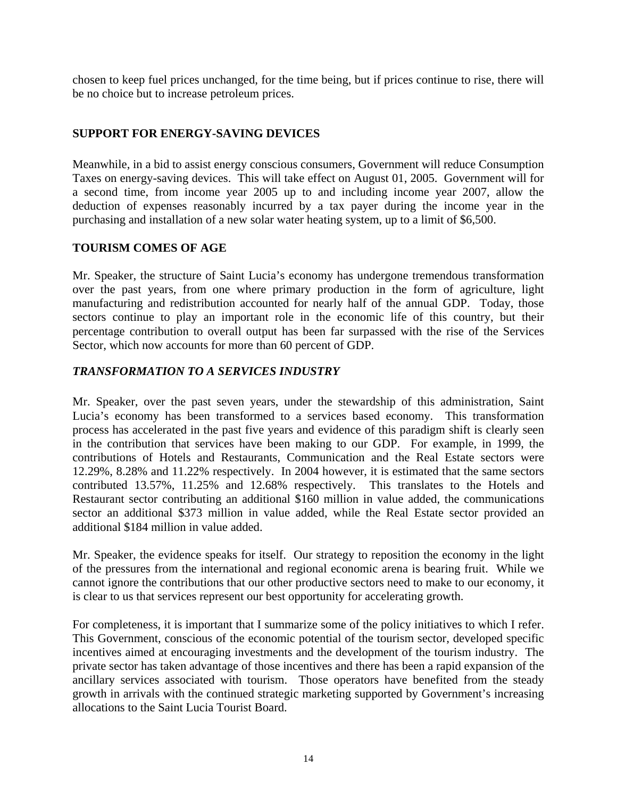chosen to keep fuel prices unchanged, for the time being, but if prices continue to rise, there will be no choice but to increase petroleum prices.

## **SUPPORT FOR ENERGY-SAVING DEVICES**

Meanwhile, in a bid to assist energy conscious consumers, Government will reduce Consumption Taxes on energy-saving devices. This will take effect on August 01, 2005. Government will for a second time, from income year 2005 up to and including income year 2007, allow the deduction of expenses reasonably incurred by a tax payer during the income year in the purchasing and installation of a new solar water heating system, up to a limit of \$6,500.

## **TOURISM COMES OF AGE**

Mr. Speaker, the structure of Saint Lucia's economy has undergone tremendous transformation over the past years, from one where primary production in the form of agriculture, light manufacturing and redistribution accounted for nearly half of the annual GDP. Today, those sectors continue to play an important role in the economic life of this country, but their percentage contribution to overall output has been far surpassed with the rise of the Services Sector, which now accounts for more than 60 percent of GDP.

## *TRANSFORMATION TO A SERVICES INDUSTRY*

Mr. Speaker, over the past seven years, under the stewardship of this administration, Saint Lucia's economy has been transformed to a services based economy. This transformation process has accelerated in the past five years and evidence of this paradigm shift is clearly seen in the contribution that services have been making to our GDP. For example, in 1999, the contributions of Hotels and Restaurants, Communication and the Real Estate sectors were 12.29%, 8.28% and 11.22% respectively. In 2004 however, it is estimated that the same sectors contributed 13.57%, 11.25% and 12.68% respectively. This translates to the Hotels and Restaurant sector contributing an additional \$160 million in value added, the communications sector an additional \$373 million in value added, while the Real Estate sector provided an additional \$184 million in value added.

Mr. Speaker, the evidence speaks for itself. Our strategy to reposition the economy in the light of the pressures from the international and regional economic arena is bearing fruit. While we cannot ignore the contributions that our other productive sectors need to make to our economy, it is clear to us that services represent our best opportunity for accelerating growth.

For completeness, it is important that I summarize some of the policy initiatives to which I refer. This Government, conscious of the economic potential of the tourism sector, developed specific incentives aimed at encouraging investments and the development of the tourism industry. The private sector has taken advantage of those incentives and there has been a rapid expansion of the ancillary services associated with tourism. Those operators have benefited from the steady growth in arrivals with the continued strategic marketing supported by Government's increasing allocations to the Saint Lucia Tourist Board.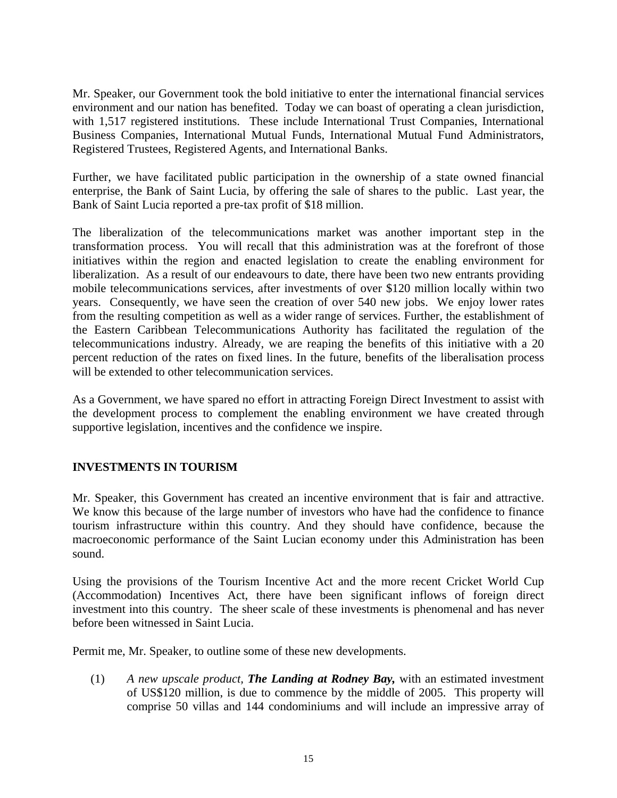Mr. Speaker, our Government took the bold initiative to enter the international financial services environment and our nation has benefited. Today we can boast of operating a clean jurisdiction, with 1,517 registered institutions. These include International Trust Companies, International Business Companies, International Mutual Funds, International Mutual Fund Administrators, Registered Trustees, Registered Agents, and International Banks.

Further, we have facilitated public participation in the ownership of a state owned financial enterprise, the Bank of Saint Lucia, by offering the sale of shares to the public. Last year, the Bank of Saint Lucia reported a pre-tax profit of \$18 million.

The liberalization of the telecommunications market was another important step in the transformation process. You will recall that this administration was at the forefront of those initiatives within the region and enacted legislation to create the enabling environment for liberalization. As a result of our endeavours to date, there have been two new entrants providing mobile telecommunications services, after investments of over \$120 million locally within two years. Consequently, we have seen the creation of over 540 new jobs. We enjoy lower rates from the resulting competition as well as a wider range of services. Further, the establishment of the Eastern Caribbean Telecommunications Authority has facilitated the regulation of the telecommunications industry. Already, we are reaping the benefits of this initiative with a 20 percent reduction of the rates on fixed lines. In the future, benefits of the liberalisation process will be extended to other telecommunication services.

As a Government, we have spared no effort in attracting Foreign Direct Investment to assist with the development process to complement the enabling environment we have created through supportive legislation, incentives and the confidence we inspire.

## **INVESTMENTS IN TOURISM**

Mr. Speaker, this Government has created an incentive environment that is fair and attractive. We know this because of the large number of investors who have had the confidence to finance tourism infrastructure within this country. And they should have confidence, because the macroeconomic performance of the Saint Lucian economy under this Administration has been sound.

Using the provisions of the Tourism Incentive Act and the more recent Cricket World Cup (Accommodation) Incentives Act, there have been significant inflows of foreign direct investment into this country. The sheer scale of these investments is phenomenal and has never before been witnessed in Saint Lucia.

Permit me, Mr. Speaker, to outline some of these new developments.

(1) *A new upscale product, The Landing at Rodney Bay,* with an estimated investment of US\$120 million, is due to commence by the middle of 2005. This property will comprise 50 villas and 144 condominiums and will include an impressive array of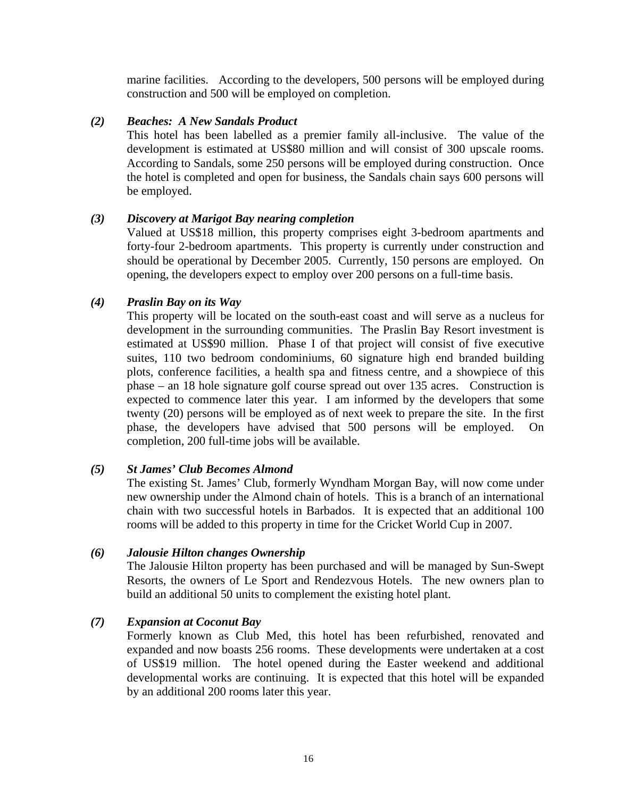marine facilities. According to the developers, 500 persons will be employed during construction and 500 will be employed on completion.

#### *(2) Beaches: A New Sandals Product*

This hotel has been labelled as a premier family all-inclusive. The value of the development is estimated at US\$80 million and will consist of 300 upscale rooms. According to Sandals, some 250 persons will be employed during construction. Once the hotel is completed and open for business, the Sandals chain says 600 persons will be employed.

#### *(3) Discovery at Marigot Bay nearing completion*

Valued at US\$18 million, this property comprises eight 3-bedroom apartments and forty-four 2-bedroom apartments. This property is currently under construction and should be operational by December 2005. Currently, 150 persons are employed. On opening, the developers expect to employ over 200 persons on a full-time basis.

#### *(4) Praslin Bay on its Way*

This property will be located on the south-east coast and will serve as a nucleus for development in the surrounding communities. The Praslin Bay Resort investment is estimated at US\$90 million. Phase I of that project will consist of five executive suites, 110 two bedroom condominiums, 60 signature high end branded building plots, conference facilities, a health spa and fitness centre, and a showpiece of this phase – an 18 hole signature golf course spread out over 135 acres. Construction is expected to commence later this year. I am informed by the developers that some twenty (20) persons will be employed as of next week to prepare the site. In the first phase, the developers have advised that 500 persons will be employed. On completion, 200 full-time jobs will be available.

#### *(5) St James' Club Becomes Almond*

The existing St. James' Club, formerly Wyndham Morgan Bay, will now come under new ownership under the Almond chain of hotels. This is a branch of an international chain with two successful hotels in Barbados. It is expected that an additional 100 rooms will be added to this property in time for the Cricket World Cup in 2007.

#### *(6) Jalousie Hilton changes Ownership*

The Jalousie Hilton property has been purchased and will be managed by Sun-Swept Resorts, the owners of Le Sport and Rendezvous Hotels. The new owners plan to build an additional 50 units to complement the existing hotel plant.

## *(7) Expansion at Coconut Bay*

Formerly known as Club Med, this hotel has been refurbished, renovated and expanded and now boasts 256 rooms. These developments were undertaken at a cost of US\$19 million. The hotel opened during the Easter weekend and additional developmental works are continuing. It is expected that this hotel will be expanded by an additional 200 rooms later this year.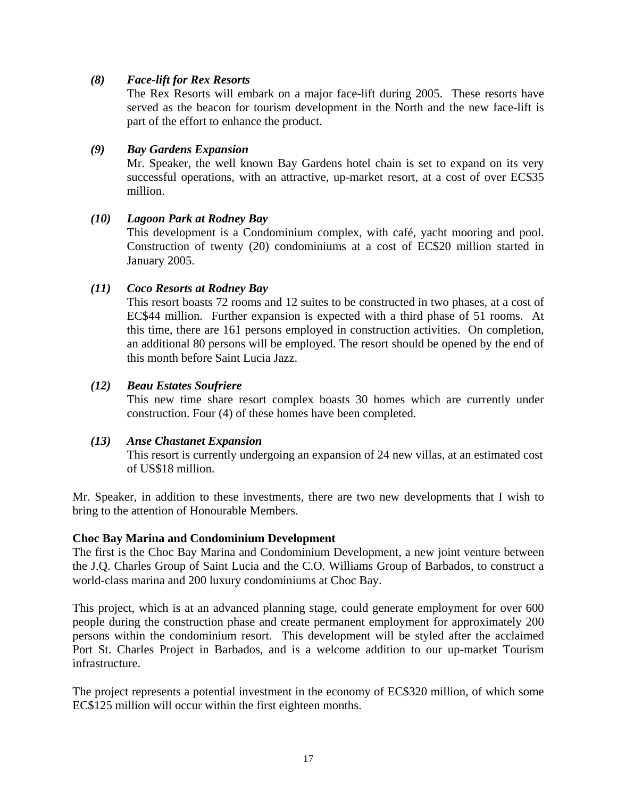#### *(8) Face-lift for Rex Resorts*

The Rex Resorts will embark on a major face-lift during 2005. These resorts have served as the beacon for tourism development in the North and the new face-lift is part of the effort to enhance the product.

#### *(9) Bay Gardens Expansion*

Mr. Speaker, the well known Bay Gardens hotel chain is set to expand on its very successful operations, with an attractive, up-market resort, at a cost of over EC\$35 million.

#### *(10) Lagoon Park at Rodney Bay*

This development is a Condominium complex, with café, yacht mooring and pool. Construction of twenty (20) condominiums at a cost of EC\$20 million started in January 2005.

#### *(11) Coco Resorts at Rodney Bay*

This resort boasts 72 rooms and 12 suites to be constructed in two phases, at a cost of EC\$44 million. Further expansion is expected with a third phase of 51 rooms. At this time, there are 161 persons employed in construction activities. On completion, an additional 80 persons will be employed. The resort should be opened by the end of this month before Saint Lucia Jazz.

#### *(12) Beau Estates Soufriere*

This new time share resort complex boasts 30 homes which are currently under construction. Four (4) of these homes have been completed.

#### *(13) Anse Chastanet Expansion*

This resort is currently undergoing an expansion of 24 new villas, at an estimated cost of US\$18 million.

Mr. Speaker, in addition to these investments, there are two new developments that I wish to bring to the attention of Honourable Members.

#### **Choc Bay Marina and Condominium Development**

The first is the Choc Bay Marina and Condominium Development, a new joint venture between the J.Q. Charles Group of Saint Lucia and the C.O. Williams Group of Barbados, to construct a world-class marina and 200 luxury condominiums at Choc Bay.

This project, which is at an advanced planning stage, could generate employment for over 600 people during the construction phase and create permanent employment for approximately 200 persons within the condominium resort. This development will be styled after the acclaimed Port St. Charles Project in Barbados, and is a welcome addition to our up-market Tourism infrastructure.

The project represents a potential investment in the economy of EC\$320 million, of which some EC\$125 million will occur within the first eighteen months.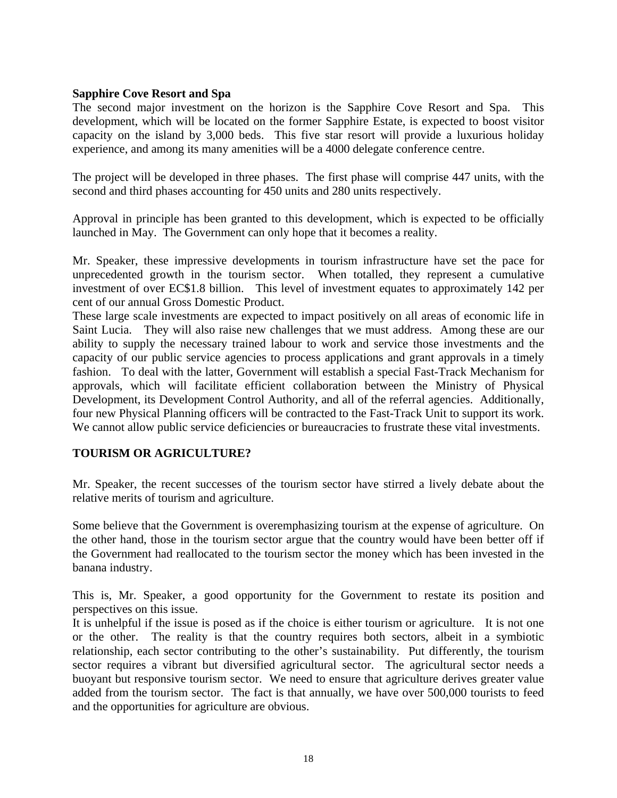#### **Sapphire Cove Resort and Spa**

The second major investment on the horizon is the Sapphire Cove Resort and Spa. This development, which will be located on the former Sapphire Estate, is expected to boost visitor capacity on the island by 3,000 beds. This five star resort will provide a luxurious holiday experience, and among its many amenities will be a 4000 delegate conference centre.

The project will be developed in three phases. The first phase will comprise 447 units, with the second and third phases accounting for 450 units and 280 units respectively.

Approval in principle has been granted to this development, which is expected to be officially launched in May. The Government can only hope that it becomes a reality.

Mr. Speaker, these impressive developments in tourism infrastructure have set the pace for unprecedented growth in the tourism sector. When totalled, they represent a cumulative investment of over EC\$1.8 billion. This level of investment equates to approximately 142 per cent of our annual Gross Domestic Product.

These large scale investments are expected to impact positively on all areas of economic life in Saint Lucia. They will also raise new challenges that we must address. Among these are our ability to supply the necessary trained labour to work and service those investments and the capacity of our public service agencies to process applications and grant approvals in a timely fashion. To deal with the latter, Government will establish a special Fast-Track Mechanism for approvals, which will facilitate efficient collaboration between the Ministry of Physical Development, its Development Control Authority, and all of the referral agencies. Additionally, four new Physical Planning officers will be contracted to the Fast-Track Unit to support its work. We cannot allow public service deficiencies or bureaucracies to frustrate these vital investments.

#### **TOURISM OR AGRICULTURE?**

Mr. Speaker, the recent successes of the tourism sector have stirred a lively debate about the relative merits of tourism and agriculture.

Some believe that the Government is overemphasizing tourism at the expense of agriculture. On the other hand, those in the tourism sector argue that the country would have been better off if the Government had reallocated to the tourism sector the money which has been invested in the banana industry.

This is, Mr. Speaker, a good opportunity for the Government to restate its position and perspectives on this issue.

It is unhelpful if the issue is posed as if the choice is either tourism or agriculture. It is not one or the other. The reality is that the country requires both sectors, albeit in a symbiotic relationship, each sector contributing to the other's sustainability. Put differently, the tourism sector requires a vibrant but diversified agricultural sector. The agricultural sector needs a buoyant but responsive tourism sector. We need to ensure that agriculture derives greater value added from the tourism sector. The fact is that annually, we have over 500,000 tourists to feed and the opportunities for agriculture are obvious.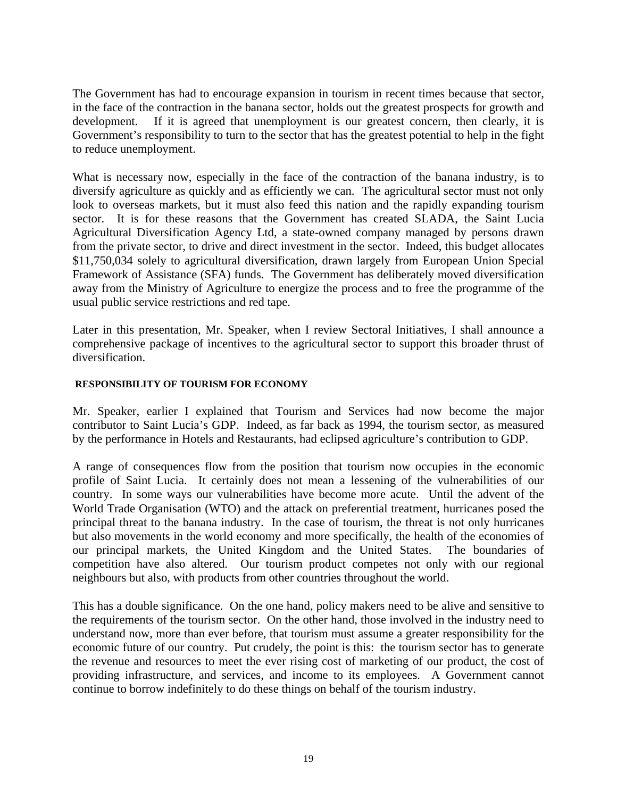The Government has had to encourage expansion in tourism in recent times because that sector, in the face of the contraction in the banana sector, holds out the greatest prospects for growth and development. If it is agreed that unemployment is our greatest concern, then clearly, it is Government's responsibility to turn to the sector that has the greatest potential to help in the fight to reduce unemployment.

What is necessary now, especially in the face of the contraction of the banana industry, is to diversify agriculture as quickly and as efficiently we can. The agricultural sector must not only look to overseas markets, but it must also feed this nation and the rapidly expanding tourism sector. It is for these reasons that the Government has created SLADA, the Saint Lucia Agricultural Diversification Agency Ltd, a state-owned company managed by persons drawn from the private sector, to drive and direct investment in the sector. Indeed, this budget allocates \$11,750,034 solely to agricultural diversification, drawn largely from European Union Special Framework of Assistance (SFA) funds. The Government has deliberately moved diversification away from the Ministry of Agriculture to energize the process and to free the programme of the usual public service restrictions and red tape.

Later in this presentation, Mr. Speaker, when I review Sectoral Initiatives, I shall announce a comprehensive package of incentives to the agricultural sector to support this broader thrust of diversification.

#### **RESPONSIBILITY OF TOURISM FOR ECONOMY**

Mr. Speaker, earlier I explained that Tourism and Services had now become the major contributor to Saint Lucia's GDP. Indeed, as far back as 1994, the tourism sector, as measured by the performance in Hotels and Restaurants, had eclipsed agriculture's contribution to GDP.

A range of consequences flow from the position that tourism now occupies in the economic profile of Saint Lucia. It certainly does not mean a lessening of the vulnerabilities of our country. In some ways our vulnerabilities have become more acute. Until the advent of the World Trade Organisation (WTO) and the attack on preferential treatment, hurricanes posed the principal threat to the banana industry. In the case of tourism, the threat is not only hurricanes but also movements in the world economy and more specifically, the health of the economies of our principal markets, the United Kingdom and the United States. The boundaries of competition have also altered. Our tourism product competes not only with our regional neighbours but also, with products from other countries throughout the world.

This has a double significance. On the one hand, policy makers need to be alive and sensitive to the requirements of the tourism sector. On the other hand, those involved in the industry need to understand now, more than ever before, that tourism must assume a greater responsibility for the economic future of our country. Put crudely, the point is this: the tourism sector has to generate the revenue and resources to meet the ever rising cost of marketing of our product, the cost of providing infrastructure, and services, and income to its employees. A Government cannot continue to borrow indefinitely to do these things on behalf of the tourism industry.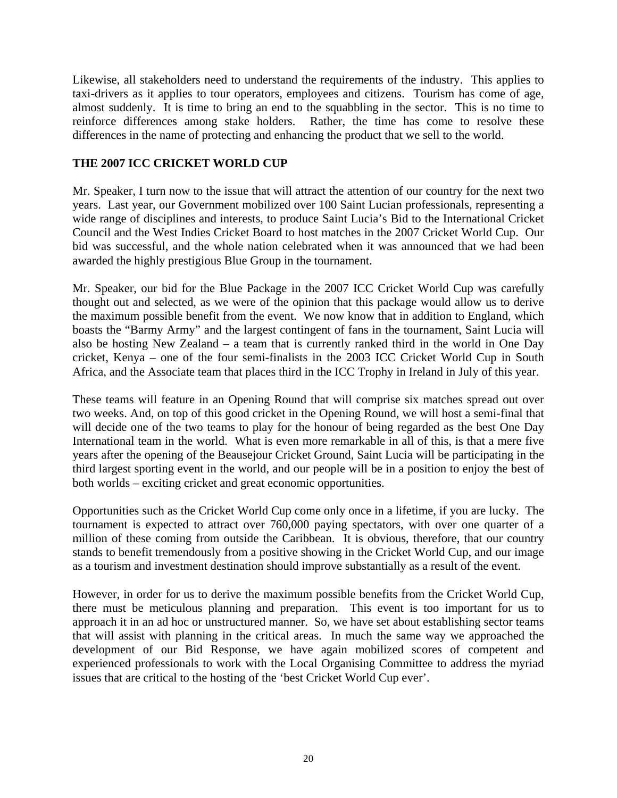Likewise, all stakeholders need to understand the requirements of the industry. This applies to taxi-drivers as it applies to tour operators, employees and citizens. Tourism has come of age, almost suddenly. It is time to bring an end to the squabbling in the sector. This is no time to reinforce differences among stake holders. Rather, the time has come to resolve these differences in the name of protecting and enhancing the product that we sell to the world.

#### **THE 2007 ICC CRICKET WORLD CUP**

Mr. Speaker, I turn now to the issue that will attract the attention of our country for the next two years. Last year, our Government mobilized over 100 Saint Lucian professionals, representing a wide range of disciplines and interests, to produce Saint Lucia's Bid to the International Cricket Council and the West Indies Cricket Board to host matches in the 2007 Cricket World Cup. Our bid was successful, and the whole nation celebrated when it was announced that we had been awarded the highly prestigious Blue Group in the tournament.

Mr. Speaker, our bid for the Blue Package in the 2007 ICC Cricket World Cup was carefully thought out and selected, as we were of the opinion that this package would allow us to derive the maximum possible benefit from the event. We now know that in addition to England, which boasts the "Barmy Army" and the largest contingent of fans in the tournament, Saint Lucia will also be hosting New Zealand – a team that is currently ranked third in the world in One Day cricket, Kenya – one of the four semi-finalists in the 2003 ICC Cricket World Cup in South Africa, and the Associate team that places third in the ICC Trophy in Ireland in July of this year.

These teams will feature in an Opening Round that will comprise six matches spread out over two weeks. And, on top of this good cricket in the Opening Round, we will host a semi-final that will decide one of the two teams to play for the honour of being regarded as the best One Day International team in the world. What is even more remarkable in all of this, is that a mere five years after the opening of the Beausejour Cricket Ground, Saint Lucia will be participating in the third largest sporting event in the world, and our people will be in a position to enjoy the best of both worlds – exciting cricket and great economic opportunities.

Opportunities such as the Cricket World Cup come only once in a lifetime, if you are lucky. The tournament is expected to attract over 760,000 paying spectators, with over one quarter of a million of these coming from outside the Caribbean. It is obvious, therefore, that our country stands to benefit tremendously from a positive showing in the Cricket World Cup, and our image as a tourism and investment destination should improve substantially as a result of the event.

However, in order for us to derive the maximum possible benefits from the Cricket World Cup, there must be meticulous planning and preparation. This event is too important for us to approach it in an ad hoc or unstructured manner. So, we have set about establishing sector teams that will assist with planning in the critical areas. In much the same way we approached the development of our Bid Response, we have again mobilized scores of competent and experienced professionals to work with the Local Organising Committee to address the myriad issues that are critical to the hosting of the 'best Cricket World Cup ever'.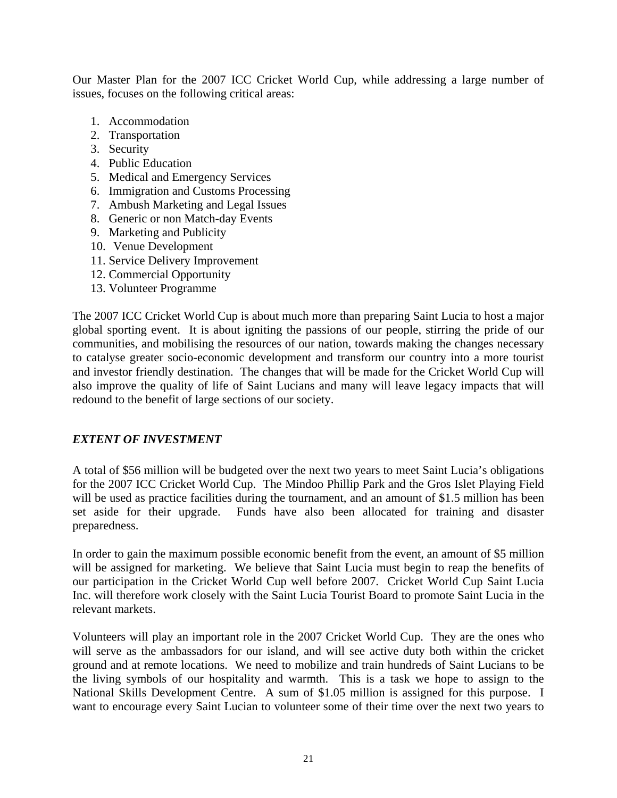Our Master Plan for the 2007 ICC Cricket World Cup, while addressing a large number of issues, focuses on the following critical areas:

- 1. Accommodation
- 2. Transportation
- 3. Security
- 4. Public Education
- 5. Medical and Emergency Services
- 6. Immigration and Customs Processing
- 7. Ambush Marketing and Legal Issues
- 8. Generic or non Match-day Events
- 9. Marketing and Publicity
- 10. Venue Development
- 11. Service Delivery Improvement
- 12. Commercial Opportunity
- 13. Volunteer Programme

The 2007 ICC Cricket World Cup is about much more than preparing Saint Lucia to host a major global sporting event. It is about igniting the passions of our people, stirring the pride of our communities, and mobilising the resources of our nation, towards making the changes necessary to catalyse greater socio-economic development and transform our country into a more tourist and investor friendly destination. The changes that will be made for the Cricket World Cup will also improve the quality of life of Saint Lucians and many will leave legacy impacts that will redound to the benefit of large sections of our society.

#### *EXTENT OF INVESTMENT*

A total of \$56 million will be budgeted over the next two years to meet Saint Lucia's obligations for the 2007 ICC Cricket World Cup. The Mindoo Phillip Park and the Gros Islet Playing Field will be used as practice facilities during the tournament, and an amount of \$1.5 million has been set aside for their upgrade. Funds have also been allocated for training and disaster preparedness.

In order to gain the maximum possible economic benefit from the event, an amount of \$5 million will be assigned for marketing. We believe that Saint Lucia must begin to reap the benefits of our participation in the Cricket World Cup well before 2007. Cricket World Cup Saint Lucia Inc. will therefore work closely with the Saint Lucia Tourist Board to promote Saint Lucia in the relevant markets.

Volunteers will play an important role in the 2007 Cricket World Cup. They are the ones who will serve as the ambassadors for our island, and will see active duty both within the cricket ground and at remote locations. We need to mobilize and train hundreds of Saint Lucians to be the living symbols of our hospitality and warmth. This is a task we hope to assign to the National Skills Development Centre. A sum of \$1.05 million is assigned for this purpose. I want to encourage every Saint Lucian to volunteer some of their time over the next two years to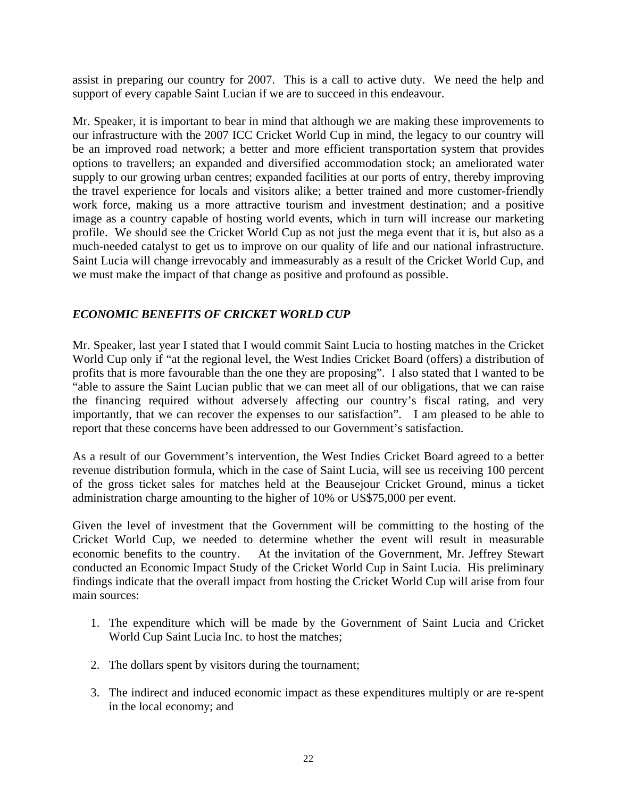assist in preparing our country for 2007. This is a call to active duty. We need the help and support of every capable Saint Lucian if we are to succeed in this endeavour.

Mr. Speaker, it is important to bear in mind that although we are making these improvements to our infrastructure with the 2007 ICC Cricket World Cup in mind, the legacy to our country will be an improved road network; a better and more efficient transportation system that provides options to travellers; an expanded and diversified accommodation stock; an ameliorated water supply to our growing urban centres; expanded facilities at our ports of entry, thereby improving the travel experience for locals and visitors alike; a better trained and more customer-friendly work force, making us a more attractive tourism and investment destination; and a positive image as a country capable of hosting world events, which in turn will increase our marketing profile. We should see the Cricket World Cup as not just the mega event that it is, but also as a much-needed catalyst to get us to improve on our quality of life and our national infrastructure. Saint Lucia will change irrevocably and immeasurably as a result of the Cricket World Cup, and we must make the impact of that change as positive and profound as possible.

## *ECONOMIC BENEFITS OF CRICKET WORLD CUP*

Mr. Speaker, last year I stated that I would commit Saint Lucia to hosting matches in the Cricket World Cup only if "at the regional level, the West Indies Cricket Board (offers) a distribution of profits that is more favourable than the one they are proposing". I also stated that I wanted to be "able to assure the Saint Lucian public that we can meet all of our obligations, that we can raise the financing required without adversely affecting our country's fiscal rating, and very importantly, that we can recover the expenses to our satisfaction". I am pleased to be able to report that these concerns have been addressed to our Government's satisfaction.

As a result of our Government's intervention, the West Indies Cricket Board agreed to a better revenue distribution formula, which in the case of Saint Lucia, will see us receiving 100 percent of the gross ticket sales for matches held at the Beausejour Cricket Ground, minus a ticket administration charge amounting to the higher of 10% or US\$75,000 per event.

Given the level of investment that the Government will be committing to the hosting of the Cricket World Cup, we needed to determine whether the event will result in measurable economic benefits to the country. At the invitation of the Government, Mr. Jeffrey Stewart conducted an Economic Impact Study of the Cricket World Cup in Saint Lucia. His preliminary findings indicate that the overall impact from hosting the Cricket World Cup will arise from four main sources:

- 1. The expenditure which will be made by the Government of Saint Lucia and Cricket World Cup Saint Lucia Inc. to host the matches;
- 2. The dollars spent by visitors during the tournament;
- 3. The indirect and induced economic impact as these expenditures multiply or are re-spent in the local economy; and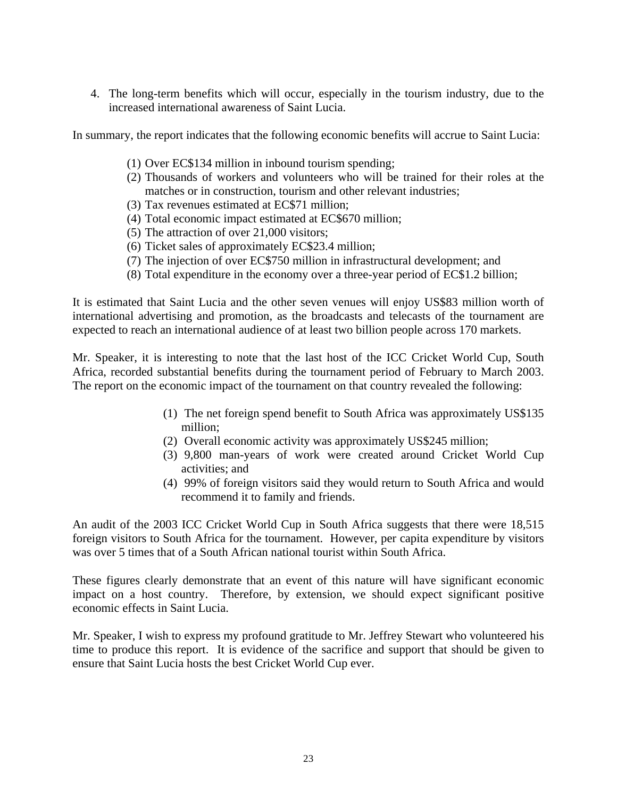4. The long-term benefits which will occur, especially in the tourism industry, due to the increased international awareness of Saint Lucia.

In summary, the report indicates that the following economic benefits will accrue to Saint Lucia:

- (1) Over EC\$134 million in inbound tourism spending;
- (2) Thousands of workers and volunteers who will be trained for their roles at the matches or in construction, tourism and other relevant industries;
- (3) Tax revenues estimated at EC\$71 million;
- (4) Total economic impact estimated at EC\$670 million;
- (5) The attraction of over 21,000 visitors;
- (6) Ticket sales of approximately EC\$23.4 million;
- (7) The injection of over EC\$750 million in infrastructural development; and
- (8) Total expenditure in the economy over a three-year period of EC\$1.2 billion;

It is estimated that Saint Lucia and the other seven venues will enjoy US\$83 million worth of international advertising and promotion, as the broadcasts and telecasts of the tournament are expected to reach an international audience of at least two billion people across 170 markets.

Mr. Speaker, it is interesting to note that the last host of the ICC Cricket World Cup, South Africa, recorded substantial benefits during the tournament period of February to March 2003. The report on the economic impact of the tournament on that country revealed the following:

- (1) The net foreign spend benefit to South Africa was approximately US\$135 million;
- (2) Overall economic activity was approximately US\$245 million;
- (3) 9,800 man-years of work were created around Cricket World Cup activities; and
- (4) 99% of foreign visitors said they would return to South Africa and would recommend it to family and friends.

An audit of the 2003 ICC Cricket World Cup in South Africa suggests that there were 18,515 foreign visitors to South Africa for the tournament. However, per capita expenditure by visitors was over 5 times that of a South African national tourist within South Africa.

These figures clearly demonstrate that an event of this nature will have significant economic impact on a host country. Therefore, by extension, we should expect significant positive economic effects in Saint Lucia.

Mr. Speaker, I wish to express my profound gratitude to Mr. Jeffrey Stewart who volunteered his time to produce this report. It is evidence of the sacrifice and support that should be given to ensure that Saint Lucia hosts the best Cricket World Cup ever.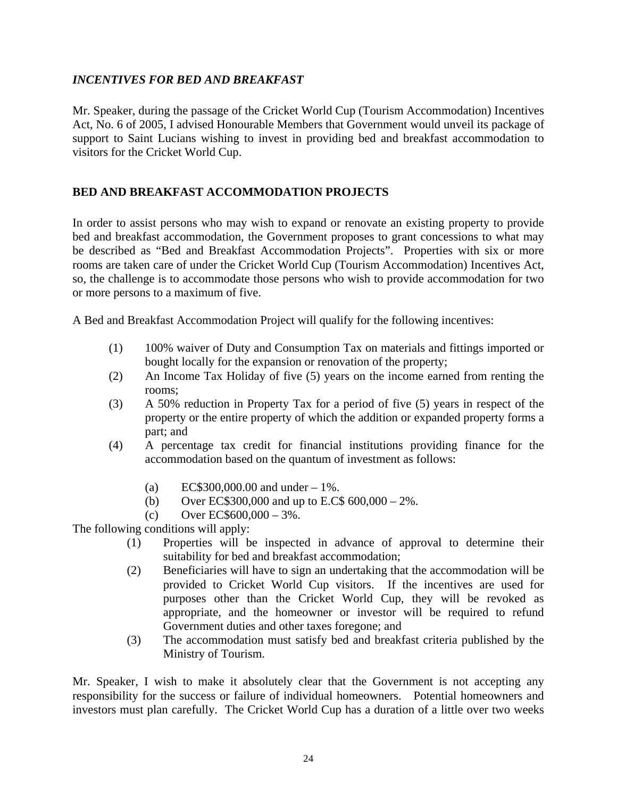## *INCENTIVES FOR BED AND BREAKFAST*

Mr. Speaker, during the passage of the Cricket World Cup (Tourism Accommodation) Incentives Act, No. 6 of 2005, I advised Honourable Members that Government would unveil its package of support to Saint Lucians wishing to invest in providing bed and breakfast accommodation to visitors for the Cricket World Cup.

#### **BED AND BREAKFAST ACCOMMODATION PROJECTS**

In order to assist persons who may wish to expand or renovate an existing property to provide bed and breakfast accommodation, the Government proposes to grant concessions to what may be described as "Bed and Breakfast Accommodation Projects". Properties with six or more rooms are taken care of under the Cricket World Cup (Tourism Accommodation) Incentives Act, so, the challenge is to accommodate those persons who wish to provide accommodation for two or more persons to a maximum of five.

A Bed and Breakfast Accommodation Project will qualify for the following incentives:

- (1) 100% waiver of Duty and Consumption Tax on materials and fittings imported or bought locally for the expansion or renovation of the property;
- (2) An Income Tax Holiday of five (5) years on the income earned from renting the rooms;
- (3) A 50% reduction in Property Tax for a period of five (5) years in respect of the property or the entire property of which the addition or expanded property forms a part; and
- (4) A percentage tax credit for financial institutions providing finance for the accommodation based on the quantum of investment as follows:
	- (a) EC\$300,000.00 and under  $-1\%$ .
	- (b) Over EC\$300,000 and up to E.C\$  $600,000 2\%$ .
	- (c) Over EC\$600,000 3%.

The following conditions will apply:

- (1) Properties will be inspected in advance of approval to determine their suitability for bed and breakfast accommodation;
- (2) Beneficiaries will have to sign an undertaking that the accommodation will be provided to Cricket World Cup visitors. If the incentives are used for purposes other than the Cricket World Cup, they will be revoked as appropriate, and the homeowner or investor will be required to refund Government duties and other taxes foregone; and
- (3) The accommodation must satisfy bed and breakfast criteria published by the Ministry of Tourism.

Mr. Speaker, I wish to make it absolutely clear that the Government is not accepting any responsibility for the success or failure of individual homeowners. Potential homeowners and investors must plan carefully. The Cricket World Cup has a duration of a little over two weeks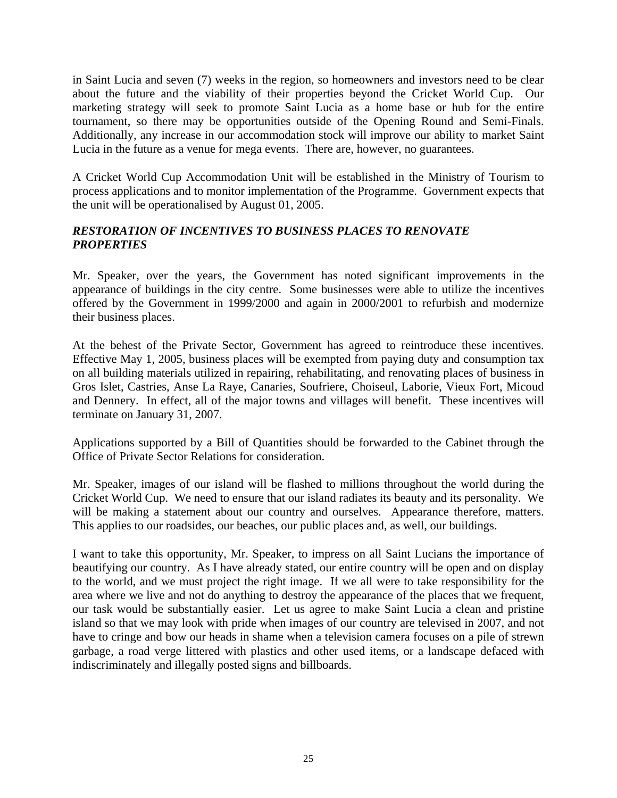in Saint Lucia and seven (7) weeks in the region, so homeowners and investors need to be clear about the future and the viability of their properties beyond the Cricket World Cup. Our marketing strategy will seek to promote Saint Lucia as a home base or hub for the entire tournament, so there may be opportunities outside of the Opening Round and Semi-Finals. Additionally, any increase in our accommodation stock will improve our ability to market Saint Lucia in the future as a venue for mega events. There are, however, no guarantees.

A Cricket World Cup Accommodation Unit will be established in the Ministry of Tourism to process applications and to monitor implementation of the Programme. Government expects that the unit will be operationalised by August 01, 2005.

## *RESTORATION OF INCENTIVES TO BUSINESS PLACES TO RENOVATE PROPERTIES*

Mr. Speaker, over the years, the Government has noted significant improvements in the appearance of buildings in the city centre. Some businesses were able to utilize the incentives offered by the Government in 1999/2000 and again in 2000/2001 to refurbish and modernize their business places.

At the behest of the Private Sector, Government has agreed to reintroduce these incentives. Effective May 1, 2005, business places will be exempted from paying duty and consumption tax on all building materials utilized in repairing, rehabilitating, and renovating places of business in Gros Islet, Castries, Anse La Raye, Canaries, Soufriere, Choiseul, Laborie, Vieux Fort, Micoud and Dennery. In effect, all of the major towns and villages will benefit. These incentives will terminate on January 31, 2007.

Applications supported by a Bill of Quantities should be forwarded to the Cabinet through the Office of Private Sector Relations for consideration.

Mr. Speaker, images of our island will be flashed to millions throughout the world during the Cricket World Cup. We need to ensure that our island radiates its beauty and its personality. We will be making a statement about our country and ourselves. Appearance therefore, matters. This applies to our roadsides, our beaches, our public places and, as well, our buildings.

I want to take this opportunity, Mr. Speaker, to impress on all Saint Lucians the importance of beautifying our country. As I have already stated, our entire country will be open and on display to the world, and we must project the right image. If we all were to take responsibility for the area where we live and not do anything to destroy the appearance of the places that we frequent, our task would be substantially easier. Let us agree to make Saint Lucia a clean and pristine island so that we may look with pride when images of our country are televised in 2007, and not have to cringe and bow our heads in shame when a television camera focuses on a pile of strewn garbage, a road verge littered with plastics and other used items, or a landscape defaced with indiscriminately and illegally posted signs and billboards.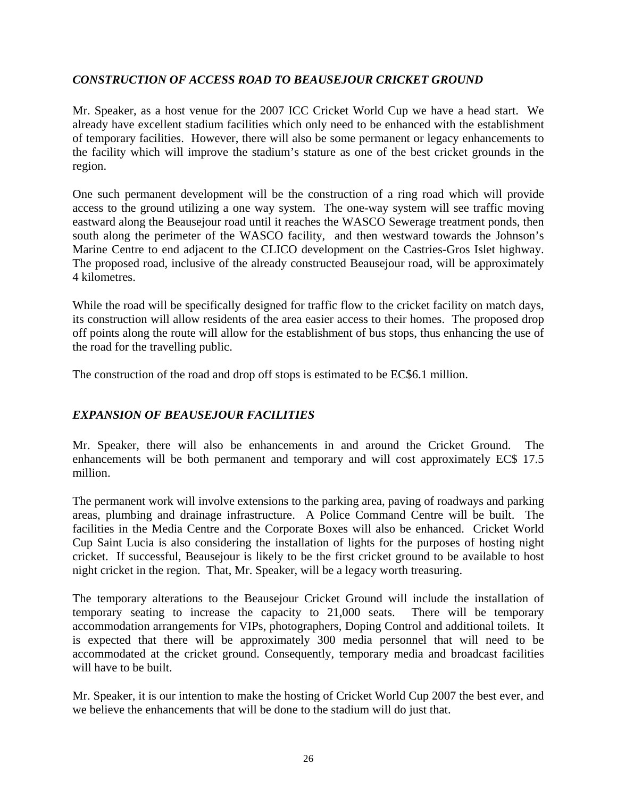## *CONSTRUCTION OF ACCESS ROAD TO BEAUSEJOUR CRICKET GROUND*

Mr. Speaker, as a host venue for the 2007 ICC Cricket World Cup we have a head start. We already have excellent stadium facilities which only need to be enhanced with the establishment of temporary facilities. However, there will also be some permanent or legacy enhancements to the facility which will improve the stadium's stature as one of the best cricket grounds in the region.

One such permanent development will be the construction of a ring road which will provide access to the ground utilizing a one way system. The one-way system will see traffic moving eastward along the Beausejour road until it reaches the WASCO Sewerage treatment ponds, then south along the perimeter of the WASCO facility, and then westward towards the Johnson's Marine Centre to end adjacent to the CLICO development on the Castries-Gros Islet highway. The proposed road, inclusive of the already constructed Beausejour road, will be approximately 4 kilometres.

While the road will be specifically designed for traffic flow to the cricket facility on match days, its construction will allow residents of the area easier access to their homes. The proposed drop off points along the route will allow for the establishment of bus stops, thus enhancing the use of the road for the travelling public.

The construction of the road and drop off stops is estimated to be EC\$6.1 million.

## *EXPANSION OF BEAUSEJOUR FACILITIES*

Mr. Speaker, there will also be enhancements in and around the Cricket Ground. The enhancements will be both permanent and temporary and will cost approximately EC\$ 17.5 million.

The permanent work will involve extensions to the parking area, paving of roadways and parking areas, plumbing and drainage infrastructure. A Police Command Centre will be built. The facilities in the Media Centre and the Corporate Boxes will also be enhanced. Cricket World Cup Saint Lucia is also considering the installation of lights for the purposes of hosting night cricket. If successful, Beausejour is likely to be the first cricket ground to be available to host night cricket in the region. That, Mr. Speaker, will be a legacy worth treasuring.

The temporary alterations to the Beausejour Cricket Ground will include the installation of temporary seating to increase the capacity to 21,000 seats. There will be temporary accommodation arrangements for VIPs, photographers, Doping Control and additional toilets. It is expected that there will be approximately 300 media personnel that will need to be accommodated at the cricket ground. Consequently, temporary media and broadcast facilities will have to be built.

Mr. Speaker, it is our intention to make the hosting of Cricket World Cup 2007 the best ever, and we believe the enhancements that will be done to the stadium will do just that.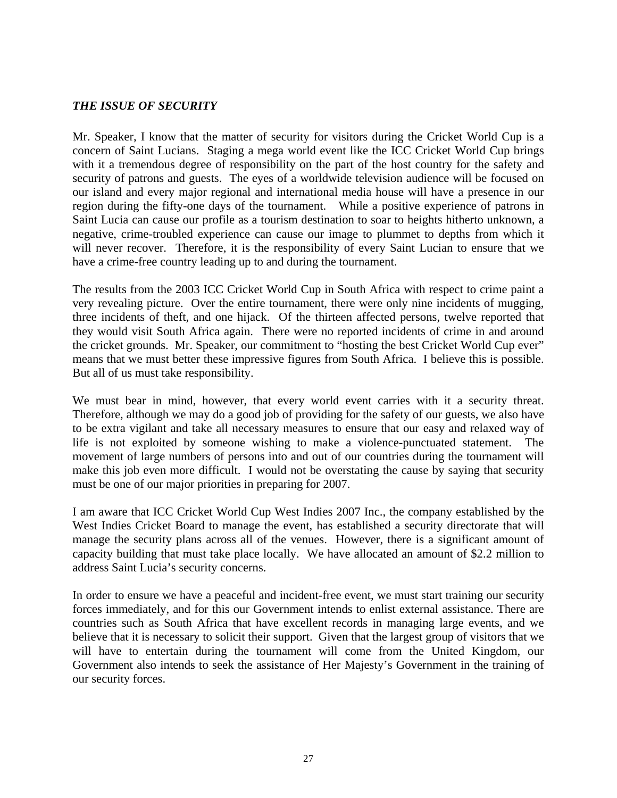#### *THE ISSUE OF SECURITY*

Mr. Speaker, I know that the matter of security for visitors during the Cricket World Cup is a concern of Saint Lucians. Staging a mega world event like the ICC Cricket World Cup brings with it a tremendous degree of responsibility on the part of the host country for the safety and security of patrons and guests. The eyes of a worldwide television audience will be focused on our island and every major regional and international media house will have a presence in our region during the fifty-one days of the tournament. While a positive experience of patrons in Saint Lucia can cause our profile as a tourism destination to soar to heights hitherto unknown, a negative, crime-troubled experience can cause our image to plummet to depths from which it will never recover. Therefore, it is the responsibility of every Saint Lucian to ensure that we have a crime-free country leading up to and during the tournament.

The results from the 2003 ICC Cricket World Cup in South Africa with respect to crime paint a very revealing picture. Over the entire tournament, there were only nine incidents of mugging, three incidents of theft, and one hijack. Of the thirteen affected persons, twelve reported that they would visit South Africa again. There were no reported incidents of crime in and around the cricket grounds. Mr. Speaker, our commitment to "hosting the best Cricket World Cup ever" means that we must better these impressive figures from South Africa. I believe this is possible. But all of us must take responsibility.

We must bear in mind, however, that every world event carries with it a security threat. Therefore, although we may do a good job of providing for the safety of our guests, we also have to be extra vigilant and take all necessary measures to ensure that our easy and relaxed way of life is not exploited by someone wishing to make a violence-punctuated statement. The movement of large numbers of persons into and out of our countries during the tournament will make this job even more difficult. I would not be overstating the cause by saying that security must be one of our major priorities in preparing for 2007.

I am aware that ICC Cricket World Cup West Indies 2007 Inc., the company established by the West Indies Cricket Board to manage the event, has established a security directorate that will manage the security plans across all of the venues. However, there is a significant amount of capacity building that must take place locally. We have allocated an amount of \$2.2 million to address Saint Lucia's security concerns.

In order to ensure we have a peaceful and incident-free event, we must start training our security forces immediately, and for this our Government intends to enlist external assistance. There are countries such as South Africa that have excellent records in managing large events, and we believe that it is necessary to solicit their support. Given that the largest group of visitors that we will have to entertain during the tournament will come from the United Kingdom, our Government also intends to seek the assistance of Her Majesty's Government in the training of our security forces.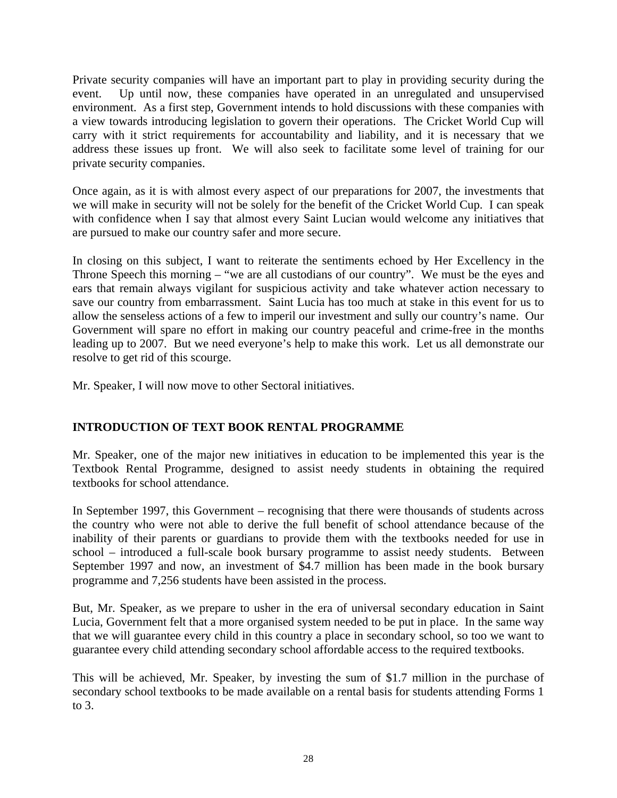Private security companies will have an important part to play in providing security during the event. Up until now, these companies have operated in an unregulated and unsupervised environment. As a first step, Government intends to hold discussions with these companies with a view towards introducing legislation to govern their operations. The Cricket World Cup will carry with it strict requirements for accountability and liability, and it is necessary that we address these issues up front. We will also seek to facilitate some level of training for our private security companies.

Once again, as it is with almost every aspect of our preparations for 2007, the investments that we will make in security will not be solely for the benefit of the Cricket World Cup. I can speak with confidence when I say that almost every Saint Lucian would welcome any initiatives that are pursued to make our country safer and more secure.

In closing on this subject, I want to reiterate the sentiments echoed by Her Excellency in the Throne Speech this morning – "we are all custodians of our country". We must be the eyes and ears that remain always vigilant for suspicious activity and take whatever action necessary to save our country from embarrassment. Saint Lucia has too much at stake in this event for us to allow the senseless actions of a few to imperil our investment and sully our country's name. Our Government will spare no effort in making our country peaceful and crime-free in the months leading up to 2007. But we need everyone's help to make this work. Let us all demonstrate our resolve to get rid of this scourge.

Mr. Speaker, I will now move to other Sectoral initiatives.

## **INTRODUCTION OF TEXT BOOK RENTAL PROGRAMME**

Mr. Speaker, one of the major new initiatives in education to be implemented this year is the Textbook Rental Programme, designed to assist needy students in obtaining the required textbooks for school attendance.

In September 1997, this Government – recognising that there were thousands of students across the country who were not able to derive the full benefit of school attendance because of the inability of their parents or guardians to provide them with the textbooks needed for use in school – introduced a full-scale book bursary programme to assist needy students. Between September 1997 and now, an investment of \$4.7 million has been made in the book bursary programme and 7,256 students have been assisted in the process.

But, Mr. Speaker, as we prepare to usher in the era of universal secondary education in Saint Lucia, Government felt that a more organised system needed to be put in place. In the same way that we will guarantee every child in this country a place in secondary school, so too we want to guarantee every child attending secondary school affordable access to the required textbooks.

This will be achieved, Mr. Speaker, by investing the sum of \$1.7 million in the purchase of secondary school textbooks to be made available on a rental basis for students attending Forms 1 to 3.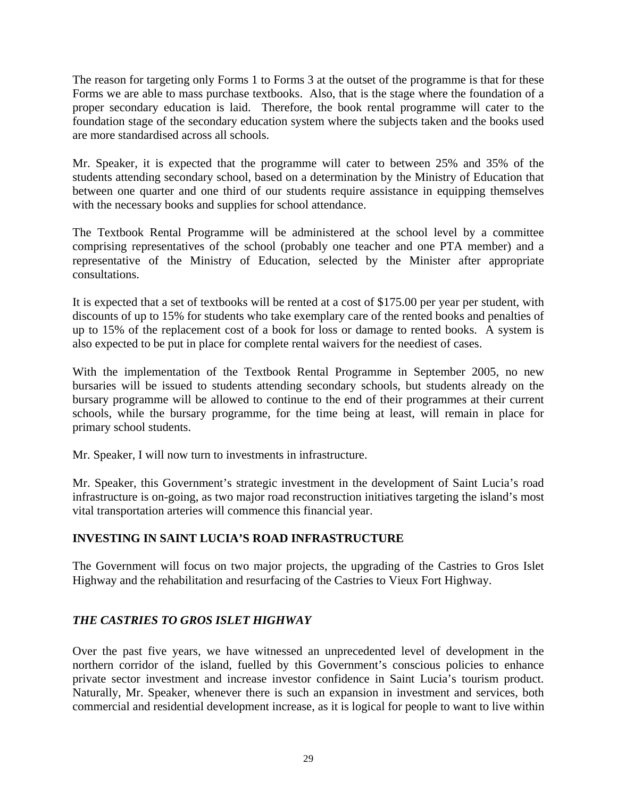The reason for targeting only Forms 1 to Forms 3 at the outset of the programme is that for these Forms we are able to mass purchase textbooks. Also, that is the stage where the foundation of a proper secondary education is laid. Therefore, the book rental programme will cater to the foundation stage of the secondary education system where the subjects taken and the books used are more standardised across all schools.

Mr. Speaker, it is expected that the programme will cater to between 25% and 35% of the students attending secondary school, based on a determination by the Ministry of Education that between one quarter and one third of our students require assistance in equipping themselves with the necessary books and supplies for school attendance.

The Textbook Rental Programme will be administered at the school level by a committee comprising representatives of the school (probably one teacher and one PTA member) and a representative of the Ministry of Education, selected by the Minister after appropriate consultations.

It is expected that a set of textbooks will be rented at a cost of \$175.00 per year per student, with discounts of up to 15% for students who take exemplary care of the rented books and penalties of up to 15% of the replacement cost of a book for loss or damage to rented books. A system is also expected to be put in place for complete rental waivers for the neediest of cases.

With the implementation of the Textbook Rental Programme in September 2005, no new bursaries will be issued to students attending secondary schools, but students already on the bursary programme will be allowed to continue to the end of their programmes at their current schools, while the bursary programme, for the time being at least, will remain in place for primary school students.

Mr. Speaker, I will now turn to investments in infrastructure.

Mr. Speaker, this Government's strategic investment in the development of Saint Lucia's road infrastructure is on-going, as two major road reconstruction initiatives targeting the island's most vital transportation arteries will commence this financial year.

## **INVESTING IN SAINT LUCIA'S ROAD INFRASTRUCTURE**

The Government will focus on two major projects, the upgrading of the Castries to Gros Islet Highway and the rehabilitation and resurfacing of the Castries to Vieux Fort Highway.

## *THE CASTRIES TO GROS ISLET HIGHWAY*

Over the past five years, we have witnessed an unprecedented level of development in the northern corridor of the island, fuelled by this Government's conscious policies to enhance private sector investment and increase investor confidence in Saint Lucia's tourism product. Naturally, Mr. Speaker, whenever there is such an expansion in investment and services, both commercial and residential development increase, as it is logical for people to want to live within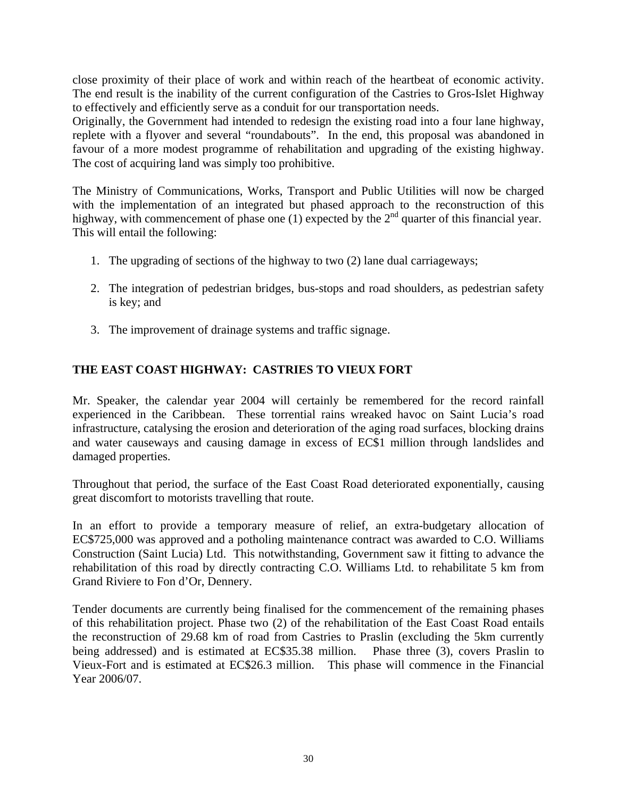close proximity of their place of work and within reach of the heartbeat of economic activity. The end result is the inability of the current configuration of the Castries to Gros-Islet Highway to effectively and efficiently serve as a conduit for our transportation needs.

Originally, the Government had intended to redesign the existing road into a four lane highway, replete with a flyover and several "roundabouts". In the end, this proposal was abandoned in favour of a more modest programme of rehabilitation and upgrading of the existing highway. The cost of acquiring land was simply too prohibitive.

The Ministry of Communications, Works, Transport and Public Utilities will now be charged with the implementation of an integrated but phased approach to the reconstruction of this highway, with commencement of phase one (1) expected by the  $2<sup>nd</sup>$  quarter of this financial year. This will entail the following:

- 1. The upgrading of sections of the highway to two (2) lane dual carriageways;
- 2. The integration of pedestrian bridges, bus-stops and road shoulders, as pedestrian safety is key; and
- 3. The improvement of drainage systems and traffic signage.

## **THE EAST COAST HIGHWAY: CASTRIES TO VIEUX FORT**

Mr. Speaker, the calendar year 2004 will certainly be remembered for the record rainfall experienced in the Caribbean. These torrential rains wreaked havoc on Saint Lucia's road infrastructure, catalysing the erosion and deterioration of the aging road surfaces, blocking drains and water causeways and causing damage in excess of EC\$1 million through landslides and damaged properties.

Throughout that period, the surface of the East Coast Road deteriorated exponentially, causing great discomfort to motorists travelling that route.

In an effort to provide a temporary measure of relief, an extra-budgetary allocation of EC\$725,000 was approved and a potholing maintenance contract was awarded to C.O. Williams Construction (Saint Lucia) Ltd. This notwithstanding, Government saw it fitting to advance the rehabilitation of this road by directly contracting C.O. Williams Ltd. to rehabilitate 5 km from Grand Riviere to Fon d'Or, Dennery.

Tender documents are currently being finalised for the commencement of the remaining phases of this rehabilitation project. Phase two (2) of the rehabilitation of the East Coast Road entails the reconstruction of 29.68 km of road from Castries to Praslin (excluding the 5km currently being addressed) and is estimated at EC\$35.38 million. Phase three (3), covers Praslin to Vieux-Fort and is estimated at EC\$26.3 million. This phase will commence in the Financial Year 2006/07.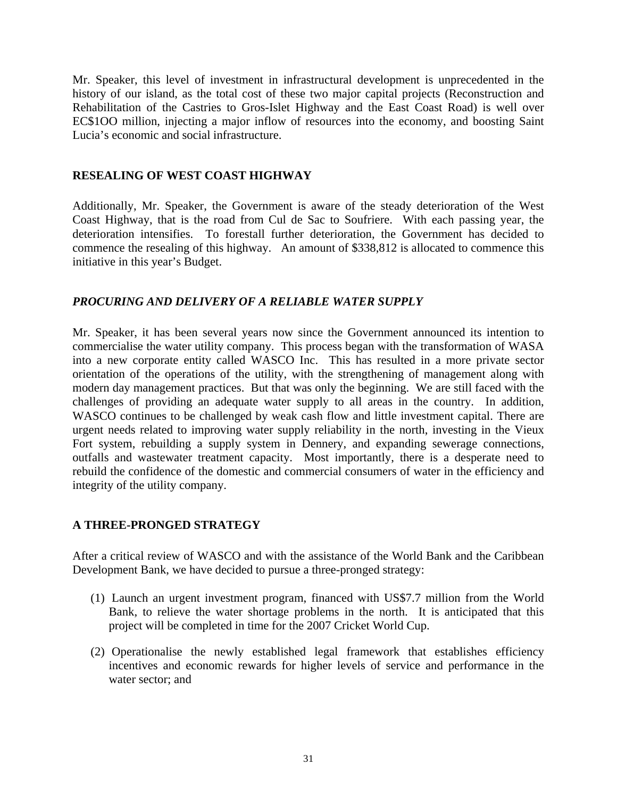Mr. Speaker, this level of investment in infrastructural development is unprecedented in the history of our island, as the total cost of these two major capital projects (Reconstruction and Rehabilitation of the Castries to Gros-Islet Highway and the East Coast Road) is well over EC\$1OO million, injecting a major inflow of resources into the economy, and boosting Saint Lucia's economic and social infrastructure.

#### **RESEALING OF WEST COAST HIGHWAY**

Additionally, Mr. Speaker, the Government is aware of the steady deterioration of the West Coast Highway, that is the road from Cul de Sac to Soufriere. With each passing year, the deterioration intensifies. To forestall further deterioration, the Government has decided to commence the resealing of this highway. An amount of \$338,812 is allocated to commence this initiative in this year's Budget.

#### *PROCURING AND DELIVERY OF A RELIABLE WATER SUPPLY*

Mr. Speaker, it has been several years now since the Government announced its intention to commercialise the water utility company. This process began with the transformation of WASA into a new corporate entity called WASCO Inc. This has resulted in a more private sector orientation of the operations of the utility, with the strengthening of management along with modern day management practices. But that was only the beginning. We are still faced with the challenges of providing an adequate water supply to all areas in the country. In addition, WASCO continues to be challenged by weak cash flow and little investment capital. There are urgent needs related to improving water supply reliability in the north, investing in the Vieux Fort system, rebuilding a supply system in Dennery, and expanding sewerage connections, outfalls and wastewater treatment capacity. Most importantly, there is a desperate need to rebuild the confidence of the domestic and commercial consumers of water in the efficiency and integrity of the utility company.

#### **A THREE-PRONGED STRATEGY**

After a critical review of WASCO and with the assistance of the World Bank and the Caribbean Development Bank, we have decided to pursue a three-pronged strategy:

- (1) Launch an urgent investment program, financed with US\$7.7 million from the World Bank, to relieve the water shortage problems in the north. It is anticipated that this project will be completed in time for the 2007 Cricket World Cup.
- (2) Operationalise the newly established legal framework that establishes efficiency incentives and economic rewards for higher levels of service and performance in the water sector; and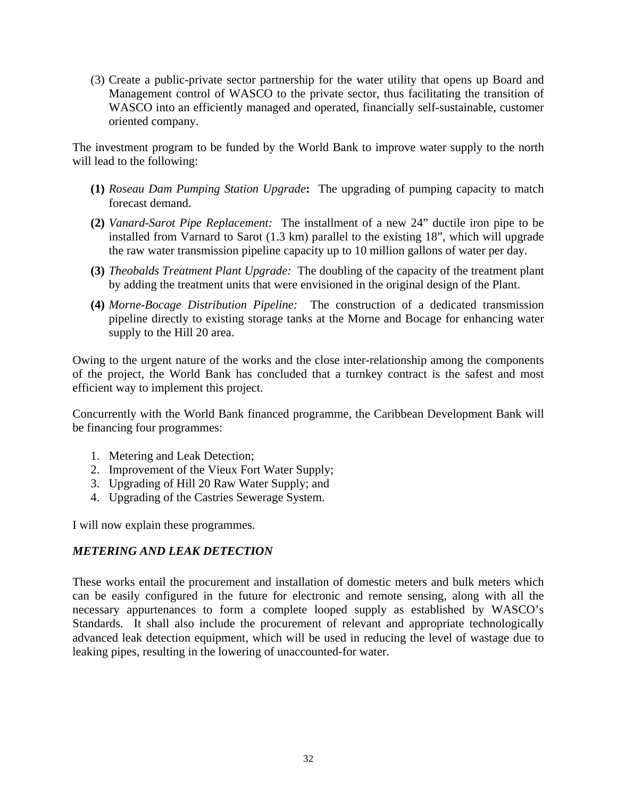(3) Create a public-private sector partnership for the water utility that opens up Board and Management control of WASCO to the private sector, thus facilitating the transition of WASCO into an efficiently managed and operated, financially self-sustainable, customer oriented company.

The investment program to be funded by the World Bank to improve water supply to the north will lead to the following:

- **(1)** *Roseau Dam Pumping Station Upgrade***:** The upgrading of pumping capacity to match forecast demand.
- **(2)** *Vanard-Sarot Pipe Replacement:*The installment of a new 24" ductile iron pipe to be installed from Varnard to Sarot (1.3 km) parallel to the existing 18", which will upgrade the raw water transmission pipeline capacity up to 10 million gallons of water per day.
- **(3)** *Theobalds Treatment Plant Upgrade:*The doubling of the capacity of the treatment plant by adding the treatment units that were envisioned in the original design of the Plant.
- **(4)** *Morne-Bocage Distribution Pipeline:* The construction of a dedicated transmission pipeline directly to existing storage tanks at the Morne and Bocage for enhancing water supply to the Hill 20 area.

Owing to the urgent nature of the works and the close inter-relationship among the components of the project, the World Bank has concluded that a turnkey contract is the safest and most efficient way to implement this project.

Concurrently with the World Bank financed programme, the Caribbean Development Bank will be financing four programmes:

- 1. Metering and Leak Detection;
- 2. Improvement of the Vieux Fort Water Supply;
- 3. Upgrading of Hill 20 Raw Water Supply; and
- 4. Upgrading of the Castries Sewerage System.

I will now explain these programmes.

## *METERING AND LEAK DETECTION*

These works entail the procurement and installation of domestic meters and bulk meters which can be easily configured in the future for electronic and remote sensing, along with all the necessary appurtenances to form a complete looped supply as established by WASCO's Standards. It shall also include the procurement of relevant and appropriate technologically advanced leak detection equipment, which will be used in reducing the level of wastage due to leaking pipes, resulting in the lowering of unaccounted-for water.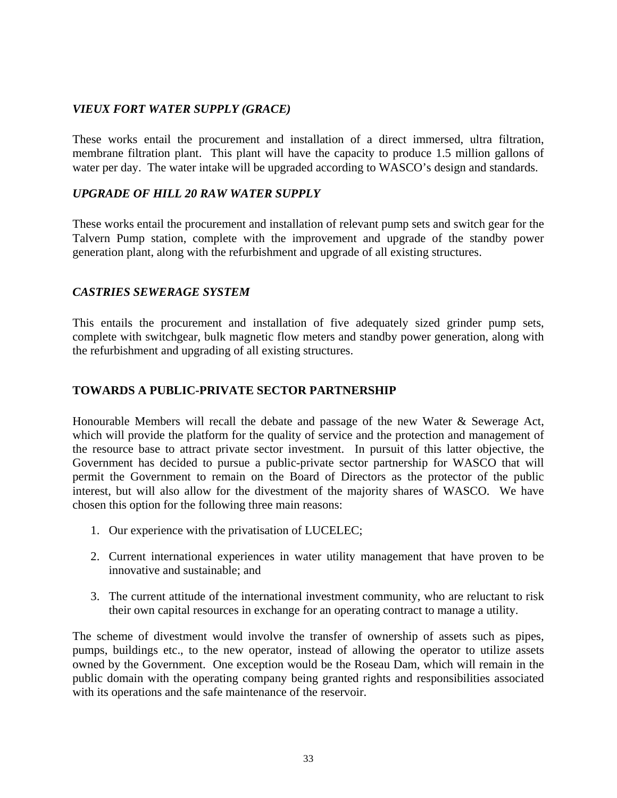## *VIEUX FORT WATER SUPPLY (GRACE)*

These works entail the procurement and installation of a direct immersed, ultra filtration, membrane filtration plant. This plant will have the capacity to produce 1.5 million gallons of water per day. The water intake will be upgraded according to WASCO's design and standards.

#### *UPGRADE OF HILL 20 RAW WATER SUPPLY*

These works entail the procurement and installation of relevant pump sets and switch gear for the Talvern Pump station, complete with the improvement and upgrade of the standby power generation plant, along with the refurbishment and upgrade of all existing structures.

#### *CASTRIES SEWERAGE SYSTEM*

This entails the procurement and installation of five adequately sized grinder pump sets, complete with switchgear, bulk magnetic flow meters and standby power generation, along with the refurbishment and upgrading of all existing structures.

#### **TOWARDS A PUBLIC-PRIVATE SECTOR PARTNERSHIP**

Honourable Members will recall the debate and passage of the new Water & Sewerage Act, which will provide the platform for the quality of service and the protection and management of the resource base to attract private sector investment. In pursuit of this latter objective, the Government has decided to pursue a public-private sector partnership for WASCO that will permit the Government to remain on the Board of Directors as the protector of the public interest, but will also allow for the divestment of the majority shares of WASCO. We have chosen this option for the following three main reasons:

- 1. Our experience with the privatisation of LUCELEC;
- 2. Current international experiences in water utility management that have proven to be innovative and sustainable; and
- 3. The current attitude of the international investment community, who are reluctant to risk their own capital resources in exchange for an operating contract to manage a utility.

The scheme of divestment would involve the transfer of ownership of assets such as pipes, pumps, buildings etc., to the new operator, instead of allowing the operator to utilize assets owned by the Government. One exception would be the Roseau Dam, which will remain in the public domain with the operating company being granted rights and responsibilities associated with its operations and the safe maintenance of the reservoir.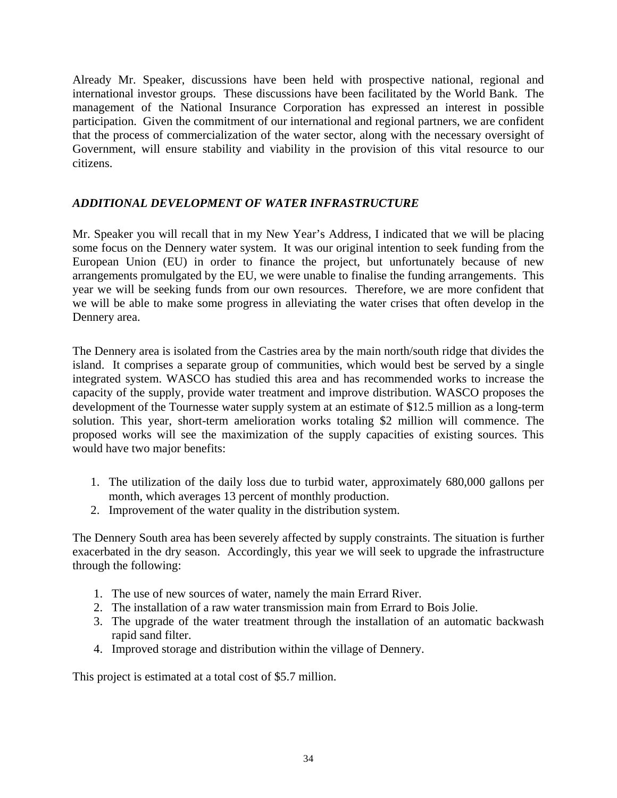Already Mr. Speaker, discussions have been held with prospective national, regional and international investor groups. These discussions have been facilitated by the World Bank. The management of the National Insurance Corporation has expressed an interest in possible participation. Given the commitment of our international and regional partners, we are confident that the process of commercialization of the water sector, along with the necessary oversight of Government, will ensure stability and viability in the provision of this vital resource to our citizens.

## *ADDITIONAL DEVELOPMENT OF WATER INFRASTRUCTURE*

Mr. Speaker you will recall that in my New Year's Address, I indicated that we will be placing some focus on the Dennery water system. It was our original intention to seek funding from the European Union (EU) in order to finance the project, but unfortunately because of new arrangements promulgated by the EU, we were unable to finalise the funding arrangements. This year we will be seeking funds from our own resources. Therefore, we are more confident that we will be able to make some progress in alleviating the water crises that often develop in the Dennery area.

The Dennery area is isolated from the Castries area by the main north/south ridge that divides the island. It comprises a separate group of communities, which would best be served by a single integrated system. WASCO has studied this area and has recommended works to increase the capacity of the supply, provide water treatment and improve distribution. WASCO proposes the development of the Tournesse water supply system at an estimate of \$12.5 million as a long-term solution. This year, short-term amelioration works totaling \$2 million will commence. The proposed works will see the maximization of the supply capacities of existing sources. This would have two major benefits:

- 1. The utilization of the daily loss due to turbid water, approximately 680,000 gallons per month, which averages 13 percent of monthly production.
- 2. Improvement of the water quality in the distribution system.

The Dennery South area has been severely affected by supply constraints. The situation is further exacerbated in the dry season. Accordingly, this year we will seek to upgrade the infrastructure through the following:

- 1. The use of new sources of water, namely the main Errard River.
- 2. The installation of a raw water transmission main from Errard to Bois Jolie.
- 3. The upgrade of the water treatment through the installation of an automatic backwash rapid sand filter.
- 4. Improved storage and distribution within the village of Dennery.

This project is estimated at a total cost of \$5.7 million.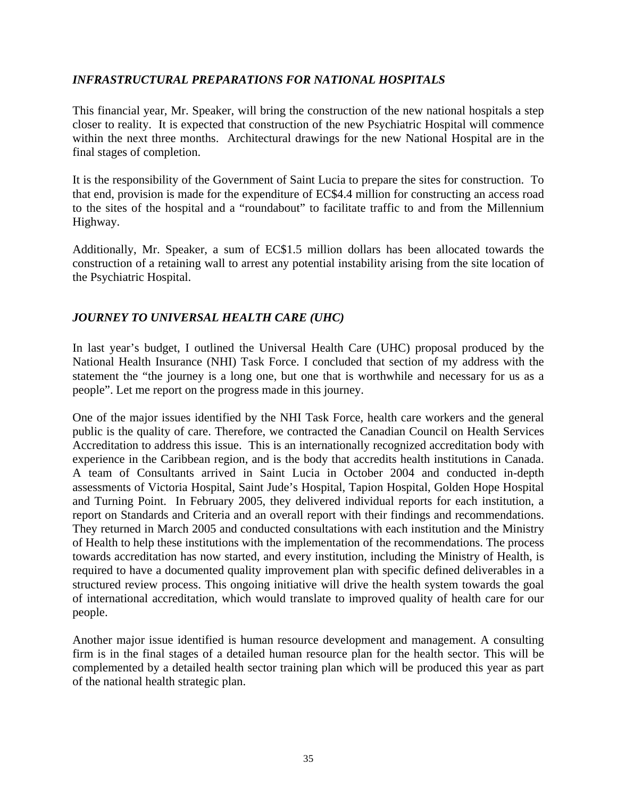## *INFRASTRUCTURAL PREPARATIONS FOR NATIONAL HOSPITALS*

This financial year, Mr. Speaker, will bring the construction of the new national hospitals a step closer to reality. It is expected that construction of the new Psychiatric Hospital will commence within the next three months. Architectural drawings for the new National Hospital are in the final stages of completion.

It is the responsibility of the Government of Saint Lucia to prepare the sites for construction. To that end, provision is made for the expenditure of EC\$4.4 million for constructing an access road to the sites of the hospital and a "roundabout" to facilitate traffic to and from the Millennium Highway.

Additionally, Mr. Speaker, a sum of EC\$1.5 million dollars has been allocated towards the construction of a retaining wall to arrest any potential instability arising from the site location of the Psychiatric Hospital.

## *JOURNEY TO UNIVERSAL HEALTH CARE (UHC)*

In last year's budget, I outlined the Universal Health Care (UHC) proposal produced by the National Health Insurance (NHI) Task Force. I concluded that section of my address with the statement the "the journey is a long one, but one that is worthwhile and necessary for us as a people". Let me report on the progress made in this journey.

One of the major issues identified by the NHI Task Force, health care workers and the general public is the quality of care. Therefore, we contracted the Canadian Council on Health Services Accreditation to address this issue. This is an internationally recognized accreditation body with experience in the Caribbean region, and is the body that accredits health institutions in Canada. A team of Consultants arrived in Saint Lucia in October 2004 and conducted in-depth assessments of Victoria Hospital, Saint Jude's Hospital, Tapion Hospital, Golden Hope Hospital and Turning Point. In February 2005, they delivered individual reports for each institution, a report on Standards and Criteria and an overall report with their findings and recommendations. They returned in March 2005 and conducted consultations with each institution and the Ministry of Health to help these institutions with the implementation of the recommendations. The process towards accreditation has now started, and every institution, including the Ministry of Health, is required to have a documented quality improvement plan with specific defined deliverables in a structured review process. This ongoing initiative will drive the health system towards the goal of international accreditation, which would translate to improved quality of health care for our people.

Another major issue identified is human resource development and management. A consulting firm is in the final stages of a detailed human resource plan for the health sector. This will be complemented by a detailed health sector training plan which will be produced this year as part of the national health strategic plan.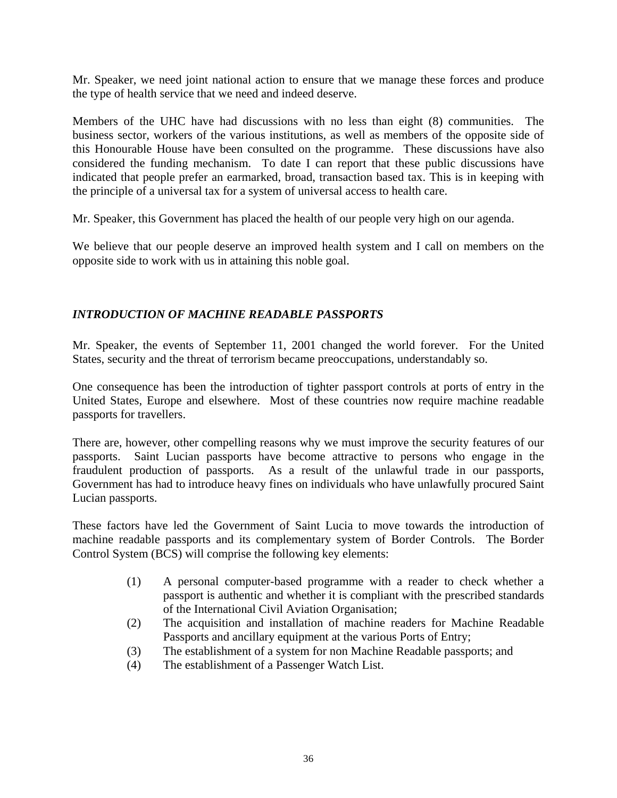Mr. Speaker, we need joint national action to ensure that we manage these forces and produce the type of health service that we need and indeed deserve.

Members of the UHC have had discussions with no less than eight (8) communities. The business sector, workers of the various institutions, as well as members of the opposite side of this Honourable House have been consulted on the programme. These discussions have also considered the funding mechanism. To date I can report that these public discussions have indicated that people prefer an earmarked, broad, transaction based tax. This is in keeping with the principle of a universal tax for a system of universal access to health care.

Mr. Speaker, this Government has placed the health of our people very high on our agenda.

We believe that our people deserve an improved health system and I call on members on the opposite side to work with us in attaining this noble goal.

## *INTRODUCTION OF MACHINE READABLE PASSPORTS*

Mr. Speaker, the events of September 11, 2001 changed the world forever. For the United States, security and the threat of terrorism became preoccupations, understandably so.

One consequence has been the introduction of tighter passport controls at ports of entry in the United States, Europe and elsewhere. Most of these countries now require machine readable passports for travellers.

There are, however, other compelling reasons why we must improve the security features of our passports. Saint Lucian passports have become attractive to persons who engage in the fraudulent production of passports. As a result of the unlawful trade in our passports, Government has had to introduce heavy fines on individuals who have unlawfully procured Saint Lucian passports.

These factors have led the Government of Saint Lucia to move towards the introduction of machine readable passports and its complementary system of Border Controls. The Border Control System (BCS) will comprise the following key elements:

- (1) A personal computer-based programme with a reader to check whether a passport is authentic and whether it is compliant with the prescribed standards of the International Civil Aviation Organisation;
- (2) The acquisition and installation of machine readers for Machine Readable Passports and ancillary equipment at the various Ports of Entry;
- (3) The establishment of a system for non Machine Readable passports; and
- (4) The establishment of a Passenger Watch List.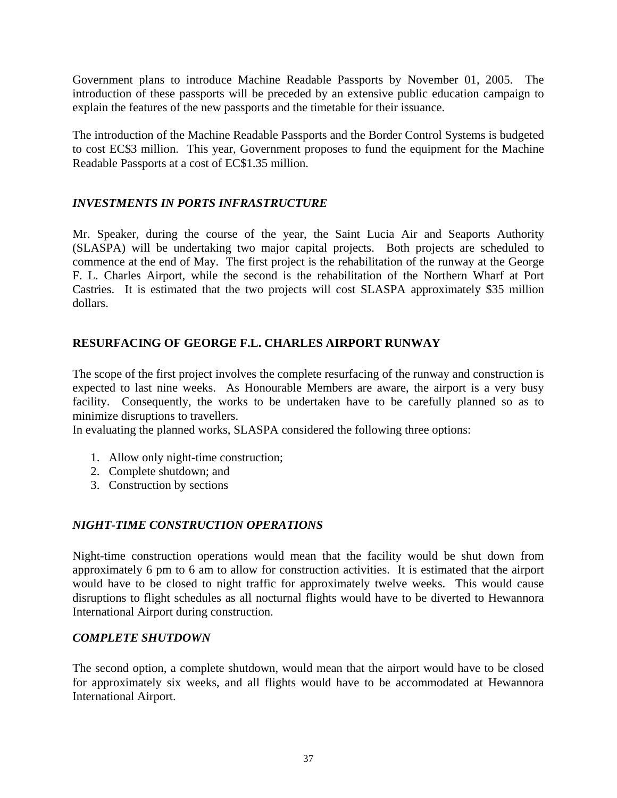Government plans to introduce Machine Readable Passports by November 01, 2005. The introduction of these passports will be preceded by an extensive public education campaign to explain the features of the new passports and the timetable for their issuance.

The introduction of the Machine Readable Passports and the Border Control Systems is budgeted to cost EC\$3 million. This year, Government proposes to fund the equipment for the Machine Readable Passports at a cost of EC\$1.35 million.

## *INVESTMENTS IN PORTS INFRASTRUCTURE*

Mr. Speaker, during the course of the year, the Saint Lucia Air and Seaports Authority (SLASPA) will be undertaking two major capital projects. Both projects are scheduled to commence at the end of May. The first project is the rehabilitation of the runway at the George F. L. Charles Airport, while the second is the rehabilitation of the Northern Wharf at Port Castries. It is estimated that the two projects will cost SLASPA approximately \$35 million dollars.

## **RESURFACING OF GEORGE F.L. CHARLES AIRPORT RUNWAY**

The scope of the first project involves the complete resurfacing of the runway and construction is expected to last nine weeks. As Honourable Members are aware, the airport is a very busy facility. Consequently, the works to be undertaken have to be carefully planned so as to minimize disruptions to travellers.

In evaluating the planned works, SLASPA considered the following three options:

- 1. Allow only night-time construction;
- 2. Complete shutdown; and
- 3. Construction by sections

## *NIGHT-TIME CONSTRUCTION OPERATIONS*

Night-time construction operations would mean that the facility would be shut down from approximately 6 pm to 6 am to allow for construction activities. It is estimated that the airport would have to be closed to night traffic for approximately twelve weeks. This would cause disruptions to flight schedules as all nocturnal flights would have to be diverted to Hewannora International Airport during construction.

#### *COMPLETE SHUTDOWN*

The second option, a complete shutdown, would mean that the airport would have to be closed for approximately six weeks, and all flights would have to be accommodated at Hewannora International Airport.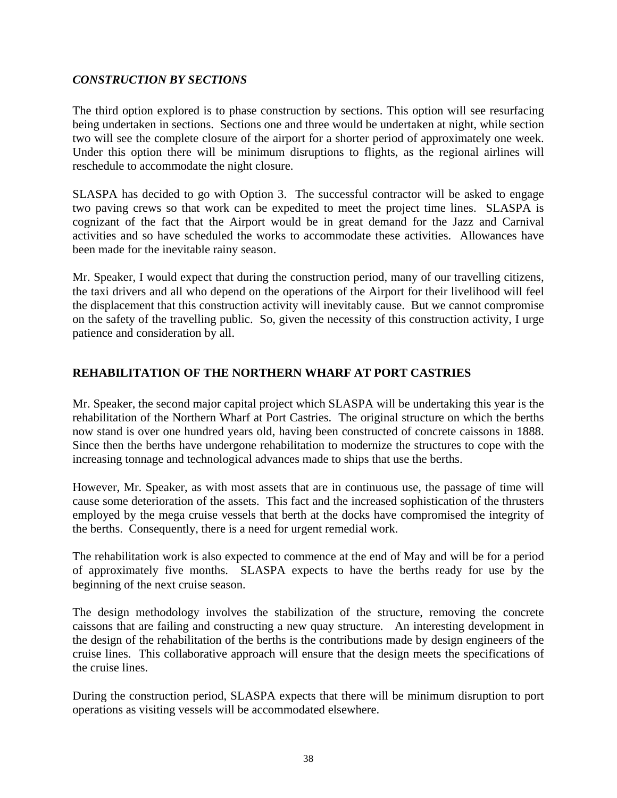## *CONSTRUCTION BY SECTIONS*

The third option explored is to phase construction by sections. This option will see resurfacing being undertaken in sections. Sections one and three would be undertaken at night, while section two will see the complete closure of the airport for a shorter period of approximately one week. Under this option there will be minimum disruptions to flights, as the regional airlines will reschedule to accommodate the night closure.

SLASPA has decided to go with Option 3. The successful contractor will be asked to engage two paving crews so that work can be expedited to meet the project time lines. SLASPA is cognizant of the fact that the Airport would be in great demand for the Jazz and Carnival activities and so have scheduled the works to accommodate these activities. Allowances have been made for the inevitable rainy season.

Mr. Speaker, I would expect that during the construction period, many of our travelling citizens, the taxi drivers and all who depend on the operations of the Airport for their livelihood will feel the displacement that this construction activity will inevitably cause. But we cannot compromise on the safety of the travelling public. So, given the necessity of this construction activity, I urge patience and consideration by all.

## **REHABILITATION OF THE NORTHERN WHARF AT PORT CASTRIES**

Mr. Speaker, the second major capital project which SLASPA will be undertaking this year is the rehabilitation of the Northern Wharf at Port Castries. The original structure on which the berths now stand is over one hundred years old, having been constructed of concrete caissons in 1888. Since then the berths have undergone rehabilitation to modernize the structures to cope with the increasing tonnage and technological advances made to ships that use the berths.

However, Mr. Speaker, as with most assets that are in continuous use, the passage of time will cause some deterioration of the assets. This fact and the increased sophistication of the thrusters employed by the mega cruise vessels that berth at the docks have compromised the integrity of the berths. Consequently, there is a need for urgent remedial work.

The rehabilitation work is also expected to commence at the end of May and will be for a period of approximately five months. SLASPA expects to have the berths ready for use by the beginning of the next cruise season.

The design methodology involves the stabilization of the structure, removing the concrete caissons that are failing and constructing a new quay structure. An interesting development in the design of the rehabilitation of the berths is the contributions made by design engineers of the cruise lines. This collaborative approach will ensure that the design meets the specifications of the cruise lines.

During the construction period, SLASPA expects that there will be minimum disruption to port operations as visiting vessels will be accommodated elsewhere.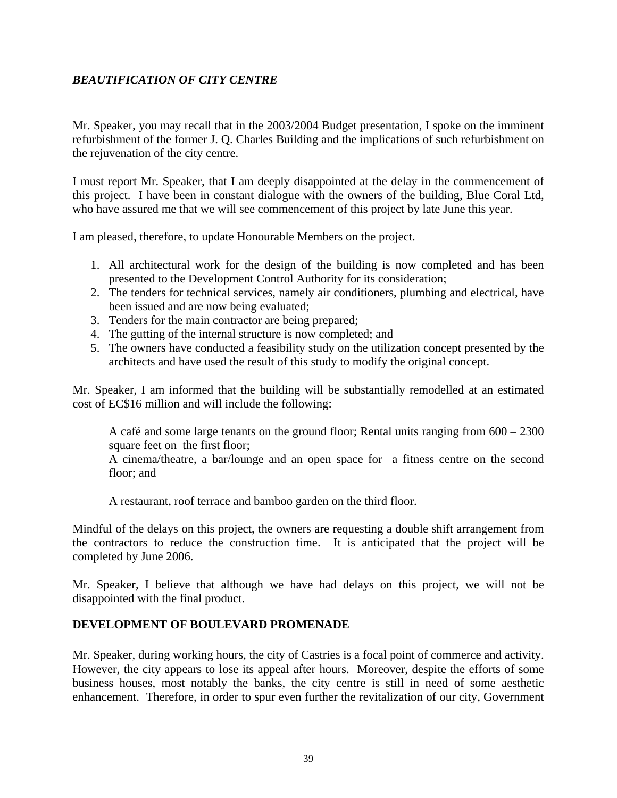## *BEAUTIFICATION OF CITY CENTRE*

Mr. Speaker, you may recall that in the 2003/2004 Budget presentation, I spoke on the imminent refurbishment of the former J. Q. Charles Building and the implications of such refurbishment on the rejuvenation of the city centre.

I must report Mr. Speaker, that I am deeply disappointed at the delay in the commencement of this project. I have been in constant dialogue with the owners of the building, Blue Coral Ltd, who have assured me that we will see commencement of this project by late June this year.

I am pleased, therefore, to update Honourable Members on the project.

- 1. All architectural work for the design of the building is now completed and has been presented to the Development Control Authority for its consideration;
- 2. The tenders for technical services, namely air conditioners, plumbing and electrical, have been issued and are now being evaluated;
- 3. Tenders for the main contractor are being prepared;
- 4. The gutting of the internal structure is now completed; and
- 5. The owners have conducted a feasibility study on the utilization concept presented by the architects and have used the result of this study to modify the original concept.

Mr. Speaker, I am informed that the building will be substantially remodelled at an estimated cost of EC\$16 million and will include the following:

A café and some large tenants on the ground floor; Rental units ranging from 600 – 2300 square feet on the first floor;

A cinema/theatre, a bar/lounge and an open space for a fitness centre on the second floor; and

A restaurant, roof terrace and bamboo garden on the third floor.

Mindful of the delays on this project, the owners are requesting a double shift arrangement from the contractors to reduce the construction time. It is anticipated that the project will be completed by June 2006.

Mr. Speaker, I believe that although we have had delays on this project, we will not be disappointed with the final product.

#### **DEVELOPMENT OF BOULEVARD PROMENADE**

Mr. Speaker, during working hours, the city of Castries is a focal point of commerce and activity. However, the city appears to lose its appeal after hours. Moreover, despite the efforts of some business houses, most notably the banks, the city centre is still in need of some aesthetic enhancement. Therefore, in order to spur even further the revitalization of our city, Government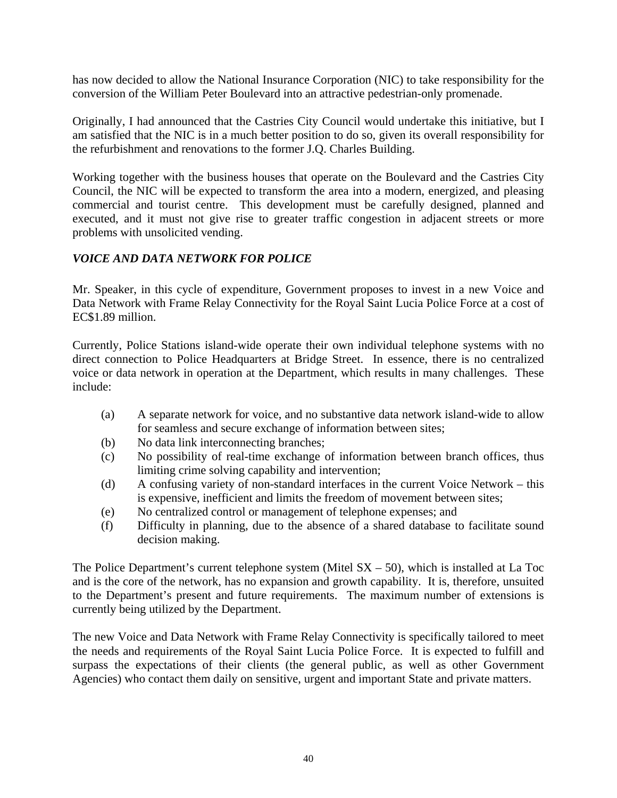has now decided to allow the National Insurance Corporation (NIC) to take responsibility for the conversion of the William Peter Boulevard into an attractive pedestrian-only promenade.

Originally, I had announced that the Castries City Council would undertake this initiative, but I am satisfied that the NIC is in a much better position to do so, given its overall responsibility for the refurbishment and renovations to the former J.Q. Charles Building.

Working together with the business houses that operate on the Boulevard and the Castries City Council, the NIC will be expected to transform the area into a modern, energized, and pleasing commercial and tourist centre. This development must be carefully designed, planned and executed, and it must not give rise to greater traffic congestion in adjacent streets or more problems with unsolicited vending.

## *VOICE AND DATA NETWORK FOR POLICE*

Mr. Speaker, in this cycle of expenditure, Government proposes to invest in a new Voice and Data Network with Frame Relay Connectivity for the Royal Saint Lucia Police Force at a cost of EC\$1.89 million.

Currently, Police Stations island-wide operate their own individual telephone systems with no direct connection to Police Headquarters at Bridge Street. In essence, there is no centralized voice or data network in operation at the Department, which results in many challenges. These include:

- (a) A separate network for voice, and no substantive data network island-wide to allow for seamless and secure exchange of information between sites;
- (b) No data link interconnecting branches;
- (c) No possibility of real-time exchange of information between branch offices, thus limiting crime solving capability and intervention;
- (d) A confusing variety of non-standard interfaces in the current Voice Network this is expensive, inefficient and limits the freedom of movement between sites;
- (e) No centralized control or management of telephone expenses; and
- (f) Difficulty in planning, due to the absence of a shared database to facilitate sound decision making.

The Police Department's current telephone system (Mitel  $SX - 50$ ), which is installed at La Toc and is the core of the network, has no expansion and growth capability. It is, therefore, unsuited to the Department's present and future requirements. The maximum number of extensions is currently being utilized by the Department.

The new Voice and Data Network with Frame Relay Connectivity is specifically tailored to meet the needs and requirements of the Royal Saint Lucia Police Force. It is expected to fulfill and surpass the expectations of their clients (the general public, as well as other Government Agencies) who contact them daily on sensitive, urgent and important State and private matters.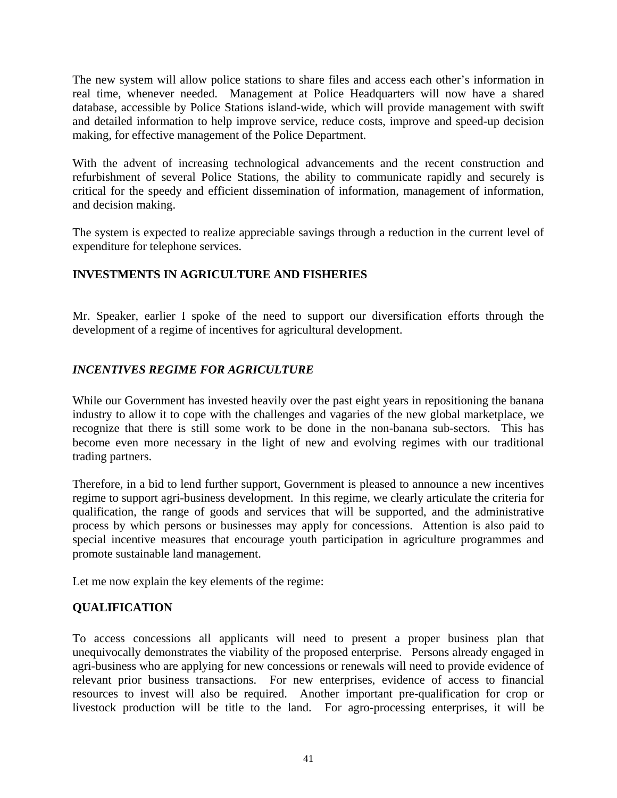The new system will allow police stations to share files and access each other's information in real time, whenever needed. Management at Police Headquarters will now have a shared database, accessible by Police Stations island-wide, which will provide management with swift and detailed information to help improve service, reduce costs, improve and speed-up decision making, for effective management of the Police Department.

With the advent of increasing technological advancements and the recent construction and refurbishment of several Police Stations, the ability to communicate rapidly and securely is critical for the speedy and efficient dissemination of information, management of information, and decision making.

The system is expected to realize appreciable savings through a reduction in the current level of expenditure for telephone services.

## **INVESTMENTS IN AGRICULTURE AND FISHERIES**

Mr. Speaker, earlier I spoke of the need to support our diversification efforts through the development of a regime of incentives for agricultural development.

## *INCENTIVES REGIME FOR AGRICULTURE*

While our Government has invested heavily over the past eight years in repositioning the banana industry to allow it to cope with the challenges and vagaries of the new global marketplace, we recognize that there is still some work to be done in the non-banana sub-sectors. This has become even more necessary in the light of new and evolving regimes with our traditional trading partners.

Therefore, in a bid to lend further support, Government is pleased to announce a new incentives regime to support agri-business development. In this regime, we clearly articulate the criteria for qualification, the range of goods and services that will be supported, and the administrative process by which persons or businesses may apply for concessions. Attention is also paid to special incentive measures that encourage youth participation in agriculture programmes and promote sustainable land management.

Let me now explain the key elements of the regime:

## **QUALIFICATION**

To access concessions all applicants will need to present a proper business plan that unequivocally demonstrates the viability of the proposed enterprise. Persons already engaged in agri-business who are applying for new concessions or renewals will need to provide evidence of relevant prior business transactions. For new enterprises, evidence of access to financial resources to invest will also be required. Another important pre-qualification for crop or livestock production will be title to the land. For agro-processing enterprises, it will be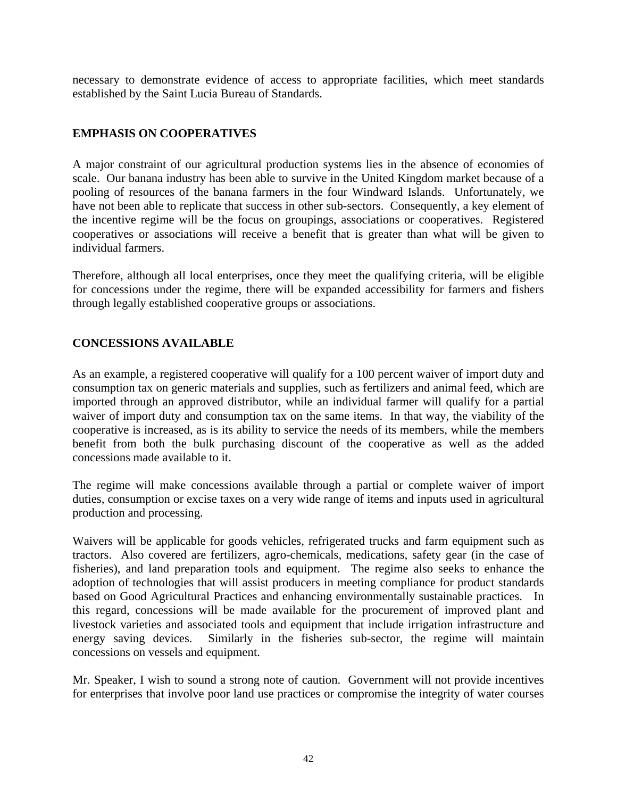necessary to demonstrate evidence of access to appropriate facilities, which meet standards established by the Saint Lucia Bureau of Standards.

#### **EMPHASIS ON COOPERATIVES**

A major constraint of our agricultural production systems lies in the absence of economies of scale. Our banana industry has been able to survive in the United Kingdom market because of a pooling of resources of the banana farmers in the four Windward Islands. Unfortunately, we have not been able to replicate that success in other sub-sectors. Consequently, a key element of the incentive regime will be the focus on groupings, associations or cooperatives. Registered cooperatives or associations will receive a benefit that is greater than what will be given to individual farmers.

Therefore, although all local enterprises, once they meet the qualifying criteria, will be eligible for concessions under the regime, there will be expanded accessibility for farmers and fishers through legally established cooperative groups or associations.

#### **CONCESSIONS AVAILABLE**

As an example, a registered cooperative will qualify for a 100 percent waiver of import duty and consumption tax on generic materials and supplies, such as fertilizers and animal feed, which are imported through an approved distributor, while an individual farmer will qualify for a partial waiver of import duty and consumption tax on the same items. In that way, the viability of the cooperative is increased, as is its ability to service the needs of its members, while the members benefit from both the bulk purchasing discount of the cooperative as well as the added concessions made available to it.

The regime will make concessions available through a partial or complete waiver of import duties, consumption or excise taxes on a very wide range of items and inputs used in agricultural production and processing.

Waivers will be applicable for goods vehicles, refrigerated trucks and farm equipment such as tractors. Also covered are fertilizers, agro-chemicals, medications, safety gear (in the case of fisheries), and land preparation tools and equipment. The regime also seeks to enhance the adoption of technologies that will assist producers in meeting compliance for product standards based on Good Agricultural Practices and enhancing environmentally sustainable practices. In this regard, concessions will be made available for the procurement of improved plant and livestock varieties and associated tools and equipment that include irrigation infrastructure and energy saving devices. Similarly in the fisheries sub-sector, the regime will maintain concessions on vessels and equipment.

Mr. Speaker, I wish to sound a strong note of caution. Government will not provide incentives for enterprises that involve poor land use practices or compromise the integrity of water courses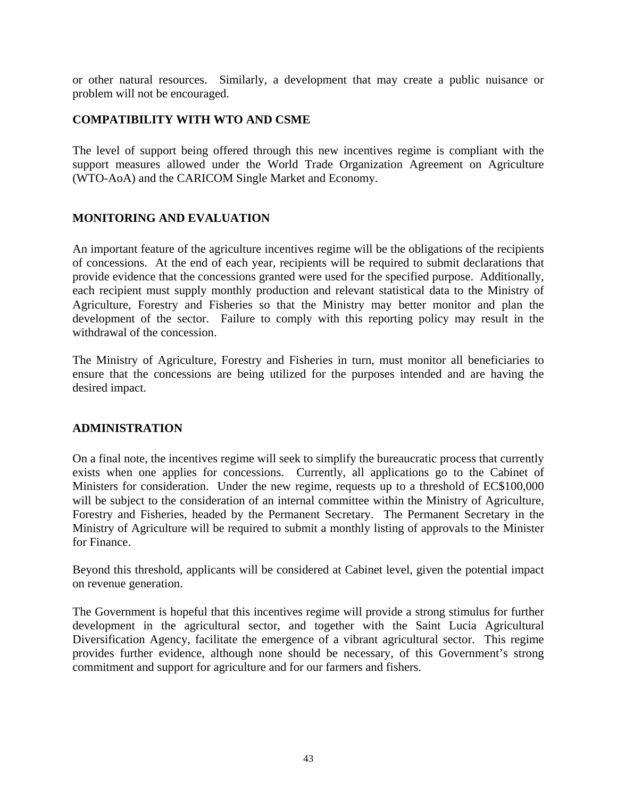or other natural resources. Similarly, a development that may create a public nuisance or problem will not be encouraged.

#### **COMPATIBILITY WITH WTO AND CSME**

The level of support being offered through this new incentives regime is compliant with the support measures allowed under the World Trade Organization Agreement on Agriculture (WTO-AoA) and the CARICOM Single Market and Economy.

#### **MONITORING AND EVALUATION**

An important feature of the agriculture incentives regime will be the obligations of the recipients of concessions. At the end of each year, recipients will be required to submit declarations that provide evidence that the concessions granted were used for the specified purpose. Additionally, each recipient must supply monthly production and relevant statistical data to the Ministry of Agriculture, Forestry and Fisheries so that the Ministry may better monitor and plan the development of the sector. Failure to comply with this reporting policy may result in the withdrawal of the concession.

The Ministry of Agriculture, Forestry and Fisheries in turn, must monitor all beneficiaries to ensure that the concessions are being utilized for the purposes intended and are having the desired impact.

#### **ADMINISTRATION**

On a final note, the incentives regime will seek to simplify the bureaucratic process that currently exists when one applies for concessions. Currently, all applications go to the Cabinet of Ministers for consideration. Under the new regime, requests up to a threshold of EC\$100,000 will be subject to the consideration of an internal committee within the Ministry of Agriculture, Forestry and Fisheries, headed by the Permanent Secretary. The Permanent Secretary in the Ministry of Agriculture will be required to submit a monthly listing of approvals to the Minister for Finance.

Beyond this threshold, applicants will be considered at Cabinet level, given the potential impact on revenue generation.

The Government is hopeful that this incentives regime will provide a strong stimulus for further development in the agricultural sector, and together with the Saint Lucia Agricultural Diversification Agency, facilitate the emergence of a vibrant agricultural sector. This regime provides further evidence, although none should be necessary, of this Government's strong commitment and support for agriculture and for our farmers and fishers.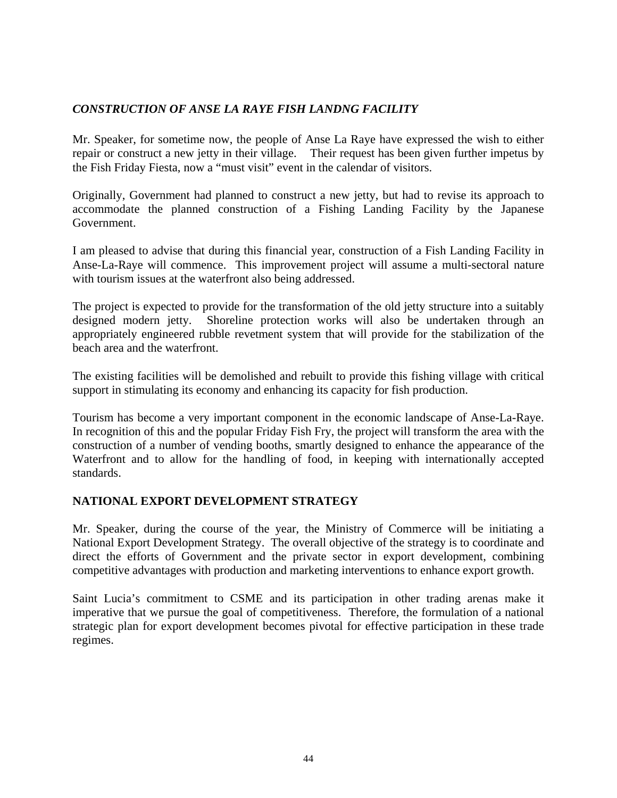## *CONSTRUCTION OF ANSE LA RAYE FISH LANDNG FACILITY*

Mr. Speaker, for sometime now, the people of Anse La Raye have expressed the wish to either repair or construct a new jetty in their village. Their request has been given further impetus by the Fish Friday Fiesta, now a "must visit" event in the calendar of visitors.

Originally, Government had planned to construct a new jetty, but had to revise its approach to accommodate the planned construction of a Fishing Landing Facility by the Japanese Government.

I am pleased to advise that during this financial year, construction of a Fish Landing Facility in Anse-La-Raye will commence. This improvement project will assume a multi-sectoral nature with tourism issues at the waterfront also being addressed.

The project is expected to provide for the transformation of the old jetty structure into a suitably designed modern jetty. Shoreline protection works will also be undertaken through an appropriately engineered rubble revetment system that will provide for the stabilization of the beach area and the waterfront.

The existing facilities will be demolished and rebuilt to provide this fishing village with critical support in stimulating its economy and enhancing its capacity for fish production.

Tourism has become a very important component in the economic landscape of Anse-La-Raye. In recognition of this and the popular Friday Fish Fry, the project will transform the area with the construction of a number of vending booths, smartly designed to enhance the appearance of the Waterfront and to allow for the handling of food, in keeping with internationally accepted standards.

## **NATIONAL EXPORT DEVELOPMENT STRATEGY**

Mr. Speaker, during the course of the year, the Ministry of Commerce will be initiating a National Export Development Strategy. The overall objective of the strategy is to coordinate and direct the efforts of Government and the private sector in export development, combining competitive advantages with production and marketing interventions to enhance export growth.

Saint Lucia's commitment to CSME and its participation in other trading arenas make it imperative that we pursue the goal of competitiveness. Therefore, the formulation of a national strategic plan for export development becomes pivotal for effective participation in these trade regimes.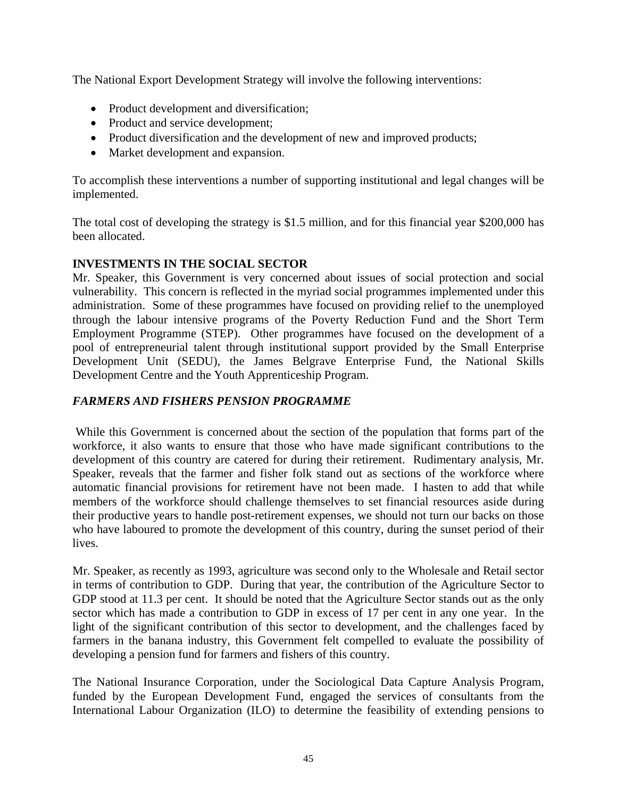The National Export Development Strategy will involve the following interventions:

- Product development and diversification;
- Product and service development;
- Product diversification and the development of new and improved products;
- Market development and expansion.

To accomplish these interventions a number of supporting institutional and legal changes will be implemented.

The total cost of developing the strategy is \$1.5 million, and for this financial year \$200,000 has been allocated.

## **INVESTMENTS IN THE SOCIAL SECTOR**

Mr. Speaker, this Government is very concerned about issues of social protection and social vulnerability. This concern is reflected in the myriad social programmes implemented under this administration. Some of these programmes have focused on providing relief to the unemployed through the labour intensive programs of the Poverty Reduction Fund and the Short Term Employment Programme (STEP). Other programmes have focused on the development of a pool of entrepreneurial talent through institutional support provided by the Small Enterprise Development Unit (SEDU), the James Belgrave Enterprise Fund, the National Skills Development Centre and the Youth Apprenticeship Program.

## *FARMERS AND FISHERS PENSION PROGRAMME*

 While this Government is concerned about the section of the population that forms part of the workforce, it also wants to ensure that those who have made significant contributions to the development of this country are catered for during their retirement. Rudimentary analysis, Mr. Speaker, reveals that the farmer and fisher folk stand out as sections of the workforce where automatic financial provisions for retirement have not been made. I hasten to add that while members of the workforce should challenge themselves to set financial resources aside during their productive years to handle post-retirement expenses, we should not turn our backs on those who have laboured to promote the development of this country, during the sunset period of their lives.

Mr. Speaker, as recently as 1993, agriculture was second only to the Wholesale and Retail sector in terms of contribution to GDP. During that year, the contribution of the Agriculture Sector to GDP stood at 11.3 per cent. It should be noted that the Agriculture Sector stands out as the only sector which has made a contribution to GDP in excess of 17 per cent in any one year. In the light of the significant contribution of this sector to development, and the challenges faced by farmers in the banana industry, this Government felt compelled to evaluate the possibility of developing a pension fund for farmers and fishers of this country.

The National Insurance Corporation, under the Sociological Data Capture Analysis Program, funded by the European Development Fund, engaged the services of consultants from the International Labour Organization (ILO) to determine the feasibility of extending pensions to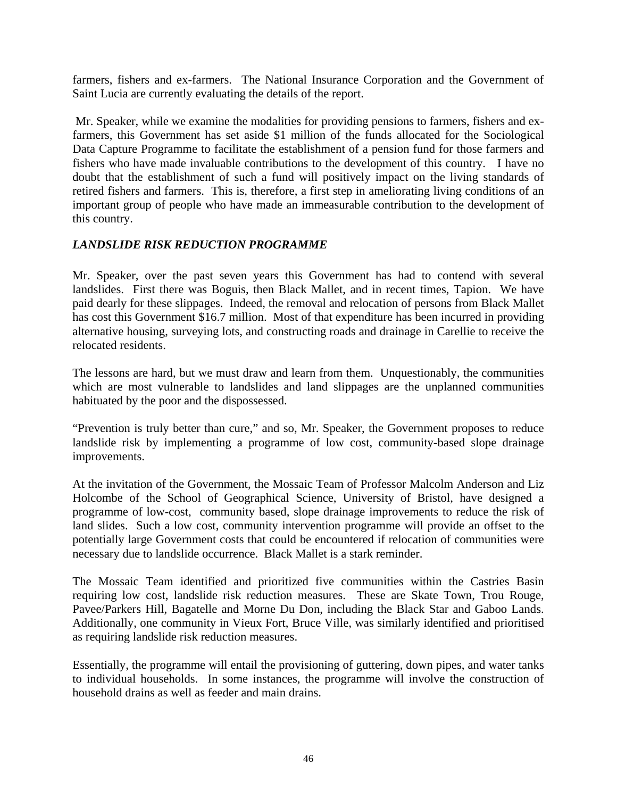farmers, fishers and ex-farmers. The National Insurance Corporation and the Government of Saint Lucia are currently evaluating the details of the report.

 Mr. Speaker, while we examine the modalities for providing pensions to farmers, fishers and exfarmers, this Government has set aside \$1 million of the funds allocated for the Sociological Data Capture Programme to facilitate the establishment of a pension fund for those farmers and fishers who have made invaluable contributions to the development of this country. I have no doubt that the establishment of such a fund will positively impact on the living standards of retired fishers and farmers. This is, therefore, a first step in ameliorating living conditions of an important group of people who have made an immeasurable contribution to the development of this country.

## *LANDSLIDE RISK REDUCTION PROGRAMME*

Mr. Speaker, over the past seven years this Government has had to contend with several landslides. First there was Boguis, then Black Mallet, and in recent times, Tapion. We have paid dearly for these slippages. Indeed, the removal and relocation of persons from Black Mallet has cost this Government \$16.7 million. Most of that expenditure has been incurred in providing alternative housing, surveying lots, and constructing roads and drainage in Carellie to receive the relocated residents.

The lessons are hard, but we must draw and learn from them. Unquestionably, the communities which are most vulnerable to landslides and land slippages are the unplanned communities habituated by the poor and the dispossessed.

"Prevention is truly better than cure," and so, Mr. Speaker, the Government proposes to reduce landslide risk by implementing a programme of low cost, community-based slope drainage improvements.

At the invitation of the Government, the Mossaic Team of Professor Malcolm Anderson and Liz Holcombe of the School of Geographical Science, University of Bristol, have designed a programme of low-cost, community based, slope drainage improvements to reduce the risk of land slides. Such a low cost, community intervention programme will provide an offset to the potentially large Government costs that could be encountered if relocation of communities were necessary due to landslide occurrence. Black Mallet is a stark reminder.

The Mossaic Team identified and prioritized five communities within the Castries Basin requiring low cost, landslide risk reduction measures. These are Skate Town, Trou Rouge, Pavee/Parkers Hill, Bagatelle and Morne Du Don, including the Black Star and Gaboo Lands. Additionally, one community in Vieux Fort, Bruce Ville, was similarly identified and prioritised as requiring landslide risk reduction measures.

Essentially, the programme will entail the provisioning of guttering, down pipes, and water tanks to individual households. In some instances, the programme will involve the construction of household drains as well as feeder and main drains.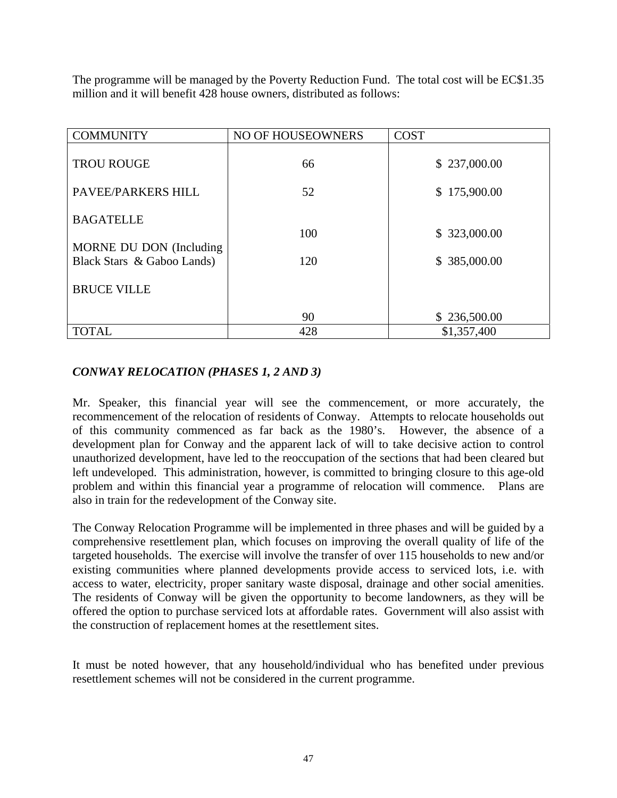The programme will be managed by the Poverty Reduction Fund. The total cost will be EC\$1.35 million and it will benefit 428 house owners, distributed as follows:

| <b>COMMUNITY</b>           | NO OF HOUSEOWNERS | <b>COST</b>  |
|----------------------------|-------------------|--------------|
| <b>TROU ROUGE</b>          | 66                | \$237,000.00 |
| PAVEE/PARKERS HILL         | 52                | \$175,900.00 |
| <b>BAGATELLE</b>           | 100               | \$323,000.00 |
| MORNE DU DON (Including    |                   |              |
| Black Stars & Gaboo Lands) | 120               | \$385,000.00 |
| <b>BRUCE VILLE</b>         |                   |              |
|                            | 90                | \$236,500.00 |
| <b>TOTAL</b>               | 428               | \$1,357,400  |

## *CONWAY RELOCATION (PHASES 1, 2 AND 3)*

Mr. Speaker, this financial year will see the commencement, or more accurately, the recommencement of the relocation of residents of Conway. Attempts to relocate households out of this community commenced as far back as the 1980's. However, the absence of a development plan for Conway and the apparent lack of will to take decisive action to control unauthorized development, have led to the reoccupation of the sections that had been cleared but left undeveloped. This administration, however, is committed to bringing closure to this age-old problem and within this financial year a programme of relocation will commence. Plans are also in train for the redevelopment of the Conway site.

The Conway Relocation Programme will be implemented in three phases and will be guided by a comprehensive resettlement plan, which focuses on improving the overall quality of life of the targeted households. The exercise will involve the transfer of over 115 households to new and/or existing communities where planned developments provide access to serviced lots, i.e. with access to water, electricity, proper sanitary waste disposal, drainage and other social amenities. The residents of Conway will be given the opportunity to become landowners, as they will be offered the option to purchase serviced lots at affordable rates. Government will also assist with the construction of replacement homes at the resettlement sites.

It must be noted however, that any household/individual who has benefited under previous resettlement schemes will not be considered in the current programme.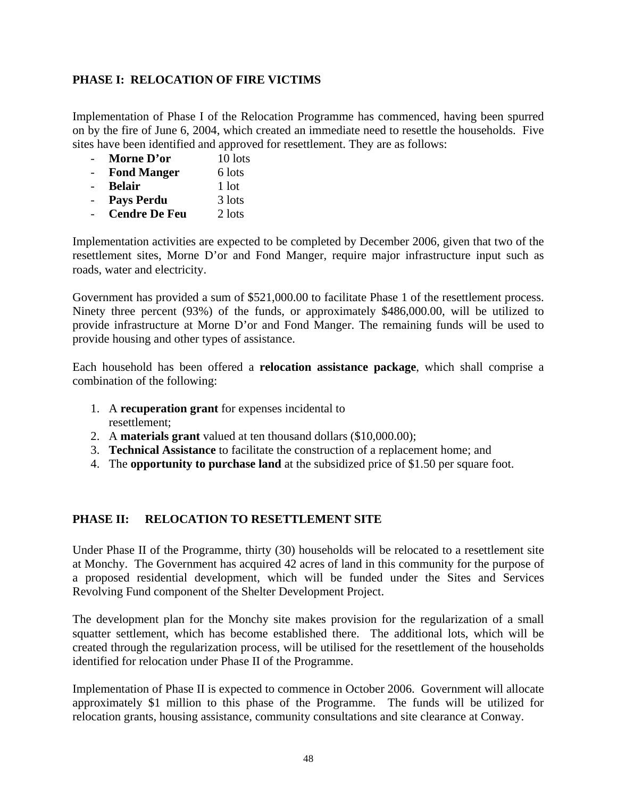## **PHASE I: RELOCATION OF FIRE VICTIMS**

Implementation of Phase I of the Relocation Programme has commenced, having been spurred on by the fire of June 6, 2004, which created an immediate need to resettle the households. Five sites have been identified and approved for resettlement. They are as follows:

- **Morne D'or** 10 lots
- **Fond Manger** 6 lots
- **Belair** 1 lot
- **Pays Perdu** 3 lots
- **Cendre De Feu** 2 lots

Implementation activities are expected to be completed by December 2006, given that two of the resettlement sites, Morne D'or and Fond Manger, require major infrastructure input such as roads, water and electricity.

Government has provided a sum of \$521,000.00 to facilitate Phase 1 of the resettlement process. Ninety three percent (93%) of the funds, or approximately \$486,000.00, will be utilized to provide infrastructure at Morne D'or and Fond Manger. The remaining funds will be used to provide housing and other types of assistance.

Each household has been offered a **relocation assistance package**, which shall comprise a combination of the following:

- 1. A **recuperation grant** for expenses incidental to resettlement;
- 2. A **materials grant** valued at ten thousand dollars (\$10,000.00);
- 3. **Technical Assistance** to facilitate the construction of a replacement home; and
- 4. The **opportunity to purchase land** at the subsidized price of \$1.50 per square foot.

## **PHASE II: RELOCATION TO RESETTLEMENT SITE**

Under Phase II of the Programme, thirty (30) households will be relocated to a resettlement site at Monchy. The Government has acquired 42 acres of land in this community for the purpose of a proposed residential development, which will be funded under the Sites and Services Revolving Fund component of the Shelter Development Project.

The development plan for the Monchy site makes provision for the regularization of a small squatter settlement, which has become established there. The additional lots, which will be created through the regularization process, will be utilised for the resettlement of the households identified for relocation under Phase II of the Programme.

Implementation of Phase II is expected to commence in October 2006. Government will allocate approximately \$1 million to this phase of the Programme. The funds will be utilized for relocation grants, housing assistance, community consultations and site clearance at Conway.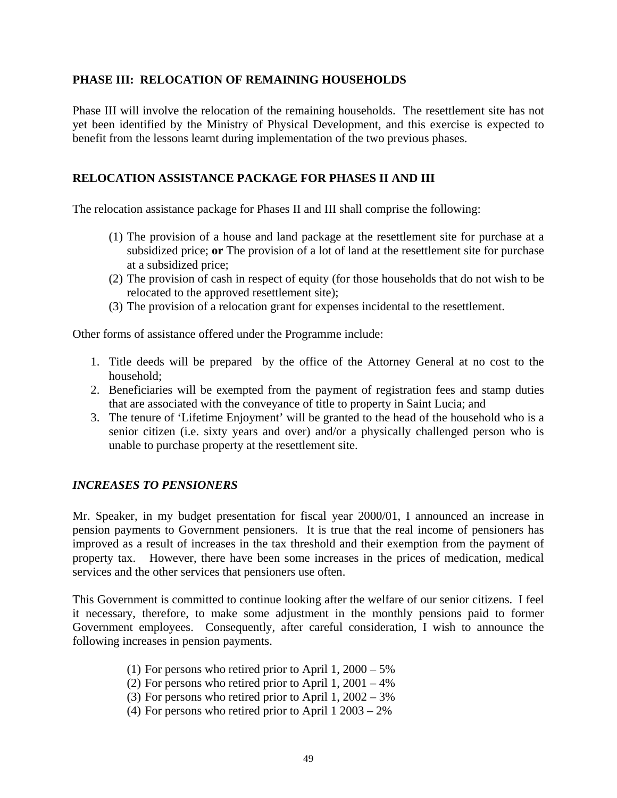#### **PHASE III: RELOCATION OF REMAINING HOUSEHOLDS**

Phase III will involve the relocation of the remaining households. The resettlement site has not yet been identified by the Ministry of Physical Development, and this exercise is expected to benefit from the lessons learnt during implementation of the two previous phases.

#### **RELOCATION ASSISTANCE PACKAGE FOR PHASES II AND III**

The relocation assistance package for Phases II and III shall comprise the following:

- (1) The provision of a house and land package at the resettlement site for purchase at a subsidized price; **or** The provision of a lot of land at the resettlement site for purchase at a subsidized price;
- (2) The provision of cash in respect of equity (for those households that do not wish to be relocated to the approved resettlement site);
- (3) The provision of a relocation grant for expenses incidental to the resettlement.

Other forms of assistance offered under the Programme include:

- 1. Title deeds will be prepared by the office of the Attorney General at no cost to the household;
- 2. Beneficiaries will be exempted from the payment of registration fees and stamp duties that are associated with the conveyance of title to property in Saint Lucia; and
- 3. The tenure of 'Lifetime Enjoyment' will be granted to the head of the household who is a senior citizen (i.e. sixty years and over) and/or a physically challenged person who is unable to purchase property at the resettlement site.

#### *INCREASES TO PENSIONERS*

Mr. Speaker, in my budget presentation for fiscal year 2000/01, I announced an increase in pension payments to Government pensioners. It is true that the real income of pensioners has improved as a result of increases in the tax threshold and their exemption from the payment of property tax. However, there have been some increases in the prices of medication, medical services and the other services that pensioners use often.

This Government is committed to continue looking after the welfare of our senior citizens. I feel it necessary, therefore, to make some adjustment in the monthly pensions paid to former Government employees. Consequently, after careful consideration, I wish to announce the following increases in pension payments.

- (1) For persons who retired prior to April 1, 2000 5%
- (2) For persons who retired prior to April 1,  $2001 4\%$
- (3) For persons who retired prior to April 1, 2002 3%
- (4) For persons who retired prior to April 1 2003 2%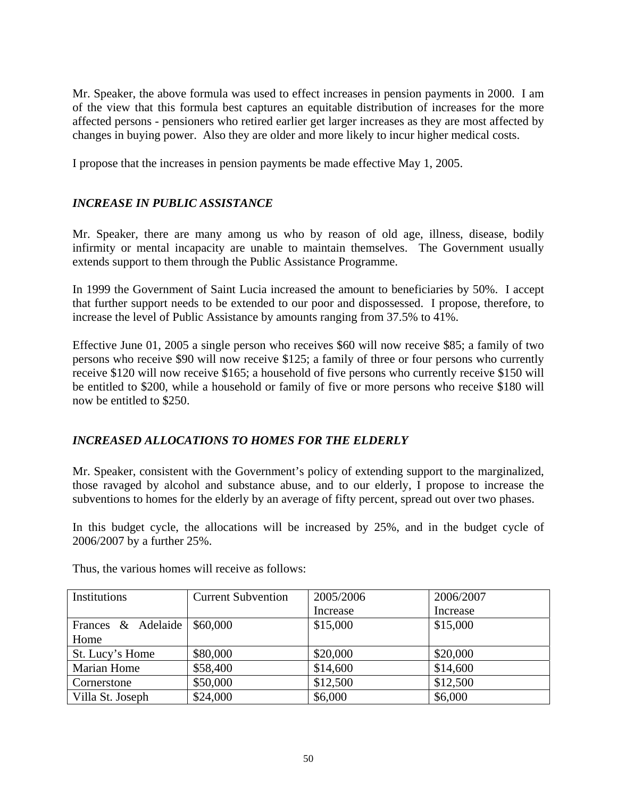Mr. Speaker, the above formula was used to effect increases in pension payments in 2000. I am of the view that this formula best captures an equitable distribution of increases for the more affected persons - pensioners who retired earlier get larger increases as they are most affected by changes in buying power. Also they are older and more likely to incur higher medical costs.

I propose that the increases in pension payments be made effective May 1, 2005.

## *INCREASE IN PUBLIC ASSISTANCE*

Mr. Speaker, there are many among us who by reason of old age, illness, disease, bodily infirmity or mental incapacity are unable to maintain themselves. The Government usually extends support to them through the Public Assistance Programme.

In 1999 the Government of Saint Lucia increased the amount to beneficiaries by 50%. I accept that further support needs to be extended to our poor and dispossessed. I propose, therefore, to increase the level of Public Assistance by amounts ranging from 37.5% to 41%.

Effective June 01, 2005 a single person who receives \$60 will now receive \$85; a family of two persons who receive \$90 will now receive \$125; a family of three or four persons who currently receive \$120 will now receive \$165; a household of five persons who currently receive \$150 will be entitled to \$200, while a household or family of five or more persons who receive \$180 will now be entitled to \$250.

## *INCREASED ALLOCATIONS TO HOMES FOR THE ELDERLY*

Mr. Speaker, consistent with the Government's policy of extending support to the marginalized, those ravaged by alcohol and substance abuse, and to our elderly, I propose to increase the subventions to homes for the elderly by an average of fifty percent, spread out over two phases.

In this budget cycle, the allocations will be increased by 25%, and in the budget cycle of 2006/2007 by a further 25%.

| Institutions       | <b>Current Subvention</b> | 2005/2006 | 2006/2007 |
|--------------------|---------------------------|-----------|-----------|
|                    |                           | Increase  | Increase  |
| Frances & Adelaide | \$60,000                  | \$15,000  | \$15,000  |
| Home               |                           |           |           |
| St. Lucy's Home    | \$80,000                  | \$20,000  | \$20,000  |
| <b>Marian Home</b> | \$58,400                  | \$14,600  | \$14,600  |
| Cornerstone        | \$50,000                  | \$12,500  | \$12,500  |
| Villa St. Joseph   | \$24,000                  | \$6,000   | \$6,000   |

Thus, the various homes will receive as follows: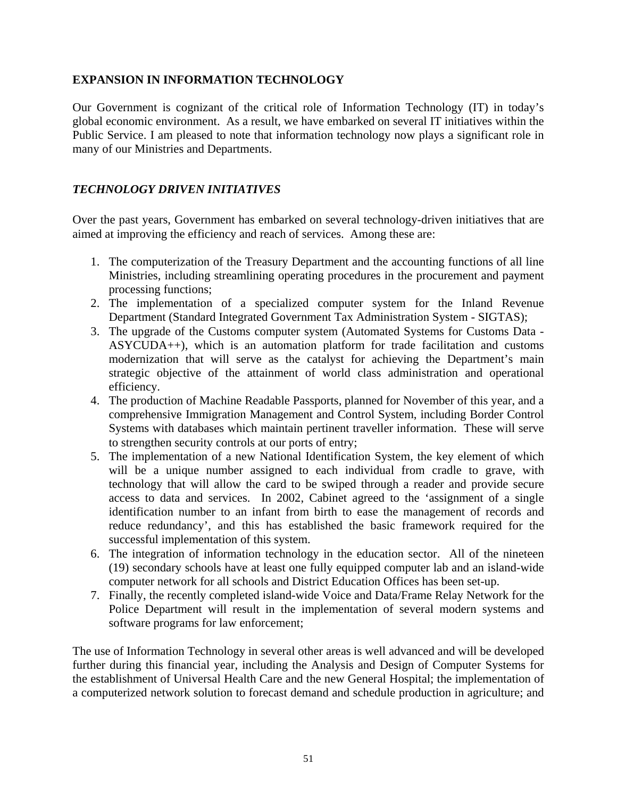#### **EXPANSION IN INFORMATION TECHNOLOGY**

Our Government is cognizant of the critical role of Information Technology (IT) in today's global economic environment. As a result, we have embarked on several IT initiatives within the Public Service. I am pleased to note that information technology now plays a significant role in many of our Ministries and Departments.

## *TECHNOLOGY DRIVEN INITIATIVES*

Over the past years, Government has embarked on several technology-driven initiatives that are aimed at improving the efficiency and reach of services. Among these are:

- 1. The computerization of the Treasury Department and the accounting functions of all line Ministries, including streamlining operating procedures in the procurement and payment processing functions;
- 2. The implementation of a specialized computer system for the Inland Revenue Department (Standard Integrated Government Tax Administration System - SIGTAS);
- 3. The upgrade of the Customs computer system (Automated Systems for Customs Data ASYCUDA++), which is an automation platform for trade facilitation and customs modernization that will serve as the catalyst for achieving the Department's main strategic objective of the attainment of world class administration and operational efficiency.
- 4. The production of Machine Readable Passports, planned for November of this year, and a comprehensive Immigration Management and Control System, including Border Control Systems with databases which maintain pertinent traveller information. These will serve to strengthen security controls at our ports of entry;
- 5. The implementation of a new National Identification System, the key element of which will be a unique number assigned to each individual from cradle to grave, with technology that will allow the card to be swiped through a reader and provide secure access to data and services. In 2002, Cabinet agreed to the 'assignment of a single identification number to an infant from birth to ease the management of records and reduce redundancy', and this has established the basic framework required for the successful implementation of this system.
- 6. The integration of information technology in the education sector. All of the nineteen (19) secondary schools have at least one fully equipped computer lab and an island-wide computer network for all schools and District Education Offices has been set-up.
- 7. Finally, the recently completed island-wide Voice and Data/Frame Relay Network for the Police Department will result in the implementation of several modern systems and software programs for law enforcement;

The use of Information Technology in several other areas is well advanced and will be developed further during this financial year, including the Analysis and Design of Computer Systems for the establishment of Universal Health Care and the new General Hospital; the implementation of a computerized network solution to forecast demand and schedule production in agriculture; and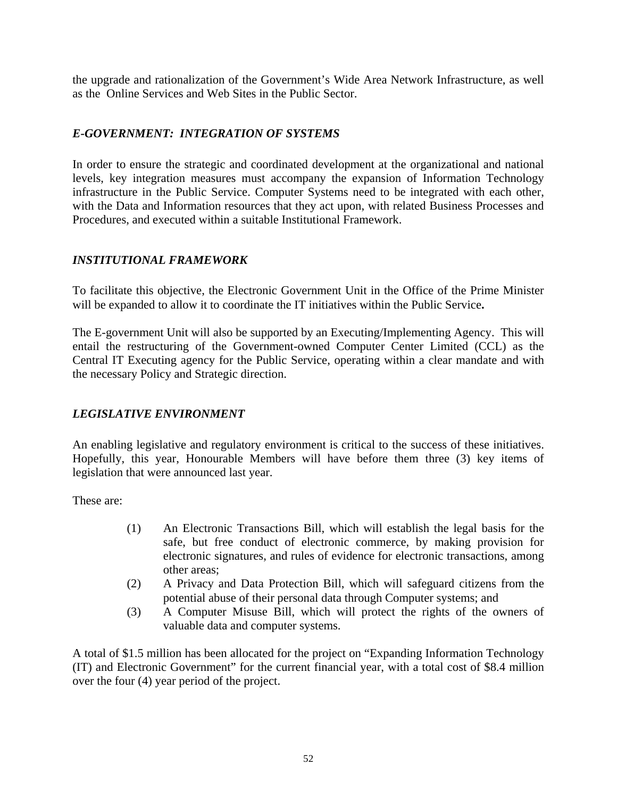the upgrade and rationalization of the Government's Wide Area Network Infrastructure, as well as the Online Services and Web Sites in the Public Sector.

## *E-GOVERNMENT: INTEGRATION OF SYSTEMS*

In order to ensure the strategic and coordinated development at the organizational and national levels, key integration measures must accompany the expansion of Information Technology infrastructure in the Public Service. Computer Systems need to be integrated with each other, with the Data and Information resources that they act upon, with related Business Processes and Procedures, and executed within a suitable Institutional Framework.

## *INSTITUTIONAL FRAMEWORK*

To facilitate this objective, the Electronic Government Unit in the Office of the Prime Minister will be expanded to allow it to coordinate the IT initiatives within the Public Service**.** 

The E-government Unit will also be supported by an Executing/Implementing Agency. This will entail the restructuring of the Government-owned Computer Center Limited (CCL) as the Central IT Executing agency for the Public Service, operating within a clear mandate and with the necessary Policy and Strategic direction.

## *LEGISLATIVE ENVIRONMENT*

An enabling legislative and regulatory environment is critical to the success of these initiatives. Hopefully, this year, Honourable Members will have before them three (3) key items of legislation that were announced last year.

These are:

- (1) An Electronic Transactions Bill, which will establish the legal basis for the safe, but free conduct of electronic commerce, by making provision for electronic signatures, and rules of evidence for electronic transactions, among other areas;
- (2) A Privacy and Data Protection Bill, which will safeguard citizens from the potential abuse of their personal data through Computer systems; and
- (3) A Computer Misuse Bill, which will protect the rights of the owners of valuable data and computer systems.

A total of \$1.5 million has been allocated for the project on "Expanding Information Technology (IT) and Electronic Government" for the current financial year, with a total cost of \$8.4 million over the four (4) year period of the project.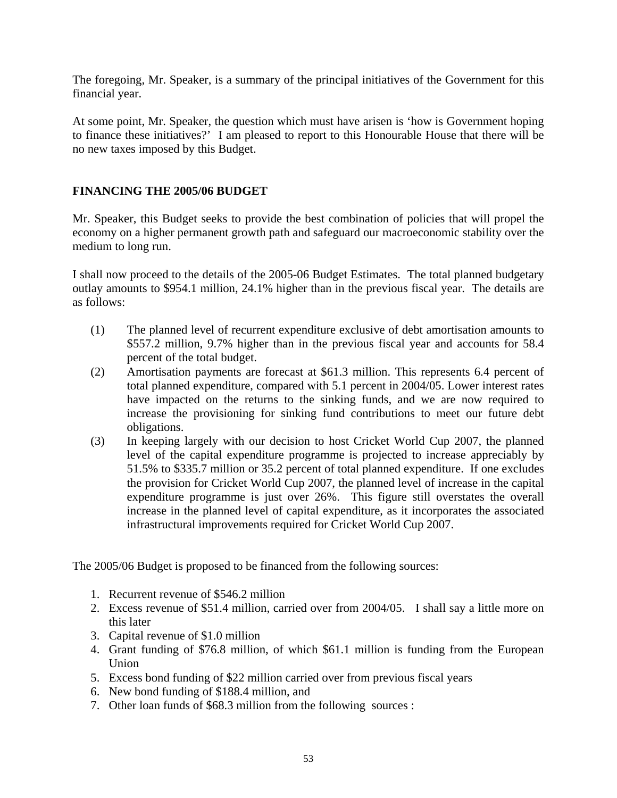The foregoing, Mr. Speaker, is a summary of the principal initiatives of the Government for this financial year.

At some point, Mr. Speaker, the question which must have arisen is 'how is Government hoping to finance these initiatives?' I am pleased to report to this Honourable House that there will be no new taxes imposed by this Budget.

## **FINANCING THE 2005/06 BUDGET**

Mr. Speaker, this Budget seeks to provide the best combination of policies that will propel the economy on a higher permanent growth path and safeguard our macroeconomic stability over the medium to long run.

I shall now proceed to the details of the 2005-06 Budget Estimates. The total planned budgetary outlay amounts to \$954.1 million, 24.1% higher than in the previous fiscal year. The details are as follows:

- (1) The planned level of recurrent expenditure exclusive of debt amortisation amounts to \$557.2 million, 9.7% higher than in the previous fiscal year and accounts for 58.4 percent of the total budget.
- (2) Amortisation payments are forecast at \$61.3 million. This represents 6.4 percent of total planned expenditure, compared with 5.1 percent in 2004/05. Lower interest rates have impacted on the returns to the sinking funds, and we are now required to increase the provisioning for sinking fund contributions to meet our future debt obligations.
- (3) In keeping largely with our decision to host Cricket World Cup 2007, the planned level of the capital expenditure programme is projected to increase appreciably by 51.5% to \$335.7 million or 35.2 percent of total planned expenditure. If one excludes the provision for Cricket World Cup 2007, the planned level of increase in the capital expenditure programme is just over 26%. This figure still overstates the overall increase in the planned level of capital expenditure, as it incorporates the associated infrastructural improvements required for Cricket World Cup 2007.

The 2005/06 Budget is proposed to be financed from the following sources:

- 1. Recurrent revenue of \$546.2 million
- 2. Excess revenue of \$51.4 million, carried over from 2004/05. I shall say a little more on this later
- 3. Capital revenue of \$1.0 million
- 4. Grant funding of \$76.8 million, of which \$61.1 million is funding from the European Union
- 5. Excess bond funding of \$22 million carried over from previous fiscal years
- 6. New bond funding of \$188.4 million, and
- 7. Other loan funds of \$68.3 million from the following sources :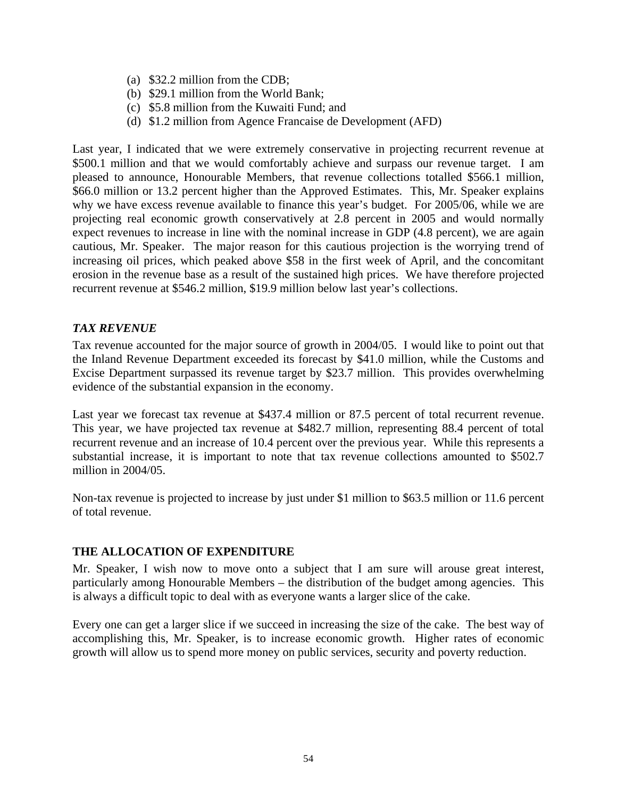- (a) \$32.2 million from the CDB;
- (b) \$29.1 million from the World Bank;
- (c) \$5.8 million from the Kuwaiti Fund; and
- (d) \$1.2 million from Agence Francaise de Development (AFD)

Last year, I indicated that we were extremely conservative in projecting recurrent revenue at \$500.1 million and that we would comfortably achieve and surpass our revenue target. I am pleased to announce, Honourable Members, that revenue collections totalled \$566.1 million, \$66.0 million or 13.2 percent higher than the Approved Estimates. This, Mr. Speaker explains why we have excess revenue available to finance this year's budget. For 2005/06, while we are projecting real economic growth conservatively at 2.8 percent in 2005 and would normally expect revenues to increase in line with the nominal increase in GDP (4.8 percent), we are again cautious, Mr. Speaker. The major reason for this cautious projection is the worrying trend of increasing oil prices, which peaked above \$58 in the first week of April, and the concomitant erosion in the revenue base as a result of the sustained high prices. We have therefore projected recurrent revenue at \$546.2 million, \$19.9 million below last year's collections.

#### *TAX REVENUE*

Tax revenue accounted for the major source of growth in 2004/05. I would like to point out that the Inland Revenue Department exceeded its forecast by \$41.0 million, while the Customs and Excise Department surpassed its revenue target by \$23.7 million. This provides overwhelming evidence of the substantial expansion in the economy.

Last year we forecast tax revenue at \$437.4 million or 87.5 percent of total recurrent revenue. This year, we have projected tax revenue at \$482.7 million, representing 88.4 percent of total recurrent revenue and an increase of 10.4 percent over the previous year. While this represents a substantial increase, it is important to note that tax revenue collections amounted to \$502.7 million in 2004/05.

Non-tax revenue is projected to increase by just under \$1 million to \$63.5 million or 11.6 percent of total revenue.

## **THE ALLOCATION OF EXPENDITURE**

Mr. Speaker, I wish now to move onto a subject that I am sure will arouse great interest, particularly among Honourable Members – the distribution of the budget among agencies. This is always a difficult topic to deal with as everyone wants a larger slice of the cake.

Every one can get a larger slice if we succeed in increasing the size of the cake. The best way of accomplishing this, Mr. Speaker, is to increase economic growth. Higher rates of economic growth will allow us to spend more money on public services, security and poverty reduction.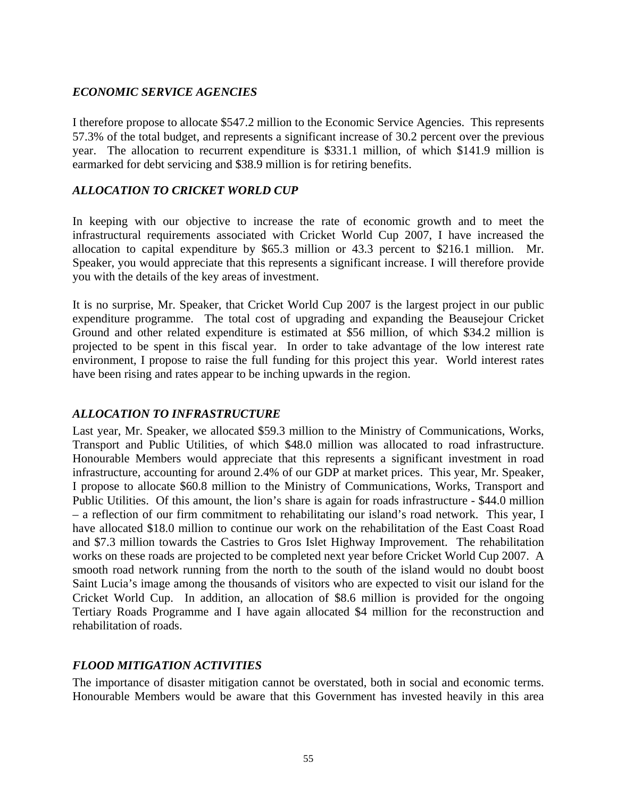## *ECONOMIC SERVICE AGENCIES*

I therefore propose to allocate \$547.2 million to the Economic Service Agencies. This represents 57.3% of the total budget, and represents a significant increase of 30.2 percent over the previous year. The allocation to recurrent expenditure is \$331.1 million, of which \$141.9 million is earmarked for debt servicing and \$38.9 million is for retiring benefits.

#### *ALLOCATION TO CRICKET WORLD CUP*

In keeping with our objective to increase the rate of economic growth and to meet the infrastructural requirements associated with Cricket World Cup 2007, I have increased the allocation to capital expenditure by \$65.3 million or 43.3 percent to \$216.1 million. Mr. Speaker, you would appreciate that this represents a significant increase. I will therefore provide you with the details of the key areas of investment.

It is no surprise, Mr. Speaker, that Cricket World Cup 2007 is the largest project in our public expenditure programme. The total cost of upgrading and expanding the Beausejour Cricket Ground and other related expenditure is estimated at \$56 million, of which \$34.2 million is projected to be spent in this fiscal year. In order to take advantage of the low interest rate environment, I propose to raise the full funding for this project this year. World interest rates have been rising and rates appear to be inching upwards in the region.

## *ALLOCATION TO INFRASTRUCTURE*

Last year, Mr. Speaker, we allocated \$59.3 million to the Ministry of Communications, Works, Transport and Public Utilities, of which \$48.0 million was allocated to road infrastructure. Honourable Members would appreciate that this represents a significant investment in road infrastructure, accounting for around 2.4% of our GDP at market prices. This year, Mr. Speaker, I propose to allocate \$60.8 million to the Ministry of Communications, Works, Transport and Public Utilities. Of this amount, the lion's share is again for roads infrastructure - \$44.0 million – a reflection of our firm commitment to rehabilitating our island's road network. This year, I have allocated \$18.0 million to continue our work on the rehabilitation of the East Coast Road and \$7.3 million towards the Castries to Gros Islet Highway Improvement. The rehabilitation works on these roads are projected to be completed next year before Cricket World Cup 2007. A smooth road network running from the north to the south of the island would no doubt boost Saint Lucia's image among the thousands of visitors who are expected to visit our island for the Cricket World Cup. In addition, an allocation of \$8.6 million is provided for the ongoing Tertiary Roads Programme and I have again allocated \$4 million for the reconstruction and rehabilitation of roads.

## *FLOOD MITIGATION ACTIVITIES*

The importance of disaster mitigation cannot be overstated, both in social and economic terms. Honourable Members would be aware that this Government has invested heavily in this area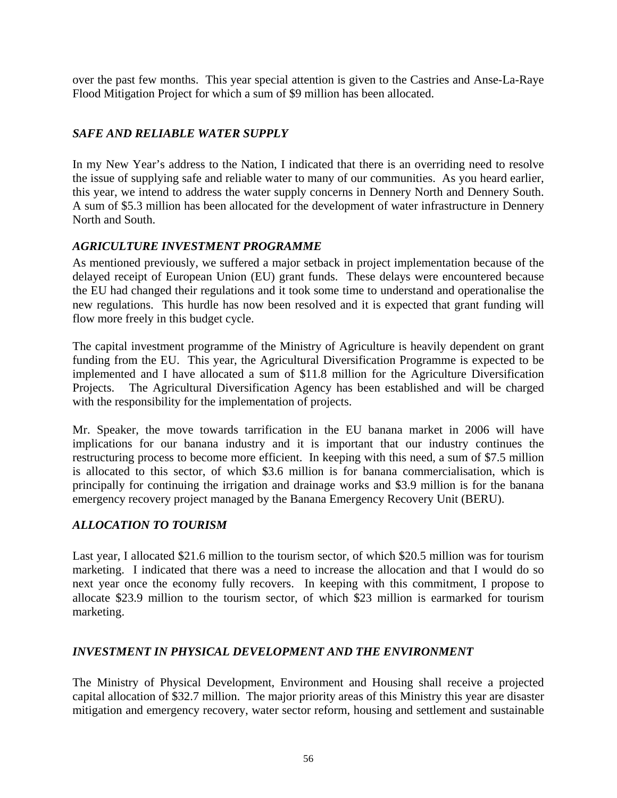over the past few months. This year special attention is given to the Castries and Anse-La-Raye Flood Mitigation Project for which a sum of \$9 million has been allocated.

## *SAFE AND RELIABLE WATER SUPPLY*

In my New Year's address to the Nation, I indicated that there is an overriding need to resolve the issue of supplying safe and reliable water to many of our communities. As you heard earlier, this year, we intend to address the water supply concerns in Dennery North and Dennery South. A sum of \$5.3 million has been allocated for the development of water infrastructure in Dennery North and South.

## *AGRICULTURE INVESTMENT PROGRAMME*

As mentioned previously, we suffered a major setback in project implementation because of the delayed receipt of European Union (EU) grant funds. These delays were encountered because the EU had changed their regulations and it took some time to understand and operationalise the new regulations. This hurdle has now been resolved and it is expected that grant funding will flow more freely in this budget cycle.

The capital investment programme of the Ministry of Agriculture is heavily dependent on grant funding from the EU. This year, the Agricultural Diversification Programme is expected to be implemented and I have allocated a sum of \$11.8 million for the Agriculture Diversification Projects. The Agricultural Diversification Agency has been established and will be charged with the responsibility for the implementation of projects.

Mr. Speaker, the move towards tarrification in the EU banana market in 2006 will have implications for our banana industry and it is important that our industry continues the restructuring process to become more efficient. In keeping with this need, a sum of \$7.5 million is allocated to this sector, of which \$3.6 million is for banana commercialisation, which is principally for continuing the irrigation and drainage works and \$3.9 million is for the banana emergency recovery project managed by the Banana Emergency Recovery Unit (BERU).

## *ALLOCATION TO TOURISM*

Last year, I allocated \$21.6 million to the tourism sector, of which \$20.5 million was for tourism marketing. I indicated that there was a need to increase the allocation and that I would do so next year once the economy fully recovers. In keeping with this commitment, I propose to allocate \$23.9 million to the tourism sector, of which \$23 million is earmarked for tourism marketing.

## *INVESTMENT IN PHYSICAL DEVELOPMENT AND THE ENVIRONMENT*

The Ministry of Physical Development, Environment and Housing shall receive a projected capital allocation of \$32.7 million. The major priority areas of this Ministry this year are disaster mitigation and emergency recovery, water sector reform, housing and settlement and sustainable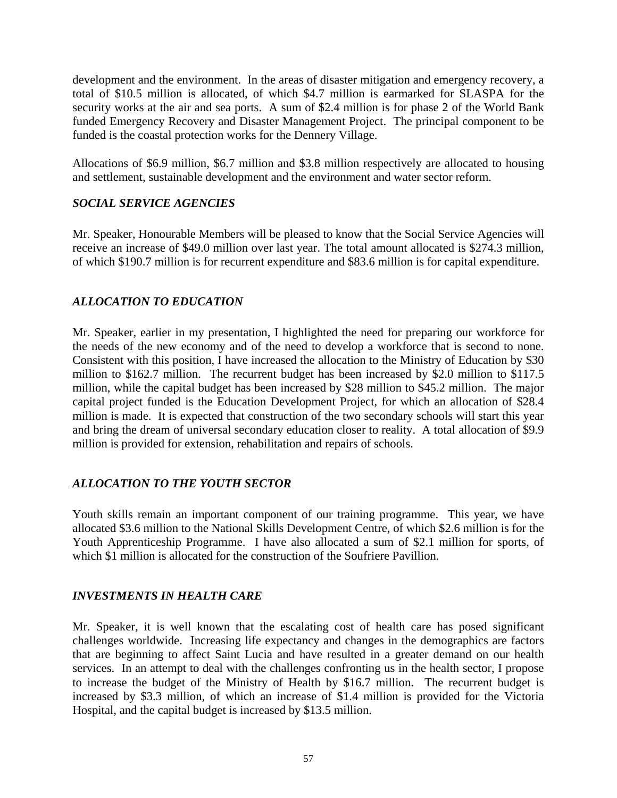development and the environment. In the areas of disaster mitigation and emergency recovery, a total of \$10.5 million is allocated, of which \$4.7 million is earmarked for SLASPA for the security works at the air and sea ports. A sum of \$2.4 million is for phase 2 of the World Bank funded Emergency Recovery and Disaster Management Project. The principal component to be funded is the coastal protection works for the Dennery Village.

Allocations of \$6.9 million, \$6.7 million and \$3.8 million respectively are allocated to housing and settlement, sustainable development and the environment and water sector reform.

## *SOCIAL SERVICE AGENCIES*

Mr. Speaker, Honourable Members will be pleased to know that the Social Service Agencies will receive an increase of \$49.0 million over last year. The total amount allocated is \$274.3 million, of which \$190.7 million is for recurrent expenditure and \$83.6 million is for capital expenditure.

#### *ALLOCATION TO EDUCATION*

Mr. Speaker, earlier in my presentation, I highlighted the need for preparing our workforce for the needs of the new economy and of the need to develop a workforce that is second to none. Consistent with this position, I have increased the allocation to the Ministry of Education by \$30 million to \$162.7 million. The recurrent budget has been increased by \$2.0 million to \$117.5 million, while the capital budget has been increased by \$28 million to \$45.2 million. The major capital project funded is the Education Development Project, for which an allocation of \$28.4 million is made. It is expected that construction of the two secondary schools will start this year and bring the dream of universal secondary education closer to reality. A total allocation of \$9.9 million is provided for extension, rehabilitation and repairs of schools.

## *ALLOCATION TO THE YOUTH SECTOR*

Youth skills remain an important component of our training programme. This year, we have allocated \$3.6 million to the National Skills Development Centre, of which \$2.6 million is for the Youth Apprenticeship Programme. I have also allocated a sum of \$2.1 million for sports, of which \$1 million is allocated for the construction of the Soufriere Pavillion.

#### *INVESTMENTS IN HEALTH CARE*

Mr. Speaker, it is well known that the escalating cost of health care has posed significant challenges worldwide. Increasing life expectancy and changes in the demographics are factors that are beginning to affect Saint Lucia and have resulted in a greater demand on our health services. In an attempt to deal with the challenges confronting us in the health sector, I propose to increase the budget of the Ministry of Health by \$16.7 million. The recurrent budget is increased by \$3.3 million, of which an increase of \$1.4 million is provided for the Victoria Hospital, and the capital budget is increased by \$13.5 million.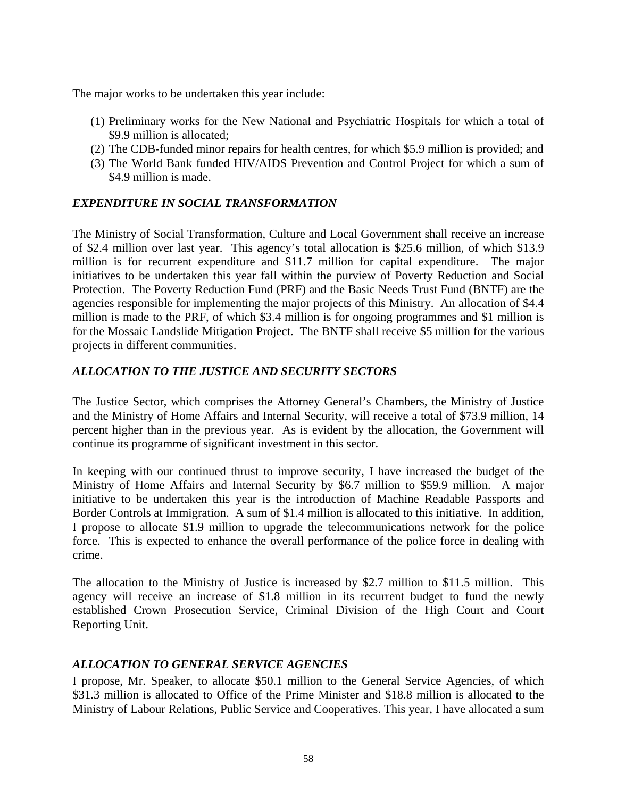The major works to be undertaken this year include:

- (1) Preliminary works for the New National and Psychiatric Hospitals for which a total of \$9.9 million is allocated:
- (2) The CDB-funded minor repairs for health centres, for which \$5.9 million is provided; and
- (3) The World Bank funded HIV/AIDS Prevention and Control Project for which a sum of \$4.9 million is made.

## *EXPENDITURE IN SOCIAL TRANSFORMATION*

The Ministry of Social Transformation, Culture and Local Government shall receive an increase of \$2.4 million over last year. This agency's total allocation is \$25.6 million, of which \$13.9 million is for recurrent expenditure and \$11.7 million for capital expenditure. The major initiatives to be undertaken this year fall within the purview of Poverty Reduction and Social Protection. The Poverty Reduction Fund (PRF) and the Basic Needs Trust Fund (BNTF) are the agencies responsible for implementing the major projects of this Ministry. An allocation of \$4.4 million is made to the PRF, of which \$3.4 million is for ongoing programmes and \$1 million is for the Mossaic Landslide Mitigation Project. The BNTF shall receive \$5 million for the various projects in different communities.

## *ALLOCATION TO THE JUSTICE AND SECURITY SECTORS*

The Justice Sector, which comprises the Attorney General's Chambers, the Ministry of Justice and the Ministry of Home Affairs and Internal Security, will receive a total of \$73.9 million, 14 percent higher than in the previous year. As is evident by the allocation, the Government will continue its programme of significant investment in this sector.

In keeping with our continued thrust to improve security, I have increased the budget of the Ministry of Home Affairs and Internal Security by \$6.7 million to \$59.9 million. A major initiative to be undertaken this year is the introduction of Machine Readable Passports and Border Controls at Immigration. A sum of \$1.4 million is allocated to this initiative. In addition, I propose to allocate \$1.9 million to upgrade the telecommunications network for the police force. This is expected to enhance the overall performance of the police force in dealing with crime.

The allocation to the Ministry of Justice is increased by \$2.7 million to \$11.5 million. This agency will receive an increase of \$1.8 million in its recurrent budget to fund the newly established Crown Prosecution Service, Criminal Division of the High Court and Court Reporting Unit.

#### *ALLOCATION TO GENERAL SERVICE AGENCIES*

I propose, Mr. Speaker, to allocate \$50.1 million to the General Service Agencies, of which \$31.3 million is allocated to Office of the Prime Minister and \$18.8 million is allocated to the Ministry of Labour Relations, Public Service and Cooperatives. This year, I have allocated a sum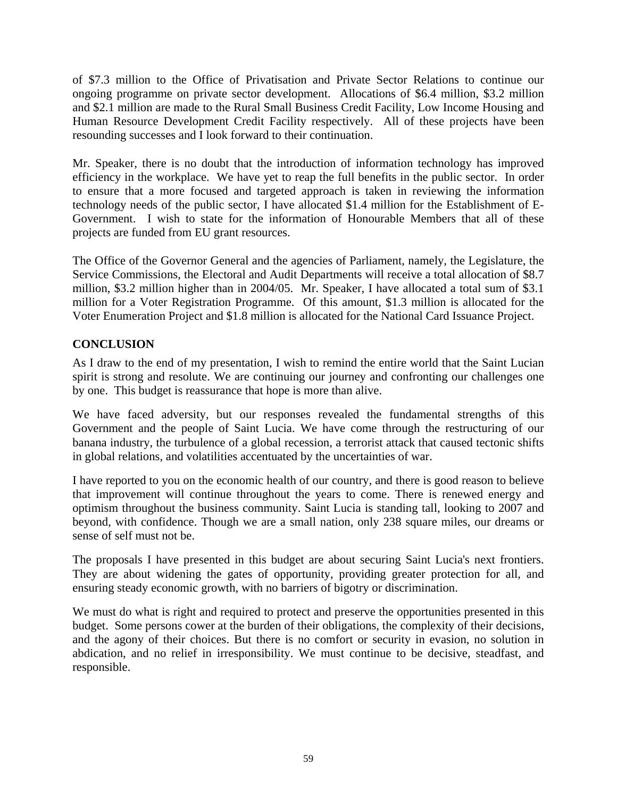of \$7.3 million to the Office of Privatisation and Private Sector Relations to continue our ongoing programme on private sector development. Allocations of \$6.4 million, \$3.2 million and \$2.1 million are made to the Rural Small Business Credit Facility, Low Income Housing and Human Resource Development Credit Facility respectively. All of these projects have been resounding successes and I look forward to their continuation.

Mr. Speaker, there is no doubt that the introduction of information technology has improved efficiency in the workplace. We have yet to reap the full benefits in the public sector. In order to ensure that a more focused and targeted approach is taken in reviewing the information technology needs of the public sector, I have allocated \$1.4 million for the Establishment of E-Government. I wish to state for the information of Honourable Members that all of these projects are funded from EU grant resources.

The Office of the Governor General and the agencies of Parliament, namely, the Legislature, the Service Commissions, the Electoral and Audit Departments will receive a total allocation of \$8.7 million, \$3.2 million higher than in 2004/05. Mr. Speaker, I have allocated a total sum of \$3.1 million for a Voter Registration Programme. Of this amount, \$1.3 million is allocated for the Voter Enumeration Project and \$1.8 million is allocated for the National Card Issuance Project.

## **CONCLUSION**

As I draw to the end of my presentation, I wish to remind the entire world that the Saint Lucian spirit is strong and resolute. We are continuing our journey and confronting our challenges one by one. This budget is reassurance that hope is more than alive.

We have faced adversity, but our responses revealed the fundamental strengths of this Government and the people of Saint Lucia. We have come through the restructuring of our banana industry, the turbulence of a global recession, a terrorist attack that caused tectonic shifts in global relations, and volatilities accentuated by the uncertainties of war.

I have reported to you on the economic health of our country, and there is good reason to believe that improvement will continue throughout the years to come. There is renewed energy and optimism throughout the business community. Saint Lucia is standing tall, looking to 2007 and beyond, with confidence. Though we are a small nation, only 238 square miles, our dreams or sense of self must not be.

The proposals I have presented in this budget are about securing Saint Lucia's next frontiers. They are about widening the gates of opportunity, providing greater protection for all, and ensuring steady economic growth, with no barriers of bigotry or discrimination.

We must do what is right and required to protect and preserve the opportunities presented in this budget. Some persons cower at the burden of their obligations, the complexity of their decisions, and the agony of their choices. But there is no comfort or security in evasion, no solution in abdication, and no relief in irresponsibility. We must continue to be decisive, steadfast, and responsible.